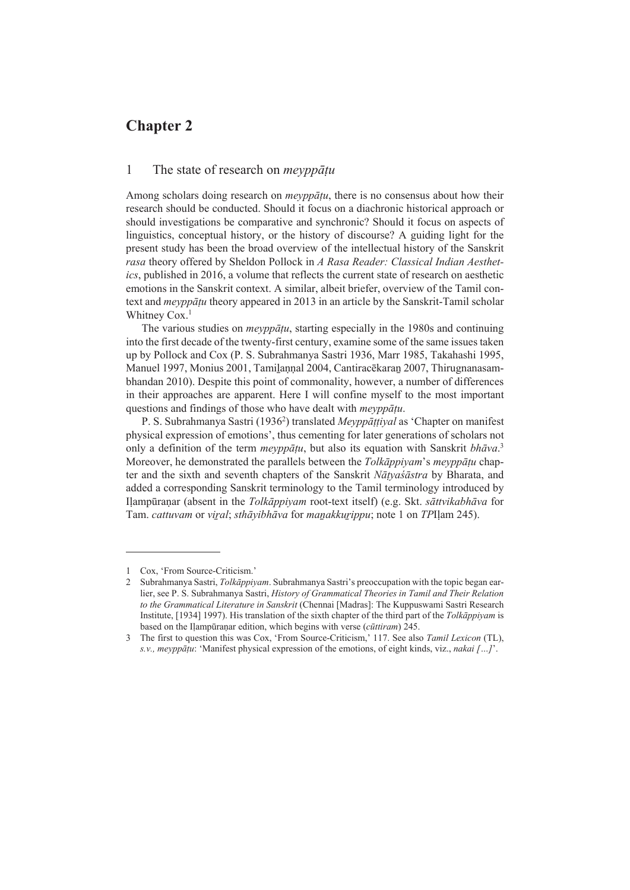# **Chapter 2**

## 1 The state of research on *meyppāṭu*

Among scholars doing research on *meyppāṭu*, there is no consensus about how their research should be conducted. Should it focus on a diachronic historical approach or should investigations be comparative and synchronic? Should it focus on aspects of linguistics, conceptual history, or the history of discourse? A guiding light for the present study has been the broad overview of the intellectual history of the Sanskrit *rasa* theory offered by Sheldon Pollock in *A Rasa Reader: Classical Indian Aesthetics*, published in 2016, a volume that reflects the current state of research on aesthetic emotions in the Sanskrit context. A similar, albeit briefer, overview of the Tamil context and *meyppāṭu* theory appeared in 2013 in an article by the Sanskrit-Tamil scholar Whitney Cox.<sup>1</sup>

The various studies on *meyppāṭu*, starting especially in the 1980s and continuing into the first decade of the twenty-first century, examine some of the same issues taken up by Pollock and Cox (P. S. Subrahmanya Sastri 1936, Marr 1985, Takahashi 1995, Manuel 1997, Monius 2001, Tamilannal 2004, Cantiracēkaran 2007, Thirugnanasambhandan 2010). Despite this point of commonality, however, a number of differences in their approaches are apparent. Here I will confine myself to the most important questions and findings of those who have dealt with *meyppāṭu*.

P. S. Subrahmanya Sastri (19362 ) translated *Meyppāṭṭiyal* as 'Chapter on manifest physical expression of emotions', thus cementing for later generations of scholars not only a definition of the term *meyppāṭu*, but also its equation with Sanskrit *bhāva*. 3 Moreover, he demonstrated the parallels between the *Tolkāppiyam*'s *meyppāṭu* chapter and the sixth and seventh chapters of the Sanskrit *Nāṭyaśāstra* by Bharata, and added a corresponding Sanskrit terminology to the Tamil terminology introduced by Iḷampūraṇar (absent in the *Tolkāppiyam* root-text itself) (e.g. Skt. *sāttvikabhāva* for Tam. *cattuvam* or *viṟal*; *sthāyibhāva* for *maṉakkuṟippu*; note 1 on *TP*Iḷam 245).

<sup>1</sup> Cox, 'From Source-Criticism.'

<sup>2</sup> Subrahmanya Sastri, *Tolkāppiyam*. Subrahmanya Sastri's preoccupation with the topic began earlier, see P. S. Subrahmanya Sastri, *History of Grammatical Theories in Tamil and Their Relation to the Grammatical Literature in Sanskrit* (Chennai [Madras]: The Kuppuswami Sastri Research Institute, [1934] 1997). His translation of the sixth chapter of the third part of the *Tolkāppiyam* is based on the Iḷampūraṇar edition, which begins with verse (*cūttiram*) 245.

<sup>3</sup> The first to question this was Cox, 'From Source-Criticism,' 117. See also *Tamil Lexicon* (TL), *s.v., meyppāṭu*: 'Manifest physical expression of the emotions, of eight kinds, viz., *nakai […]*'.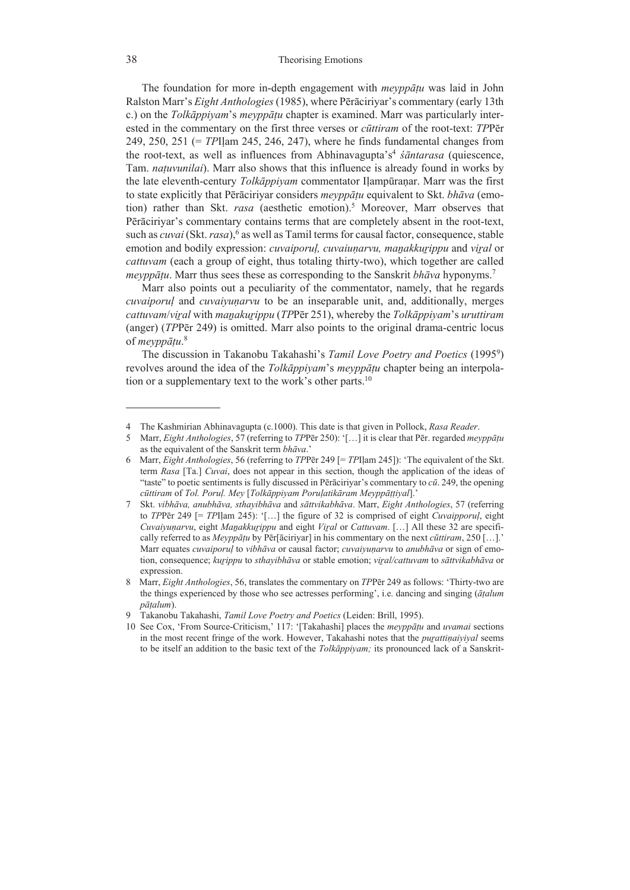The foundation for more in-depth engagement with *meyppāṭu* was laid in John Ralston Marr's *Eight Anthologies* (1985), where Pērāciriyar's commentary (early 13th c.) on the *Tolkāppiyam*'s *meyppāṭu* chapter is examined. Marr was particularly interested in the commentary on the first three verses or *cūttiram* of the root-text: *TP*Pēr 249, 250, 251 (= *TP*Iḷam 245, 246, 247), where he finds fundamental changes from the root-text, as well as influences from Abhinavagupta's<sup>4</sup> *śāntarasa* (quiescence, Tam. *naṭuvunilai*). Marr also shows that this influence is already found in works by the late eleventh-century *Tolkāppiyam* commentator Iḷampūraṇar. Marr was the first to state explicitly that Pērāciriyar considers *meyppāṭu* equivalent to Skt. *bhāva* (emotion) rather than Skt. *rasa* (aesthetic emotion).<sup>5</sup> Moreover, Marr observes that Pērāciriyar's commentary contains terms that are completely absent in the root-text, such as *cuvai* (Skt. *rasa*),<sup>6</sup> as well as Tamil terms for causal factor, consequence, stable emotion and bodily expression: *cuvaiporuḷ, cuvaiuṇarvu, maṉakkuṟippu* and *viṟal* or *cattuvam* (each a group of eight, thus totaling thirty-two), which together are called *meyppāṭu*. Marr thus sees these as corresponding to the Sanskrit *bhāva* hyponyms.7

Marr also points out a peculiarity of the commentator, namely, that he regards *cuvaiporuḷ* and *cuvaiyuṇarvu* to be an inseparable unit, and, additionally, merges *cattuvam*/*viṟal* with *maṉakuṟippu* (*TP*Pēr 251), whereby the *Tolkāppiyam*'s *uruttiram* (anger) (*TP*Pēr 249) is omitted. Marr also points to the original drama-centric locus of *meyppāṭu*. 8

The discussion in Takanobu Takahashi's *Tamil Love Poetry and Poetics* (19959 ) revolves around the idea of the *Tolkāppiyam*'s *meyppāṭu* chapter being an interpolation or a supplementary text to the work's other parts.10

<sup>4</sup> The Kashmirian Abhinavagupta (c.1000). This date is that given in Pollock, *Rasa Reader*.

<sup>5</sup> Marr, *Eight Anthologies*, 57 (referring to *TP*Pēr 250): '[…] it is clear that Pēr. regarded *meyppāṭu* as the equivalent of the Sanskrit term *bhāva*.'

<sup>6</sup> Marr, *Eight Anthologies*, 56 (referring to *TP*Pēr 249 [= *TP*Iḷam 245]): 'The equivalent of the Skt. term *Rasa* [Ta.] *Cuvai*, does not appear in this section, though the application of the ideas of "taste" to poetic sentiments is fully discussed in Pērāciriyar's commentary to *cū*. 249, the opening *cūttiram* of *Tol. Poruḷ. Mey* [*Tolkāppiyam Poruḷatikāram Meyppāṭṭiyal*].'

<sup>7</sup> Skt. *vibhāva, anubhāva, sthayibhāva* and *sāttvikabhāva*. Marr, *Eight Anthologies*, 57 (referring to *TP*Pēr 249 [= *TP*Iḷam 245): '[…] the figure of 32 is comprised of eight *Cuvaipporuḷ*, eight *Cuvaiyuṇarvu*, eight *Maṉakkuṟippu* and eight *Viṟal* or *Cattuvam*. […] All these 32 are specifically referred to as *Meyppāṭu* by Pēr[āciriyar] in his commentary on the next *cūttiram*, 250 […].' Marr equates *cuvaiporuḷ* to *vibhāva* or causal factor; *cuvaiyuṇarvu* to *anubhāva* or sign of emotion, consequence; *kuṟippu* to *sthayibhāva* or stable emotion; *viṟal/cattuvam* to *sāttvikabhāva* or expression.

<sup>8</sup> Marr, *Eight Anthologies*, 56, translates the commentary on *TP*Pēr 249 as follows: 'Thirty-two are the things experienced by those who see actresses performing', i.e. dancing and singing (*āṭalum pāṭalum*).

<sup>9</sup> Takanobu Takahashi, *Tamil Love Poetry and Poetics* (Leiden: Brill, 1995).

<sup>10</sup> See Cox, 'From Source-Criticism,' 117: '[Takahashi] places the *meyppāṭu* and *uvamai* sections in the most recent fringe of the work. However, Takahashi notes that the *puṟattiṇaiyiyal* seems to be itself an addition to the basic text of the *Tolkāppiyam;* its pronounced lack of a Sanskrit-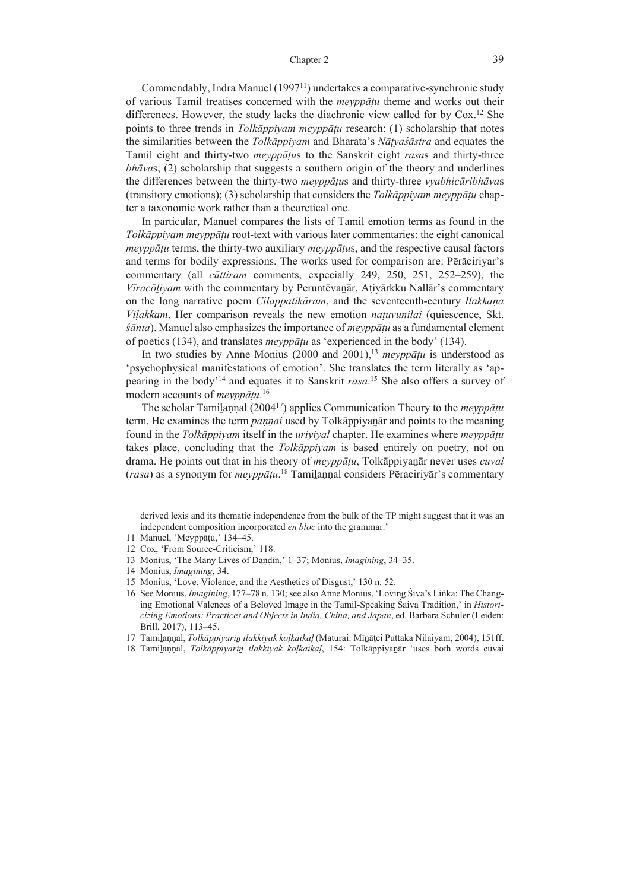#### Chapter 2 39

Commendably, Indra Manuel (1997<sup>11</sup>) undertakes a comparative-synchronic study of various Tamil treatises concerned with the *meyppāṭu* theme and works out their differences. However, the study lacks the diachronic view called for by  $\text{Cox}$ .<sup>12</sup> She points to three trends in *Tolkāppiyam meyppāṭu* research: (1) scholarship that notes the similarities between the *Tolkāppiyam* and Bharata's *Nāṭyaśāstra* and equates the Tamil eight and thirty-two *meyppāṭu*s to the Sanskrit eight *rasa*s and thirty-three *bhāva*s; (2) scholarship that suggests a southern origin of the theory and underlines the differences between the thirty-two *meyppāṭu*s and thirty-three *vyabhicāribhāva*s (transitory emotions); (3) scholarship that considers the *Tolkāppiyam meyppāṭu* chapter a taxonomic work rather than a theoretical one.

In particular, Manuel compares the lists of Tamil emotion terms as found in the *Tolkāppiyam meyppāṭu* root-text with various later commentaries: the eight canonical *meyppāṭu* terms, the thirty-two auxiliary *meyppāṭu*s, and the respective causal factors and terms for bodily expressions. The works used for comparison are: Pērāciriyar's commentary (all *cūttiram* comments, expecially 249, 250, 251, 252–259), the *Vīracōḻiyam* with the commentary by Peruntēvaṉār, Aṭiyārkku Nallār's commentary on the long narrative poem *Cilappatikāram*, and the seventeenth-century *Ilakkaṇa Viḷakkam*. Her comparison reveals the new emotion *naṭuvunilai* (quiescence, Skt. *śānta*). Manuel also emphasizes the importance of *meyppāṭu* as a fundamental element of poetics (134), and translates *meyppāṭu* as 'experienced in the body' (134).

In two studies by Anne Monius (2000 and 2001),<sup>13</sup> *meyppāṭu* is understood as 'psychophysical manifestations of emotion'. She translates the term literally as 'appearing in the body'14 and equates it to Sanskrit *rasa*. 15 She also offers a survey of modern accounts of *meyppāṭu*. 16

The scholar Tamilannal (2004<sup>17</sup>) applies Communication Theory to the *meyppatu* term. He examines the term *paṇṇai* used by Tolkāppiyaṉār and points to the meaning found in the *Tolkāppiyam* itself in the *uriyiyal* chapter. He examines where *meyppāṭu* takes place, concluding that the *Tolkāppiyam* is based entirely on poetry, not on drama. He points out that in his theory of *meyppāṭu*, Tolkāppiyaṉār never uses *cuvai* (*rasa*) as a synonym for *meyppāṭu*. 18 Tamiḻaṇṇal considers Pēraciriyār's commentary

derived lexis and its thematic independence from the bulk of the TP might suggest that it was an independent composition incorporated *en bloc* into the grammar.'

<sup>11</sup> Manuel, 'Meyppāṭu,' 134‒45.

<sup>12</sup> Cox, 'From Source-Criticism,' 118.

<sup>13</sup> Monius, 'The Many Lives of Daṇḍin,' 1‒37; Monius, *Imagining*, 34‒35.

<sup>14</sup> Monius, *Imagining*, 34.

<sup>15</sup> Monius, 'Love, Violence, and the Aesthetics of Disgust,' 130 n. 52.

<sup>16</sup> See Monius, *Imagining*, 177‒78 n. 130; see also Anne Monius, 'Loving Śiva's Liṅka: The Changing Emotional Valences of a Beloved Image in the Tamil-Speaking Śaiva Tradition,' in *Historicizing Emotions: Practices and Objects in India, China, and Japan*, ed. Barbara Schuler (Leiden: Brill, 2017), 113‒45.

<sup>17</sup> Tamiḻaṇṇal, *Tolkāppiyariṉ ilakkiyak koḷkaikaḷ* (Maturai: Mīṉāṭci Puttaka Nilaiyam, 2004), 151ff.

<sup>18</sup> Tamiḻaṇṇal, *Tolkāppiyariṉ ilakkiyak koḷkaikaḷ*, 154: Tolkāppiyaṉār 'uses both words cuvai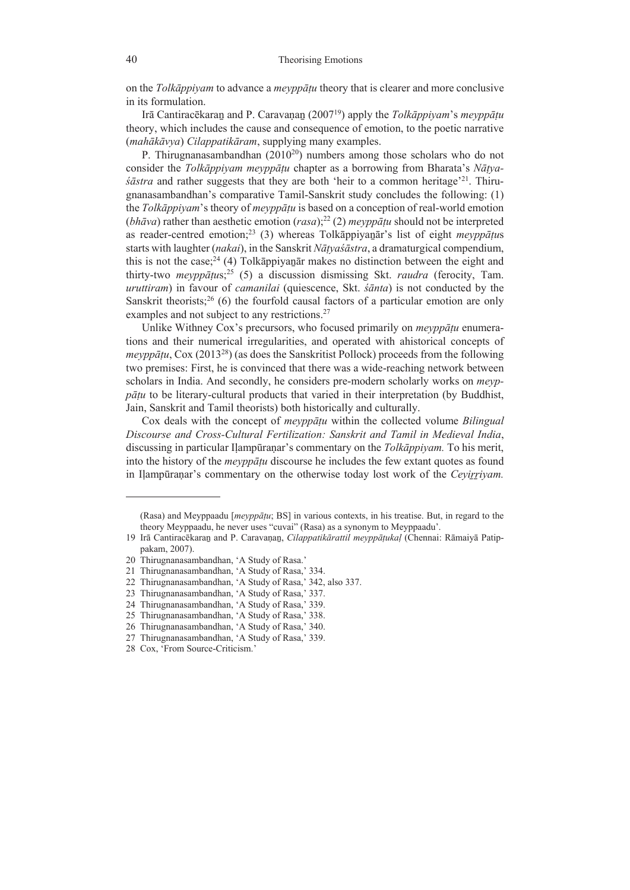on the *Tolkāppiyam* to advance a *meyppāṭu* theory that is clearer and more conclusive in its formulation.

Irā Cantiracēkaraṉ and P. Caravaṇaṉ (200719) apply the *Tolkāppiyam*'s *meyppāṭu* theory, which includes the cause and consequence of emotion, to the poetic narrative (*mahākāvya*) *Cilappatikāram*, supplying many examples.

P. Thirugnanasambandhan  $(2010^{20})$  numbers among those scholars who do not consider the *Tolkāppiyam meyppāṭu* chapter as a borrowing from Bharata's *Nāṭya-* $\dot{\delta}$ *šāstra* and rather suggests that they are both 'heir to a common heritage<sup>21</sup>. Thirugnanasambandhan's comparative Tamil-Sanskrit study concludes the following: (1) the *Tolkāppiyam*'s theory of *meyppāṭu* is based on a conception of real-world emotion (*bhāva*) rather than aesthetic emotion (*rasa*);<sup>22</sup> (2) *meyppātu* should not be interpreted as reader-centred emotion;23 (3) whereas Tolkāppiyaṉār's list of eight *meyppāṭu*s starts with laughter (*nakai*), in the Sanskrit *Nāṭyaśāstra*, a dramaturgical compendium, this is not the case;<sup>24</sup> (4) Tolkappiyanat makes no distinction between the eight and thirty-two *meyppāṭu*s;25 (5) a discussion dismissing Skt. *raudra* (ferocity, Tam. *uruttiram*) in favour of *camanilai* (quiescence, Skt. *śānta*) is not conducted by the Sanskrit theorists;<sup>26</sup> (6) the fourfold causal factors of a particular emotion are only examples and not subject to any restrictions.<sup>27</sup>

Unlike Withney Cox's precursors, who focused primarily on *meyppāṭu* enumerations and their numerical irregularities, and operated with ahistorical concepts of *meyppātu*, Cox (2013<sup>28</sup>) (as does the Sanskritist Pollock) proceeds from the following two premises: First, he is convinced that there was a wide-reaching network between scholars in India. And secondly, he considers pre-modern scholarly works on *meyppāṭu* to be literary-cultural products that varied in their interpretation (by Buddhist, Jain, Sanskrit and Tamil theorists) both historically and culturally.

Cox deals with the concept of *meyppāṭu* within the collected volume *Bilingual Discourse and Cross-Cultural Fertilization: Sanskrit and Tamil in Medieval India*, discussing in particular Iḷampūraṇar's commentary on the *Tolkāppiyam.* To his merit, into the history of the *meyppāṭu* discourse he includes the few extant quotes as found in Iḷampūraṇar's commentary on the otherwise today lost work of the *Ceyiṟṟiyam.* 

<sup>(</sup>Rasa) and Meyppaadu [*meyppāṭu*; BS] in various contexts, in his treatise. But, in regard to the theory Meyppaadu, he never uses "cuvai" (Rasa) as a synonym to Meyppaadu'.

<sup>19</sup> Irā Cantiracēkaraṉ and P. Caravaṇaṉ, *Cilappatikārattil meyppāṭukaḷ* (Chennai: Rāmaiyā Patippakam, 2007).

<sup>20</sup> Thirugnanasambandhan, 'A Study of Rasa.'

<sup>21</sup> Thirugnanasambandhan, 'A Study of Rasa,' 334.

<sup>22</sup> Thirugnanasambandhan, 'A Study of Rasa,' 342, also 337.

<sup>23</sup> Thirugnanasambandhan, 'A Study of Rasa,' 337.

<sup>24</sup> Thirugnanasambandhan, 'A Study of Rasa,' 339.

<sup>25</sup> Thirugnanasambandhan, 'A Study of Rasa,' 338.

<sup>26</sup> Thirugnanasambandhan, 'A Study of Rasa,' 340.

<sup>27</sup> Thirugnanasambandhan, 'A Study of Rasa,' 339.

<sup>28</sup> Cox, 'From Source-Criticism.'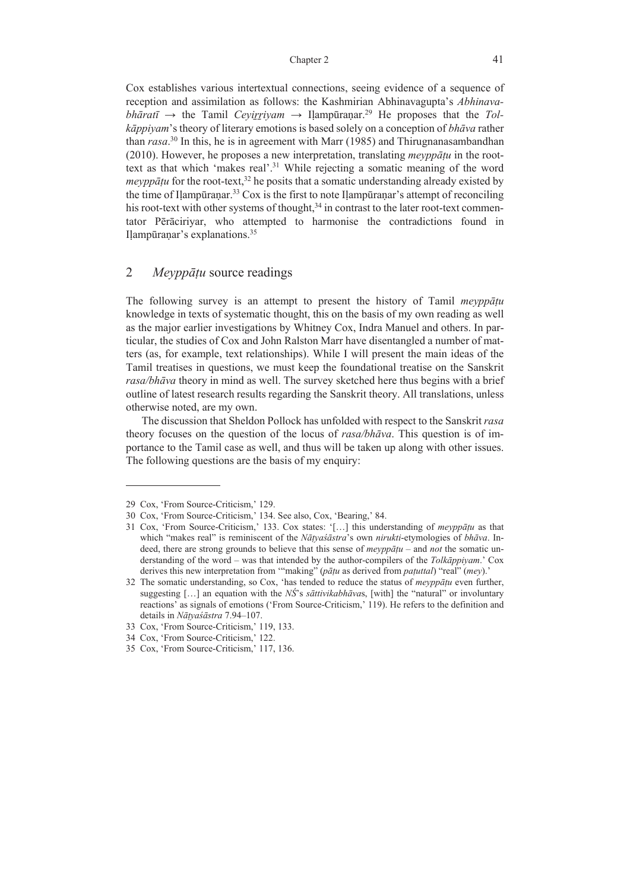#### Chapter 2 41

Cox establishes various intertextual connections, seeing evidence of a sequence of reception and assimilation as follows: the Kashmirian Abhinavagupta's *Abhinavabhāratī*  $\rightarrow$  the Tamil *Ceyi<u>r</u>riyam*  $\rightarrow$  Ilampūraṇar.<sup>29</sup> He proposes that the *Tolkāppiyam*'s theory of literary emotions is based solely on a conception of *bhāva* rather than *rasa*. 30 In this, he is in agreement with Marr (1985) and Thirugnanasambandhan (2010). However, he proposes a new interpretation, translating *meyppāṭu* in the roottext as that which 'makes real'.31 While rejecting a somatic meaning of the word *meyppātu* for the root-text,<sup>32</sup> he posits that a somatic understanding already existed by the time of Ilampūranar.<sup>33</sup> Cox is the first to note Ilampūranar's attempt of reconciling his root-text with other systems of thought, $34$  in contrast to the later root-text commentator Pērāciriyar, who attempted to harmonise the contradictions found in Ilampūranar's explanations.<sup>35</sup>

# 2 *Meyppāṭu* source readings

The following survey is an attempt to present the history of Tamil *meyppāṭu* knowledge in texts of systematic thought, this on the basis of my own reading as well as the major earlier investigations by Whitney Cox, Indra Manuel and others. In particular, the studies of Cox and John Ralston Marr have disentangled a number of matters (as, for example, text relationships). While I will present the main ideas of the Tamil treatises in questions, we must keep the foundational treatise on the Sanskrit *rasa/bhāva* theory in mind as well. The survey sketched here thus begins with a brief outline of latest research results regarding the Sanskrit theory. All translations, unless otherwise noted, are my own.

The discussion that Sheldon Pollock has unfolded with respect to the Sanskrit *rasa* theory focuses on the question of the locus of *rasa/bhāva*. This question is of importance to the Tamil case as well, and thus will be taken up along with other issues. The following questions are the basis of my enquiry:

<sup>29</sup> Cox, 'From Source-Criticism,' 129.

<sup>30</sup> Cox, 'From Source-Criticism,' 134. See also, Cox, 'Bearing,' 84.

<sup>31</sup> Cox, 'From Source-Criticism,' 133. Cox states: '[…] this understanding of *meyppāṭu* as that which "makes real" is reminiscent of the *Nāṭyaśāstra*'s own *nirukti*-etymologies of *bhāva*. Indeed, there are strong grounds to believe that this sense of *meyppāṭu* – and *not* the somatic understanding of the word – was that intended by the author-compilers of the *Tolkāppiyam*.' Cox derives this new interpretation from '"making" (*pāṭu* as derived from *paṭuttal*) "real" (*mey*).'

<sup>32</sup> The somatic understanding, so Cox, 'has tended to reduce the status of *meyppāṭu* even further, suggesting […] an equation with the *NŚ*'s *sāttivikabhāva*s, [with] the "natural" or involuntary reactions' as signals of emotions ('From Source-Criticism,' 119). He refers to the definition and details in *Nāṭyaśāstra* 7.94–107.

<sup>33</sup> Cox, 'From Source-Criticism,' 119, 133.

<sup>34</sup> Cox, 'From Source-Criticism,' 122.

<sup>35</sup> Cox, 'From Source-Criticism,' 117, 136.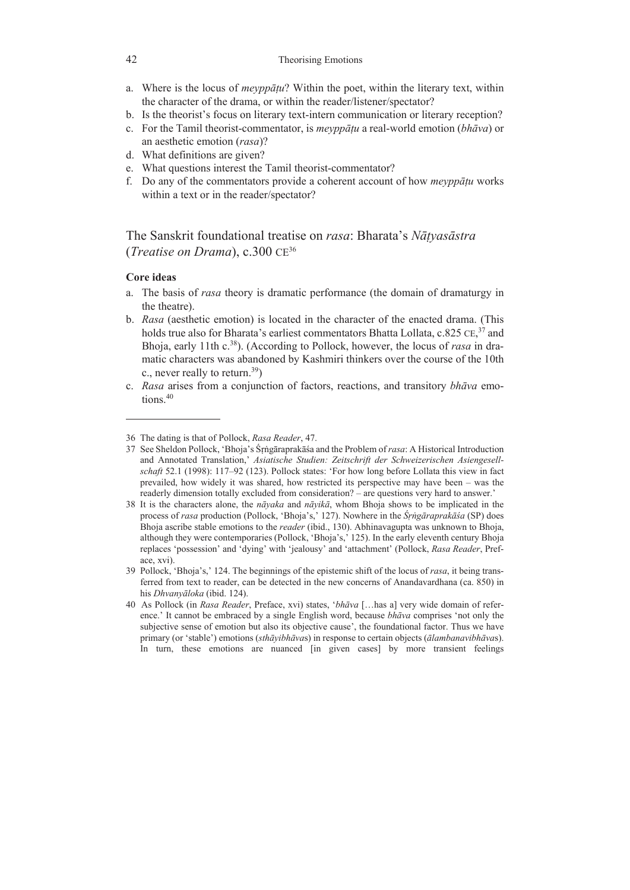- a. Where is the locus of *meyppāṭu*? Within the poet, within the literary text, within the character of the drama, or within the reader/listener/spectator?
- b. Is the theorist's focus on literary text-intern communication or literary reception?
- c. For the Tamil theorist-commentator, is *meyppāṭu* a real-world emotion (*bhāva*) or an aesthetic emotion (*rasa*)?
- d. What definitions are given?
- e. What questions interest the Tamil theorist-commentator?
- f. Do any of the commentators provide a coherent account of how *meyppāṭu* works within a text or in the reader/spectator?

# The Sanskrit foundational treatise on *rasa*: Bharata's *Nāṭyasāstra*  (*Treatise on Drama*), c.300 CE36

## **Core ideas**

- a. The basis of *rasa* theory is dramatic performance (the domain of dramaturgy in the theatre).
- b. *Rasa* (aesthetic emotion) is located in the character of the enacted drama. (This holds true also for Bharata's earliest commentators Bhatta Lollata, c.825 CE,<sup>37</sup> and Bhoja, early 11th c.38). (According to Pollock, however, the locus of *rasa* in dramatic characters was abandoned by Kashmiri thinkers over the course of the 10th c., never really to return.<sup>39</sup>)
- c. *Rasa* arises from a conjunction of factors, reactions, and transitory *bhāva* emotions.<sup>40</sup>

<sup>36</sup> The dating is that of Pollock, *Rasa Reader*, 47.

<sup>37</sup> See Sheldon Pollock, 'Bhoja's Śṛṅgāraprakāśa and the Problem of *rasa*: A Historical Introduction and Annotated Translation,' *Asiatische Studien: Zeitschrift der Schweizerischen Asiengesellschaft* 52.1 (1998): 117‒92 (123). Pollock states: 'For how long before Lollata this view in fact prevailed, how widely it was shared, how restricted its perspective may have been – was the readerly dimension totally excluded from consideration? – are questions very hard to answer.'

<sup>38</sup> It is the characters alone, the *nāyaka* and *nāyikā*, whom Bhoja shows to be implicated in the process of *rasa* production (Pollock, 'Bhoja's,' 127). Nowhere in the *Śṛṅgāraprakāśa* (SP) does Bhoja ascribe stable emotions to the *reader* (ibid., 130). Abhinavagupta was unknown to Bhoja, although they were contemporaries (Pollock, 'Bhoja's,' 125). In the early eleventh century Bhoja replaces 'possession' and 'dying' with 'jealousy' and 'attachment' (Pollock, *Rasa Reader*, Preface, xvi).

<sup>39</sup> Pollock, 'Bhoja's,' 124. The beginnings of the epistemic shift of the locus of *rasa*, it being transferred from text to reader, can be detected in the new concerns of Anandavardhana (ca. 850) in his *Dhvanyāloka* (ibid. 124).

<sup>40</sup> As Pollock (in *Rasa Reader*, Preface, xvi) states, '*bhāva* […has a] very wide domain of reference.' It cannot be embraced by a single English word, because *bhāva* comprises 'not only the subjective sense of emotion but also its objective cause', the foundational factor. Thus we have primary (or 'stable') emotions (*sthāyibhāva*s) in response to certain objects (*ālambanavibhāva*s). In turn, these emotions are nuanced [in given cases] by more transient feelings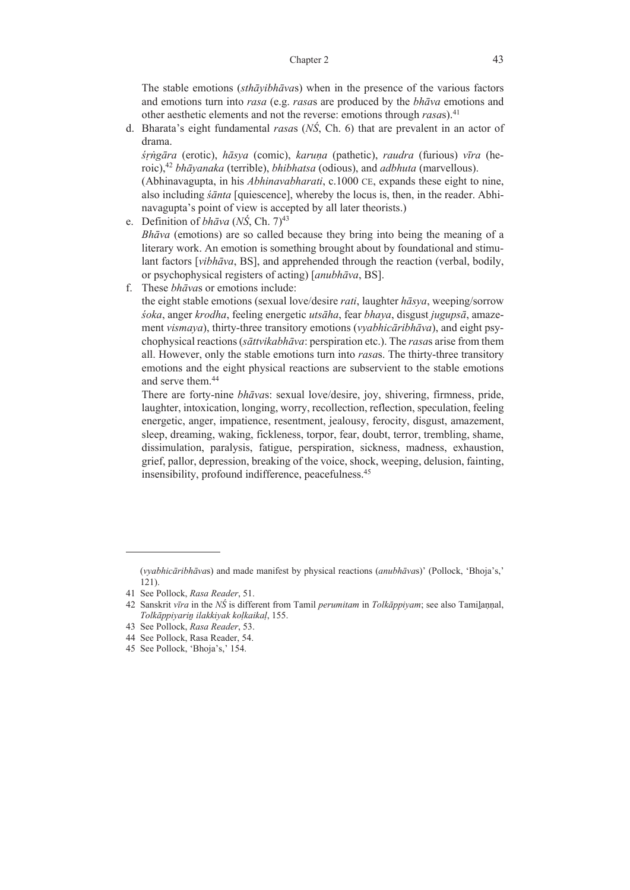#### Chapter 2 43

 The stable emotions (*sthāyibhāva*s) when in the presence of the various factors and emotions turn into *rasa* (e.g. *rasa*s are produced by the *bhāva* emotions and other aesthetic elements and not the reverse: emotions through *rasa*s).41

d. Bharata's eight fundamental *rasa*s (*NŚ*, Ch. 6) that are prevalent in an actor of drama.

*śṛṅgāra* (erotic), *hāsya* (comic), *karuṇa* (pathetic), *raudra* (furious) *vīra* (heroic),42 *bhāyanaka* (terrible), *bhibhatsa* (odious), and *adbhuta* (marvellous).

 (Abhinavagupta, in his *Abhinavabharati*, c.1000 CE, expands these eight to nine, also including *śānta* [quiescence], whereby the locus is, then, in the reader. Abhinavagupta's point of view is accepted by all later theorists.)

- e. Definition of *bhāva* (*NŚ*, Ch. 7)43  *Bhāva* (emotions) are so called because they bring into being the meaning of a literary work. An emotion is something brought about by foundational and stimulant factors [*vibhāva*, BS], and apprehended through the reaction (verbal, bodily, or psychophysical registers of acting) [*anubhāva*, BS].
- f. These *bhāva*s or emotions include:

 the eight stable emotions (sexual love/desire *rati*, laughter *hāsya*, weeping/sorrow *śoka*, anger *krodha*, feeling energetic *utsāha*, fear *bhaya*, disgust *jugupsā*, amazement *vismaya*), thirty-three transitory emotions (*vyabhicāribhāva*), and eight psychophysical reactions (*sāttvikabhāva*: perspiration etc.). The *rasa*s arise from them all. However, only the stable emotions turn into *rasa*s. The thirty-three transitory emotions and the eight physical reactions are subservient to the stable emotions and serve them.44

 There are forty-nine *bhāva*s: sexual love/desire, joy, shivering, firmness, pride, laughter, intoxication, longing, worry, recollection, reflection, speculation, feeling energetic, anger, impatience, resentment, jealousy, ferocity, disgust, amazement, sleep, dreaming, waking, fickleness, torpor, fear, doubt, terror, trembling, shame, dissimulation, paralysis, fatigue, perspiration, sickness, madness, exhaustion, grief, pallor, depression, breaking of the voice, shock, weeping, delusion, fainting, insensibility, profound indifference, peacefulness.45

<sup>(</sup>*vyabhicāribhāva*s) and made manifest by physical reactions (*anubhāva*s)' (Pollock, 'Bhoja's,' 121).

<sup>41</sup> See Pollock, *Rasa Reader*, 51.

<sup>42</sup> Sanskrit *vīra* in the *NŚ* is different from Tamil *perumitam* in *Tolkāppiyam*; see also Tamiḻaṇṇal, *Tolkāppiyariṉ ilakkiyak koḷkaikaḷ*, 155.

<sup>43</sup> See Pollock, *Rasa Reader*, 53.

<sup>44</sup> See Pollock, Rasa Reader, 54.

<sup>45</sup> See Pollock, 'Bhoja's,' 154.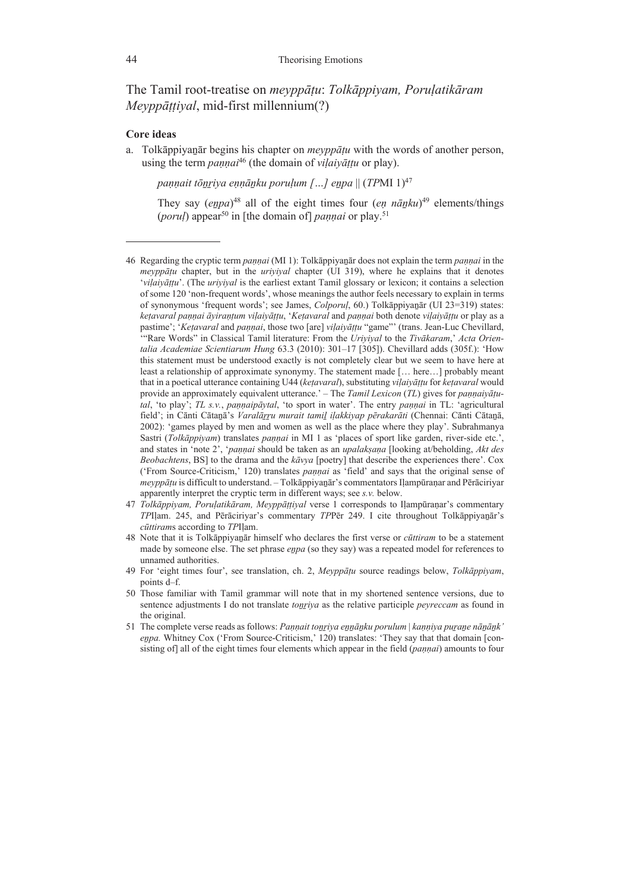The Tamil root-treatise on *meyppāṭu*: *Tolkāppiyam, Poruḷatikāram Meyppāṭṭiyal*, mid-first millennium(?)

### **Core ideas**

a. Tolkāppiyaṉār begins his chapter on *meyppāṭu* with the words of another person, using the term *pannai*<sup>46</sup> (the domain of *vilaivāttu* or play).

*paṇṇait tōṉṟiya eṇṇāṉku poruḷum […] eṉpa* || (*TP*MI 1)47

They say (*eṉpa*) 48 all of the eight times four (*eṇ nāṉku*) 49 elements/things (*porul*) appear<sup>50</sup> in [the domain of] *pannai* or play.<sup>51</sup>

- 47 *Tolkāppiyam, Poruḷatikāram, Meyppāṭṭiyal* verse 1 corresponds to Iḷampūraṇar's commentary *TP*Iḷam. 245, and Pērāciriyar's commentary *TP*Pēr 249. I cite throughout Tolkāppiyaṉār's *cūttiram*s according to *TP*Iḷam.
- 48 Note that it is Tolkāppiyaṉār himself who declares the first verse or *cūttiram* to be a statement made by someone else. The set phrase *eṉpa* (so they say) was a repeated model for references to unnamed authorities.
- 49 For 'eight times four', see translation, ch. 2, *Meyppāṭu* source readings below, *Tolkāppiyam*, points d–f.
- 50 Those familiar with Tamil grammar will note that in my shortened sentence versions, due to sentence adjustments I do not translate *toṉṟiya* as the relative participle *peyreccam* as found in the original.
- 51 The complete verse reads as follows: *Paṇṇait toṉṟiya eṉṉāṉku porulum* | *kaṇṇiya puṟaṉe nāṉāṉk' eṉpa.* Whitney Cox ('From Source-Criticism,' 120) translates: 'They say that that domain [consisting of] all of the eight times four elements which appear in the field (*paṇṇai*) amounts to four

<sup>46</sup> Regarding the cryptic term *paṇṇai* (MI 1): Tolkāppiyaṉār does not explain the term *paṇṇai* in the *meyppāṭu* chapter, but in the *uriyiyal* chapter (UI 319), where he explains that it denotes '*viḷaiyāṭṭu*'. (The *uriyiyal* is the earliest extant Tamil glossary or lexicon; it contains a selection of some 120 'non-frequent words', whose meanings the author feels necessary to explain in terms of synonymous 'frequent words'; see James, *Colporuḷ*, 60.) Tolkāppiyaṉār (UI 23=319) states: ketavaral pannai āvirantum vilaivāttu, 'Ketavaral and pannai both denote vilaivāttu or play as a pastime'; '*Keṭavaral* and *paṇṇai*, those two [are] *viḷaiyāṭṭu* "game"' (trans. Jean-Luc Chevillard, '"Rare Words" in Classical Tamil literature: From the *Uriyiyal* to the *Tivākaram*,' *Acta Orientalia Academiae Scientiarum Hung* 63.3 (2010): 301–17 [305]). Chevillard adds (305f.): 'How this statement must be understood exactly is not completely clear but we seem to have here at least a relationship of approximate synonymy. The statement made [… here…] probably meant that in a poetical utterance containing U44 (*keṭavaral*), substituting *viḷaiyāṭṭu* for *keṭavaral* would provide an approximately equivalent utterance.' – The *Tamil Lexicon* (*TL*) gives for *paṇṇaiyāṭutal*, 'to play'; *TL s.v.*, *paṇṇaipāytal*, 'to sport in water'. The entry *paṇṇai* in TL: 'agricultural field'; in Cānti Cātaṉā's *Varalāṟṟu murait tamiḻ iḷakkiyap pērakarāti* (Chennai: Cānti Cātaṉā, 2002): 'games played by men and women as well as the place where they play'. Subrahmanya Sastri (*Tolkāppiyam*) translates *paṇṇai* in MI 1 as 'places of sport like garden, river-side etc.', and states in 'note 2', '*paṇṇai* should be taken as an *upalakṣaṇa* [looking at/beholding, *Akt des Beobachtens*, BS] to the drama and the *kāvya* [poetry] that describe the experiences there'. Cox ('From Source-Criticism,' 120) translates *paṇṇai* as 'field' and says that the original sense of *meyppāṭu* is difficult to understand. – Tolkāppiyaṉār's commentators Iḷampūraṇar and Pērāciriyar apparently interpret the cryptic term in different ways; see *s.v.* below.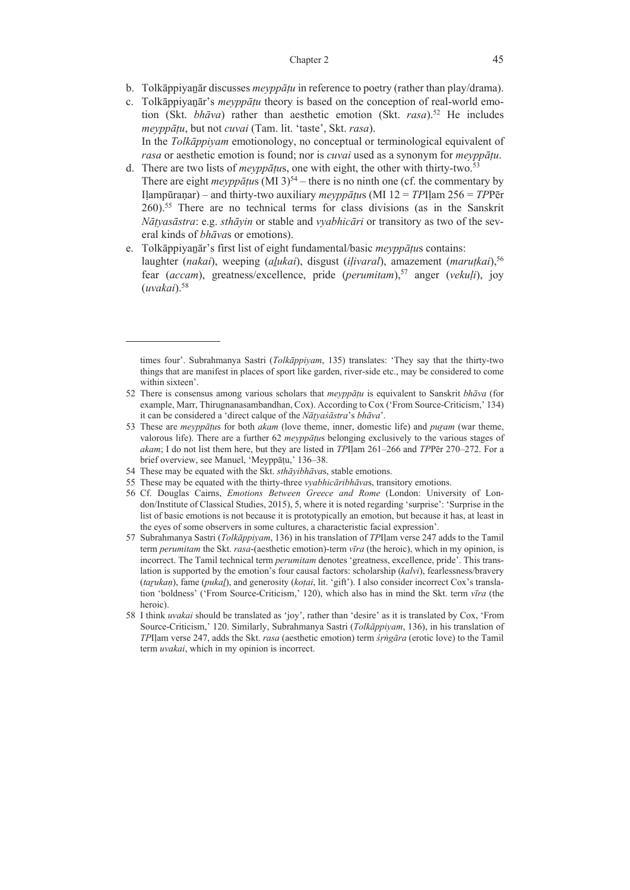- b. Tolkāppiyaṉār discusses *meyppāṭu* in reference to poetry (rather than play/drama).
- c. Tolkāppiyaṉār's *meyppāṭu* theory is based on the conception of real-world emotion (Skt. *bhāva*) rather than aesthetic emotion (Skt. *rasa*).52 He includes *meyppāṭu*, but not *cuvai* (Tam. lit. 'taste', Skt. *rasa*). In the *Tolkāppiyam* emotionology, no conceptual or terminological equivalent of *rasa* or aesthetic emotion is found; nor is *cuvai* used as a synonym for *meyppāṭu*.
- d. There are two lists of *meyppāṭu*s, one with eight, the other with thirty-two.53 There are eight *meyppātus* (MI 3)<sup>54</sup> – there is no ninth one (cf. the commentary by Iḷampūraṇar) ‒ and thirty-two auxiliary *meyppāṭu*s (MI 12 = *TP*Iḷam 256 = *TP*Pēr 260).55 There are no technical terms for class divisions (as in the Sanskrit *Nāṭyasāstra*: e.g. *sthāyin* or stable and *vyabhicāri* or transitory as two of the several kinds of *bhāva*s or emotions).
- e. Tolkāppiyaṉār's first list of eight fundamental/basic *meyppāṭu*s contains: laughter (*nakai*), weeping (*aḻukai*), disgust (*iḷivaral*), amazement (*maruṭkai*),56 fear (*accam*), greatness/excellence, pride (*perumitam*),57 anger (*vekuḷi*), joy (*uvakai*).58

- 54 These may be equated with the Skt. *sthāyibhāva*s, stable emotions.
- 55 These may be equated with the thirty-three *vyabhicāribhāva*s, transitory emotions.

- 57 Subrahmanya Sastri (*Tolkāppiyam*, 136) in his translation of *TP*Iḷam verse 247 adds to the Tamil term *perumitam* the Skt. *rasa*-(aesthetic emotion)-term *vīra* (the heroic), which in my opinion, is incorrect. The Tamil technical term *perumitam* denotes 'greatness, excellence, pride'. This translation is supported by the emotion's four causal factors: scholarship (*kalvi*), fearlessness/bravery (*taṟukaṇ*), fame (*pukaḻ*), and generosity (*koṭai*, lit. 'gift'). I also consider incorrect Cox's translation 'boldness' ('From Source-Criticism,' 120), which also has in mind the Skt. term *vīra* (the heroic).
- 58 I think *uvakai* should be translated as 'joy', rather than 'desire' as it is translated by Cox, 'From Source-Criticism,' 120. Similarly, Subrahmanya Sastri (*Tolkāppiyam*, 136), in his translation of *TP*Iḷam verse 247, adds the Skt. *rasa* (aesthetic emotion) term *śṛṅgāra* (erotic love) to the Tamil term *uvakai*, which in my opinion is incorrect.

times four'. Subrahmanya Sastri (*Tolkāppiyam*, 135) translates: 'They say that the thirty-two things that are manifest in places of sport like garden, river-side etc., may be considered to come within sixteen'.

<sup>52</sup> There is consensus among various scholars that *meyppāṭu* is equivalent to Sanskrit *bhāva* (for example, Marr, Thirugnanasambandhan, Cox). According to Cox ('From Source-Criticism,' 134) it can be considered a 'direct calque of the *Nāṭyaśāstra*'s *bhāva*'.

<sup>53</sup> These are *meyppāṭu*s for both *akam* (love theme, inner, domestic life) and *puṟam* (war theme, valorous life). There are a further 62 *meyppāṭu*s belonging exclusively to the various stages of *akam*; I do not list them here, but they are listed in *TP*Iḷam 261‒266 and *TP*Pēr 270‒272. For a brief overview, see Manuel, 'Meyppāṭu,' 136‒38.

<sup>56</sup> Cf. Douglas Cairns, *Emotions Between Greece and Rome* (London: University of London/Institute of Classical Studies, 2015), 5, where it is noted regarding 'surprise': 'Surprise in the list of basic emotions is not because it is prototypically an emotion, but because it has, at least in the eyes of some observers in some cultures, a characteristic facial expression'.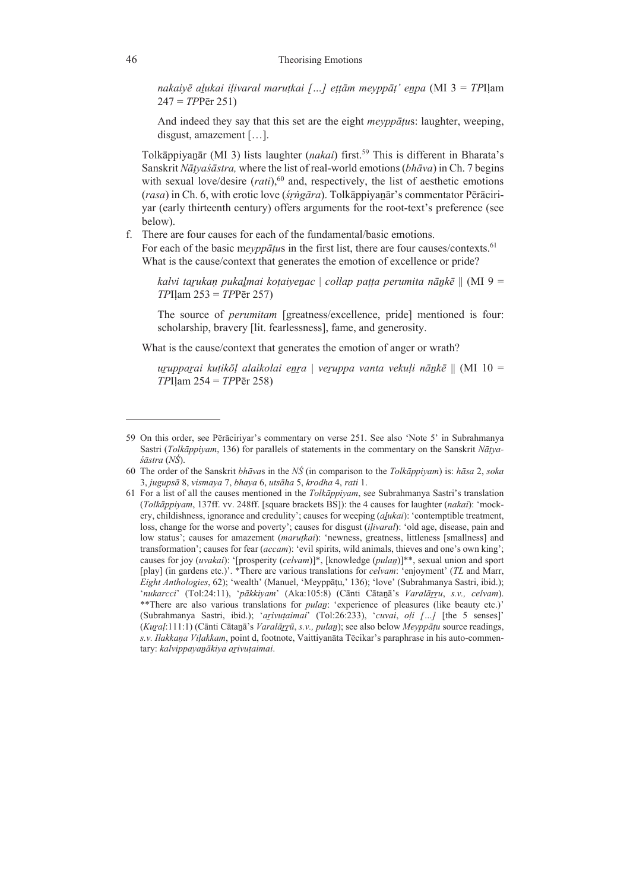*nakaiyē aḻukai iḷivaral maruṭkai […] eṭṭām meyppāṭ' eṉpa* (MI 3 = *TP*Iḷam 247 = *TP*Pēr 251)

And indeed they say that this set are the eight *meyppāṭu*s: laughter, weeping, disgust, amazement […].

Tolkāppiyanār (MI 3) lists laughter *(nakai)* first.<sup>59</sup> This is different in Bharata's Sanskrit *Nāṭyaśāstra,* where the list of real-world emotions (*bhāva*) in Ch. 7 begins with sexual love/desire  $(rati)$ ,<sup>60</sup> and, respectively, the list of aesthetic emotions (*rasa*) in Ch. 6, with erotic love (*śṛṅgāra*). Tolkāppiyaṉār's commentator Pērāciriyar (early thirteenth century) offers arguments for the root-text's preference (see below).

f. There are four causes for each of the fundamental/basic emotions.

For each of the basic meyppatus in the first list, there are four causes/contexts.<sup>61</sup> What is the cause/context that generates the emotion of excellence or pride?

*kalvi taṟukaṇ pukaḻmai koṭaiyeṉac* | *collap paṭṭa perumita nāṉkē* || (MI 9 = *TP*Iḷam 253 = *TP*Pēr 257)

The source of *perumitam* [greatness/excellence, pride] mentioned is four: scholarship, bravery [lit. fearlessness], fame, and generosity.

What is the cause/context that generates the emotion of anger or wrath?

*uṟuppaṟai kuṭikōḷ alaikolai eṉṟa* | *veṟuppa vanta vekuḷi nāṉkē* || (MI 10 = *TP*Iḷam 254 = *TP*Pēr 258)

<sup>59</sup> On this order, see Pērāciriyar's commentary on verse 251. See also 'Note 5' in Subrahmanya Sastri (*Tolkāppiyam*, 136) for parallels of statements in the commentary on the Sanskrit *Nāṭyaśāstra* (*NŚ*).

<sup>60</sup> The order of the Sanskrit *bhāva*s in the *NŚ* (in comparison to the *Tolkāppiyam*) is: *hāsa* 2, *soka* 3, *jugupsā* 8, *vismaya* 7, *bhaya* 6, *utsāha* 5, *krodha* 4, *rati* 1.

<sup>61</sup> For a list of all the causes mentioned in the *Tolkāppiyam*, see Subrahmanya Sastri's translation (*Tolkāppiyam*, 137ff. vv. 248ff. [square brackets BS]): the 4 causes for laughter (*nakai*): 'mockery, childishness, ignorance and credulity'; causes for weeping (*aḻukai*): 'contemptible treatment, loss, change for the worse and poverty'; causes for disgust (*iḷivaral*): 'old age, disease, pain and low status'; causes for amazement *(marutkai*): 'newness, greatness, littleness [smallness] and transformation'; causes for fear (*accam*): 'evil spirits, wild animals, thieves and one's own king'; causes for joy (*uvakai*): '[prosperity (*celvam*)]\*, [knowledge (*pulaṉ*)]\*\*, sexual union and sport [play] (in gardens etc.)'. \*There are various translations for *celvam*: 'enjoyment' (*TL* and Marr, *Eight Anthologies*, 62); 'wealth' (Manuel, 'Meyppāṭu,' 136); 'love' (Subrahmanya Sastri, ibid.); '*nukarcci*' (Tol:24:11), '*pākkiyam*' (Aka:105:8) (Cānti Cātaṉā's *Varalāṟṟu*, *s.v., celvam*). \*\*There are also various translations for *pulaṉ*: 'experience of pleasures (like beauty etc.)' (Subrahmanya Sastri, ibid.); '*aṟivuṭaimai*' (Tol:26:233), '*cuvai*, *oḷi […]* [the 5 senses]' (*Kuṟaḷ*:111:1) (Cānti Cātaṉā's *Varalāṟṟū*, *s.v., pulaṉ*); see also below *Meyppāṭu* source readings, *s.v. Ilakkaṇa Viḷakkam*, point d, footnote, Vaittiyanāta Tēcikar's paraphrase in his auto-commentary: *kalvippayaṉākiya aṟivuṭaimai*.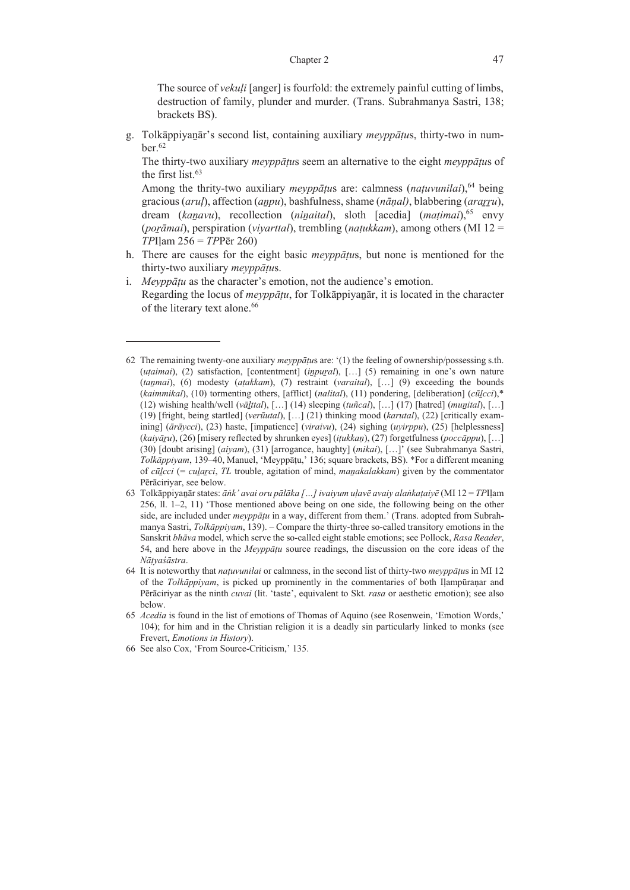The source of *vekuḷi* [anger] is fourfold: the extremely painful cutting of limbs, destruction of family, plunder and murder. (Trans. Subrahmanya Sastri, 138; brackets BS).

g. Tolkāppiyaṉār's second list, containing auxiliary *meyppāṭu*s, thirty-two in num $ber.<sup>62</sup>$ 

 The thirty-two auxiliary *meyppāṭu*s seem an alternative to the eight *meyppāṭu*s of the first list.63

 Among the thrity-two auxiliary *meyppāṭu*s are: calmness (*naṭuvunilai*),64 being gracious (*aruḷ*), affection (*aṉpu*), bashfulness, shame (*nāṇal)*, blabbering (*araṟṟu*), dream (*kaṉavu*), recollection (*niṉaital*), sloth [acedia] (*maṭimai*),65 envy (*poṟāmai*), perspiration (*viyarttal*), trembling (*naṭukkam*), among others (MI 12 = *TP*Iḷam 256 = *TP*Pēr 260)

- h. There are causes for the eight basic *meyppāṭu*s, but none is mentioned for the thirty-two auxiliary *meyppāṭu*s.
- i. *Meyppāṭu* as the character's emotion, not the audience's emotion. Regarding the locus of *meyppāṭu*, for Tolkāppiyaṉār, it is located in the character of the literary text alone.<sup>66</sup>

<sup>62</sup> The remaining twenty-one auxiliary *meyppāṭu*s are: '(1) the feeling of ownership/possessing s.th. (*uṭaimai*), (2) satisfaction, [contentment] (*iṉpuṟal*), […] (5) remaining in one's own nature (*taṉmai*), (6) modesty (*aṭakkam*), (7) restraint (*varaital*), […] (9) exceeding the bounds (*kaimmikal*), (10) tormenting others, [afflict] (*nalital*), (11) pondering, [deliberation] (*cūḻcci*),\* (12) wishing health/well ( $v\bar{a}$ *lttal*), [...] (14) sleeping ( $t\bar{a}$ *ital*), [...] (17) [hatred] (*munital*), [...] (19) [fright, being startled] (*verūutal*), […] (21) thinking mood (*karutal*), (22) [critically examining] (*ārāycci*), (23) haste, [impatience] (*viraivu*), (24) sighing (*uyirppu*), (25) [helplessness] (*kaiyāṟu*), (26) [misery reflected by shrunken eyes] (*iṭukkaṇ*), (27) forgetfulness (*poccāppu*), […] (30) [doubt arising] (*aiyam*), (31) [arrogance, haughty] (*mikai*), […]' (see Subrahmanya Sastri, *Tolkāppiyam*, 139‒40, Manuel, 'Meyppāṭu,' 136; square brackets, BS). \*For a different meaning of *cūḻcci* (= *cuḻaṟci*, *TL* trouble, agitation of mind, *maṉakalakkam*) given by the commentator Pērāciriyar, see below.

<sup>63</sup> Tolkāppiyaṉār states: *āṅk' avai oru pālāka […] ivaiyum uḷavē avaiy alaṅkaṭaiyē* (MI 12 = *TP*Iḷam 256, ll.  $1-2$ ,  $11$ ) 'Those mentioned above being on one side, the following being on the other side, are included under *meyppāṭu* in a way, different from them.' (Trans. adopted from Subrahmanya Sastri, *Tolkāppiyam*, 139). ‒ Compare the thirty-three so-called transitory emotions in the Sanskrit *bhāva* model, which serve the so-called eight stable emotions; see Pollock, *Rasa Reader*, 54, and here above in the *Meyppāṭu* source readings, the discussion on the core ideas of the *Nāṭyaśāstra*.

<sup>64</sup> It is noteworthy that *naṭuvunilai* or calmness, in the second list of thirty-two *meyppāṭu*s in MI 12 of the *Tolkāppiyam*, is picked up prominently in the commentaries of both Iḷampūraṇar and Pērāciriyar as the ninth *cuvai* (lit. 'taste', equivalent to Skt. *rasa* or aesthetic emotion); see also below.

<sup>65</sup> *Acedia* is found in the list of emotions of Thomas of Aquino (see Rosenwein, 'Emotion Words,' 104); for him and in the Christian religion it is a deadly sin particularly linked to monks (see Frevert, *Emotions in History*).

<sup>66</sup> See also Cox, 'From Source-Criticism,' 135.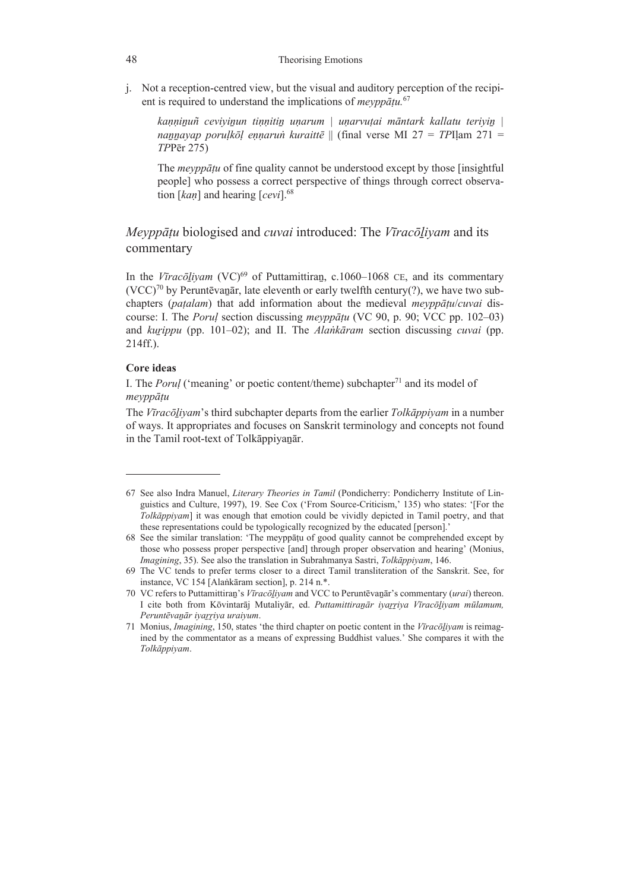j. Not a reception-centred view, but the visual and auditory perception of the recipient is required to understand the implications of *meyppāṭu.*<sup>67</sup>

*kaṇṇiṉuñ ceviyiṉun tiṇṇitiṉ uṇarum | uṇarvuṭai māntark kallatu teriyiṉ | naṉṉayap poruḷkōḷ eṇṇaruṅ kuraittē* || (final verse MI 27 = *TP*Iḷam 271 = *TP*Pēr 275)

The *meyppāṭu* of fine quality cannot be understood except by those [insightful people] who possess a correct perspective of things through correct observation [*kaṇ*] and hearing [*cevi*].68

# *Meyppāṭu* biologised and *cuvai* introduced: The *Vīracōḻiyam* and its commentary

In the *V* $\bar{v}$ *rac* $\bar{o}$ *liyam* (VC)<sup>69</sup> of Puttamittiran, c.1060–1068 CE, and its commentary  $(VCC)^{70}$  by Peruntēvanār, late eleventh or early twelfth century(?), we have two subchapters (*paṭalam*) that add information about the medieval *meyppāṭu*/*cuvai* discourse: I. The *Poruḷ* section discussing *meyppāṭu* (VC 90, p. 90; VCC pp. 102‒03) and *kurippu* (pp. 101–02); and II. The *Alankaram* section discussing *cuvai* (pp. 214ff.).

## **Core ideas**

I. The *Porul* ('meaning' or poetic content/theme) subchapter<sup>71</sup> and its model of *meyppāṭu* 

The *Vīracōḻiyam*'s third subchapter departs from the earlier *Tolkāppiyam* in a number of ways. It appropriates and focuses on Sanskrit terminology and concepts not found in the Tamil root-text of Tolkāppiyanār.

<sup>67</sup> See also Indra Manuel, *Literary Theories in Tamil* (Pondicherry: Pondicherry Institute of Linguistics and Culture, 1997), 19. See Cox ('From Source-Criticism,' 135) who states: '[For the *Tolkāppiyam*] it was enough that emotion could be vividly depicted in Tamil poetry, and that these representations could be typologically recognized by the educated [person].'

<sup>68</sup> See the similar translation: 'The meyppāṭu of good quality cannot be comprehended except by those who possess proper perspective [and] through proper observation and hearing' (Monius, *Imagining*, 35). See also the translation in Subrahmanya Sastri, *Tolkāppiyam*, 146.

<sup>69</sup> The VC tends to prefer terms closer to a direct Tamil transliteration of the Sanskrit. See, for instance, VC 154 [Alaṅkāram section], p. 214 n.\*.

<sup>70</sup> VC refers to Puttamittiraṉ's *Vīracōḻiyam* and VCC to Peruntēvaṉār's commentary (*urai*) thereon. I cite both from Kōvintarāj Mutaliyār, ed. *Puttamittiraṉār iyaṟṟiya Vīracōḻiyam mūlamum, Peruntēvaṉār iyaṟṟiya uraiyum*.

<sup>71</sup> Monius, *Imagining*, 150, states 'the third chapter on poetic content in the *Vīracōḻiyam* is reimagined by the commentator as a means of expressing Buddhist values.' She compares it with the *Tolkāppiyam*.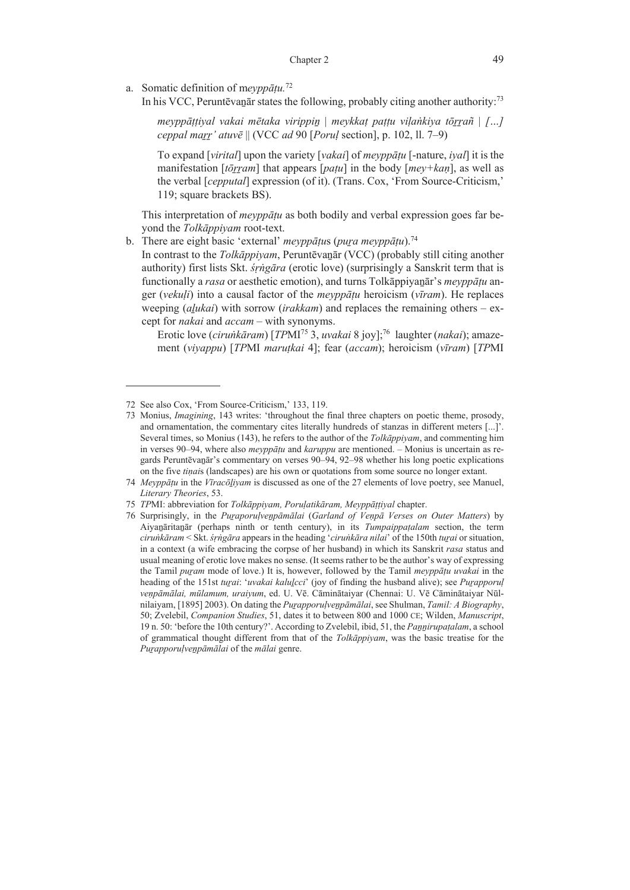### Chapter 2 49

a. Somatic definition of m*eyppāṭu.*<sup>72</sup>

In his VCC, Peruntēvanār states the following, probably citing another authority:<sup>73</sup>

*meyppāṭṭiyal vakai mētaka virippiṉ* | *meykkaṭ paṭṭu viḷaṅkiya tōṟṟañ* | *[…] ceppal maṟṟ' atuvē* || (VCC *ad* 90 [*Poruḷ* section], p. 102, ll. 7‒9)

To expand [*virital*] upon the variety [*vakai*] of *meyppāṭu* [-nature, *iyal*] it is the manifestation [*tōrram*] that appears [*patu*] in the body [*mey+kan*], as well as the verbal [*cepputal*] expression (of it). (Trans. Cox, 'From Source-Criticism,' 119; square brackets BS).

 This interpretation of *meyppāṭu* as both bodily and verbal expression goes far beyond the *Tolkāppiyam* root-text.

b. There are eight basic 'external' *meyppāṭu*s (*puṟa meyppāṭu*).74 In contrast to the *Tolkāppiyam*, Peruntēvaṉār (VCC) (probably still citing another authority) first lists Skt. *śṛṅgāra* (erotic love) (surprisingly a Sanskrit term that is functionally a *rasa* or aesthetic emotion), and turns Tolkāppiyaṉār's *meyppāṭu* anger (*vekuḷi*) into a causal factor of the *meyppāṭu* heroicism (*vīram*). He replaces weeping *(alukai)* with sorrow *(irakkam)* and replaces the remaining others – except for *nakai* and *accam* – with synonyms.

Erotic love (*ciruṅkāram*) [*TP*MI75 3, *uvakai* 8 joy];76 laughter (*nakai*); amazement (*viyappu*) [*TP*MI *maruṭkai* 4]; fear (*accam*); heroicism (*vīram*) [*TP*MI

<sup>72</sup> See also Cox, 'From Source-Criticism,' 133, 119.

<sup>73</sup> Monius, *Imagining*, 143 writes: 'throughout the final three chapters on poetic theme, prosody, and ornamentation, the commentary cites literally hundreds of stanzas in different meters [...]'. Several times, so Monius (143), he refers to the author of the *Tolkāppiyam*, and commenting him in verses 90–94, where also *meyppātu* and *karuppu* are mentioned. – Monius is uncertain as regards Peruntēvaṉār's commentary on verses 90‒94, 92‒98 whether his long poetic explications on the five *tiṇai*s (landscapes) are his own or quotations from some source no longer extant.

<sup>74</sup> *Meyppāṭu* in the *Vīracōḻiyam* is discussed as one of the 27 elements of love poetry, see Manuel, *Literary Theories*, 53.

<sup>75</sup> *TP*MI: abbreviation for *Tolkāppiyam, Poruḷatikāram, Meyppāṭṭiyal* chapter.

<sup>76</sup> Surprisingly, in the *Puṟaporuḷveṉpāmālai* (*Garland of Veṇpā Verses on Outer Matters*) by Aiyaṉāritaṉār (perhaps ninth or tenth century), in its *Tumpaippaṭalam* section, the term *ciruṅkāram* < Skt. *śṛṅgāra* appears in the heading '*ciruṅkāra nilai*' of the 150th *tuṟai* or situation, in a context (a wife embracing the corpse of her husband) in which its Sanskrit *rasa* status and usual meaning of erotic love makes no sense. (It seems rather to be the author's way of expressing the Tamil *puṟam* mode of love.) It is, however, followed by the Tamil *meyppāṭu uvakai* in the heading of the 151st *turai: 'uvakai kalulcci'* (joy of finding the husband alive); see *Purapporul veṇpāmālai, mūlamum, uraiyum*, ed. U. Vē. Cāminātaiyar (Chennai: U. Vē Cāminātaiyar Nūlnilaiyam, [1895] 2003). On dating the *Puṟapporuḷveṉpāmālai*, see Shulman, *Tamil: A Biography*, 50; Zvelebil, *Companion Studies*, 51, dates it to between 800 and 1000 CE; Wilden, *Manuscript*, 19 n. 50: 'before the 10th century?'. According to Zvelebil, ibid, 51, the *Paṉṉirupaṭalam*, a school of grammatical thought different from that of the *Tolkāppiyam*, was the basic treatise for the *Puṟapporuḷveṉpāmālai* of the *mālai* genre.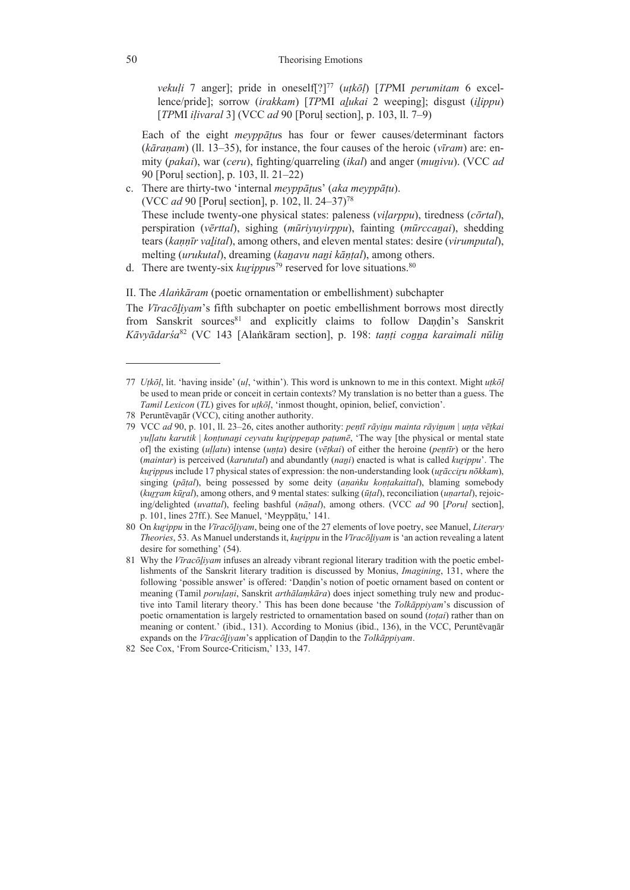*vekuli* 7 anger]; pride in oneself<sup>[?]<sup>77</sup> (*utkōl*) [*TPMI perumitam* 6 excel-</sup> lence/pride]; sorrow (*irakkam*) [*TP*MI *aḻukai* 2 weeping]; disgust (*iḻippu*) [*TP*MI *iḷivaral* 3] (VCC *ad* 90 [Poruḷ section], p. 103, ll. 7‒9)

 Each of the eight *meyppāṭu*s has four or fewer causes/determinant factors (*kāraṇam*) (ll. 13‒35), for instance, the four causes of the heroic (*vīram*) are: enmity (*pakai*), war (*ceru*), fighting/quarreling (*ikal*) and anger (*muṉivu*). (VCC *ad* 90 [Poruḷ section], p. 103, ll. 21‒22)

- c. There are thirty-two 'internal *meyppāṭu*s' (*aka meyppāṭu*). (VCC *ad* 90 [Poruḷ section], p. 102, ll. 24‒37)78 These include twenty-one physical states: paleness (*viḷarppu*), tiredness (*cōrtal*), perspiration (*vērttal*), sighing (*mūriyuyirppu*), fainting (*mūrccaṉai*), shedding tears (*kaṇṇīr vaḻital*), among others, and eleven mental states: desire (*virumputal*), melting (*urukutal*), dreaming (*kaṉavu naṉi kāṇṭal*), among others.
- d. There are twenty-six *kurippus*<sup>79</sup> reserved for love situations.<sup>80</sup>

II. The *Alaṅkāram* (poetic ornamentation or embellishment) subchapter

The *Vīracōḻiyam*'s fifth subchapter on poetic embellishment borrows most directly from Sanskrit sources<sup>81</sup> and explicitly claims to follow Dandin's Sanskrit *Kāvyādarśa*<sup>82</sup> (VC 143 [Alaṅkāram section], p. 198: *taṇṭi coṉṉa karaimali nūliṉ*

<sup>77</sup> *Uṭkōḷ*, lit. 'having inside' (*uḷ*, 'within'). This word is unknown to me in this context. Might *uṭkōḷ* be used to mean pride or conceit in certain contexts? My translation is no better than a guess. The *Tamil Lexicon* (*TL*) gives for *uṭkōḷ*, 'inmost thought, opinion, belief, conviction'.

<sup>78</sup> Peruntēvaṉār (VCC), citing another authority.

<sup>79</sup> VCC ad 90, p. 101, ll. 23–26, cites another authority: pentī rāyinu mainta rāyinum | unta vētkai *yuḷḷatu karutik* | *koṇṭunaṉi ceyvatu kuṟippeṉap paṭumē*, 'The way [the physical or mental state of] the existing (*uḷḷatu*) intense (*uṇṭa*) desire (*vēṭkai*) of either the heroine (*peṇtīr*) or the hero (*maintar*) is perceived (*karututal*) and abundantly (*naṉi*) enacted is what is called *kuṟippu*'. The *kuṟippu*s include 17 physical states of expression: the non-understanding look (*uṟācciṟu nōkkam*), singing (*pāṭal*), being possessed by some deity (*aṇaṅku koṇṭakaittal*), blaming somebody (*kuṟṟam kūṟal*), among others, and 9 mental states: sulking (*ūṭal*), reconciliation (*uṇartal*), rejoicing/delighted (*uvattal*), feeling bashful (*nāṇal*), among others. (VCC *ad* 90 [*Poruḷ* section], p. 101, lines 27ff.). See Manuel, 'Meyppāṭu,' 141.

<sup>80</sup> On *kuṟippu* in the *Vīracōḻiyam*, being one of the 27 elements of love poetry, see Manuel, *Literary Theories*, 53. As Manuel understands it, *kuṟippu* in the *Vīracōḻiyam* is 'an action revealing a latent desire for something' (54).

<sup>81</sup> Why the *Vīracōḻiyam* infuses an already vibrant regional literary tradition with the poetic embellishments of the Sanskrit literary tradition is discussed by Monius, *Imagining*, 131, where the following 'possible answer' is offered: 'Dandin's notion of poetic ornament based on content or meaning (Tamil *poruḷaṇi*, Sanskrit *arthālaṃkāra*) does inject something truly new and productive into Tamil literary theory.' This has been done because 'the *Tolkāppiyam*'s discussion of poetic ornamentation is largely restricted to ornamentation based on sound (*toṭai*) rather than on meaning or content.' (ibid., 131). According to Monius (ibid., 136), in the VCC, Peruntēvaṉār expands on the *Vīracōḻiyam*'s application of Daṇḍin to the *Tolkāppiyam*.

<sup>82</sup> See Cox, 'From Source-Criticism,' 133, 147.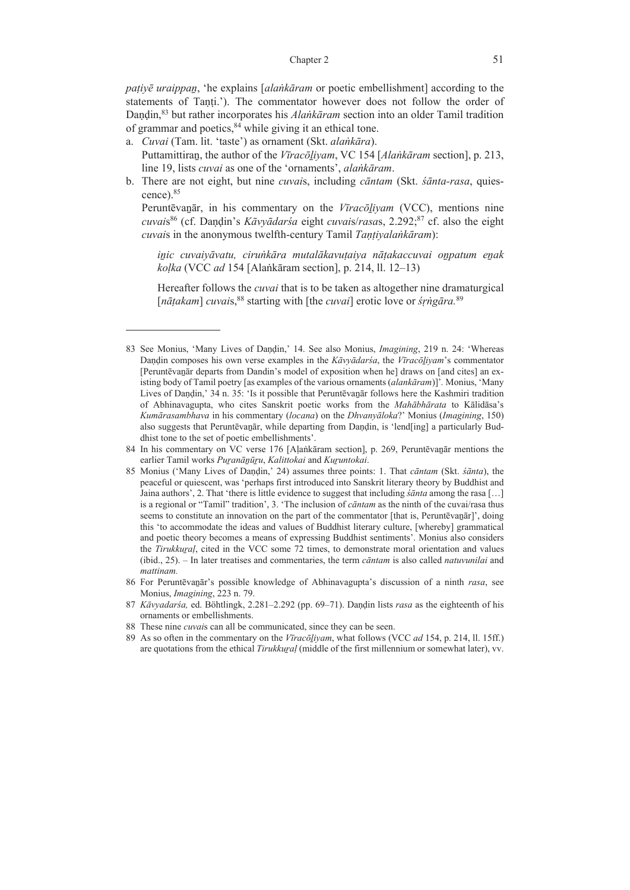#### Chapter 2 51

*paṭiyē uraippaṉ*, 'he explains [*alaṅkāram* or poetic embellishment] according to the statements of Tanti.'). The commentator however does not follow the order of Daṇḍin,83 but rather incorporates his *Alaṅkāram* section into an older Tamil tradition of grammar and poetics, $84$  while giving it an ethical tone.

- a. *Cuvai* (Tam. lit. 'taste') as ornament (Skt. *alaṅkāra*). Puttamittiraṉ, the author of the *Vīracōḻiyam*, VC 154 [*Alaṅkāram* section], p. 213, line 19, lists *cuvai* as one of the 'ornaments', *alaṅkāram*.
- b. There are not eight, but nine *cuvai*s, including *cāntam* (Skt. *śānta-rasa*, quiescence).85

 Peruntēvaṉār, in his commentary on the *Vīracōḻiyam* (VCC), mentions nine *cuvai*s86 (cf. Daṇḍin's *Kāvyādarśa* eight *cuvai*s/*rasa*s, 2.292;87 cf. also the eight *cuvai*s in the anonymous twelfth-century Tamil *Taṇṭiyalaṅkāram*):

*iṉic cuvaiyāvatu, ciruṅkāra mutalākavuṭaiya nāṭakaccuvai oṉpatum eṉak koḷka* (VCC *ad* 154 [Alaṅkāram section], p. 214, ll. 12‒13)

Hereafter follows the *cuvai* that is to be taken as altogether nine dramaturgical [*nāṭakam*] *cuvai*s,88 starting with [the *cuvai*] erotic love or *śṛṅgāra.*<sup>89</sup>

<sup>83</sup> See Monius, 'Many Lives of Daṇḍin,' 14. See also Monius, *Imagining*, 219 n. 24: 'Whereas Daṇḍin composes his own verse examples in the *Kāvyādarśa*, the *Vīracōḻiyam*'s commentator [Peruntēvaṉār departs from Dandin's model of exposition when he] draws on [and cites] an existing body of Tamil poetry [as examples of the various ornaments (*alankāram*)]'*.* Monius, 'Many Lives of Dandin,' 34 n. 35: 'Is it possible that Peruntevanar follows here the Kashmiri tradition of Abhinavagupta, who cites Sanskrit poetic works from the *Mahābhārata* to Kālidāsa's *Kumārasambhava* in his commentary (*locana*) on the *Dhvanyāloka*?' Monius (*Imagining*, 150) also suggests that Peruntēvaṉār, while departing from Daṇḍin, is 'lend[ing] a particularly Buddhist tone to the set of poetic embellishments'.

<sup>84</sup> In his commentary on VC verse 176 [Aḷaṅkāram section], p. 269, Peruntēvaṉār mentions the earlier Tamil works *Puṟanāṉūṟu*, *Kalittokai* and *Kuṟuntokai*.

<sup>85</sup> Monius ('Many Lives of Daṇḍin,' 24) assumes three points: 1. That *cāntam* (Skt. *śānta*), the peaceful or quiescent, was 'perhaps first introduced into Sanskrit literary theory by Buddhist and Jaina authors', 2. That 'there is little evidence to suggest that including *śānta* among the rasa […] is a regional or "Tamil" tradition', 3. 'The inclusion of *cāntam* as the ninth of the cuvai/rasa thus seems to constitute an innovation on the part of the commentator [that is, Peruntēvanār]', doing this 'to accommodate the ideas and values of Buddhist literary culture, [whereby] grammatical and poetic theory becomes a means of expressing Buddhist sentiments'. Monius also considers the *Tirukkuṟaḷ*, cited in the VCC some 72 times, to demonstrate moral orientation and values (ibid., 25). – In later treatises and commentaries, the term *cāntam* is also called *natuvunilai* and *mattinam.*

<sup>86</sup> For Peruntēvaṉār's possible knowledge of Abhinavagupta's discussion of a ninth *rasa*, see Monius, *Imagining*, 223 n. 79.

<sup>87</sup> *Kāvyadarśa,* ed. Böhtlingk, 2.281‒2.292 (pp. 69‒71). Daṇḍin lists *rasa* as the eighteenth of his ornaments or embellishments.

<sup>88</sup> These nine *cuvai*s can all be communicated, since they can be seen.

<sup>89</sup> As so often in the commentary on the *Vīracōḻiyam*, what follows (VCC *ad* 154, p. 214, ll. 15ff.) are quotations from the ethical *Tirukkural* (middle of the first millennium or somewhat later), vv.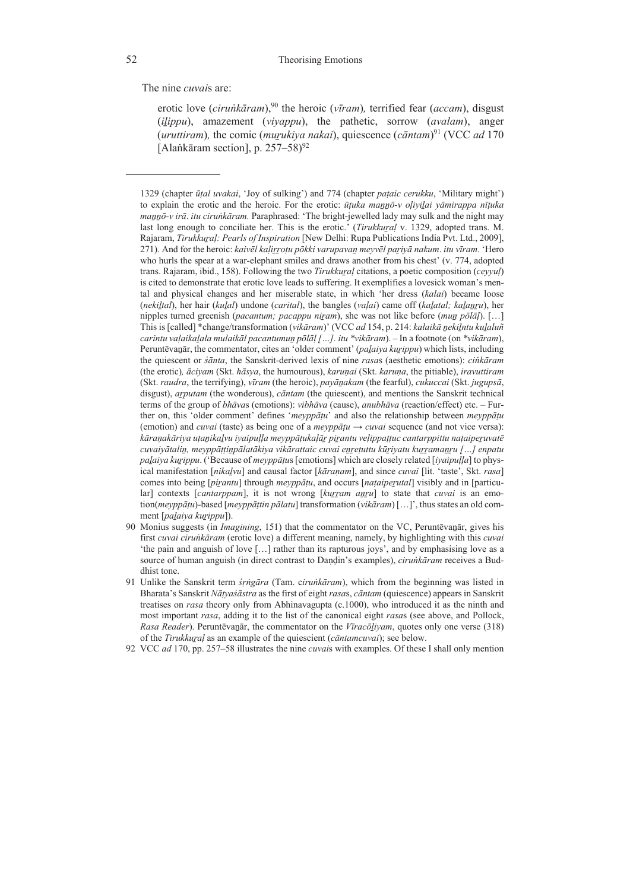The nine *cuvai*s are:

erotic love (*ciruṅkāram*),90 the heroic (*vīram*)*,* terrified fear (*accam*), disgust (*iḻippu*), amazement (*viyappu*), the pathetic, sorrow (*avalam*), anger (*uruttiram*)*,* the comic (*muṟukiya nakai*), quiescence (*cāntam*) <sup>91</sup> (VCC *ad* 170 [Alaṅkāram section], p.  $257-58$ <sup>92</sup>

- 90 Monius suggests (in *Imagining*, 151) that the commentator on the VC, Peruntēvaṉār, gives his first *cuvai ciruṅkāram* (erotic love) a different meaning, namely, by highlighting with this *cuvai* 'the pain and anguish of love […] rather than its rapturous joys', and by emphasising love as a source of human anguish (in direct contrast to Daṇḍin's examples), *ciruṅkāram* receives a Buddhist tone.
- 91 Unlike the Sanskrit term *śṛṅgāra* (Tam. c*iruṅkāram*), which from the beginning was listed in Bharata's Sanskrit *Nāṭyaśāstra* as the first of eight *rasa*s, *cāntam* (quiescence) appears in Sanskrit treatises on *rasa* theory only from Abhinavagupta (c.1000), who introduced it as the ninth and most important *rasa*, adding it to the list of the canonical eight *rasa*s (see above, and Pollock, *Rasa Reader*). Peruntēvaṉār, the commentator on the *Vīracōḻiyam*, quotes only one verse (318) of the *Tirukkuṟaḷ* as an example of the quiescient (*cāntamcuvai*); see below.
- 92 VCC *ad* 170, pp. 257‒58 illustrates the nine *cuvai*s with examples. Of these I shall only mention

<sup>1329 (</sup>chapter *ūṭal uvakai*, 'Joy of sulking') and 774 (chapter *paṭaic cerukku*, 'Military might') to explain the erotic and the heroic. For the erotic: *ūṭuka maṉṉō-v oḷiyiḻai yāmirappa nīṭuka maṉṉō-v irā*. *itu ciruṅkāram.* Paraphrased: 'The bright-jewelled lady may sulk and the night may last long enough to conciliate her. This is the erotic.' (*Tirukkuṟaḷ* v. 1329, adopted trans. M. Rajaram, *Tirukkural: Pearls of Inspiration* [New Delhi: Rupa Publications India Pvt. Ltd., 2009], 271). And for the heroic: kaivel kalirrotu pokki varupavan meyvel pariya nakum. itu vīram. 'Hero who hurls the spear at a war-elephant smiles and draws another from his chest' (v. 774, adopted trans. Rajaram, ibid., 158). Following the two *Tirukkural* citations, a poetic composition (*ceyyul*) is cited to demonstrate that erotic love leads to suffering. It exemplifies a lovesick woman's mental and physical changes and her miserable state, in which 'her dress (*kalai*) became loose (*nekiḻtal*), her hair (*kuḻal*) undone (*carital*), the bangles (*vaḷai*) came off (*kaḻatal; kaḻaṉṟu*), her nipples turned greenish (*pacantum; pacappu niṟam*), she was not like before (*muṉ pōlāḷ*). […] This is [called] \*change/transformation (*vikāram*)' (VCC *ad* 154, p. 214: *kalaikā ṉekiḻntu kuḻaluñ carintu vaḷaikaḻala mulaikāl pacantumuṉ pōlāḷ […]. itu \*vikāram*). – In a footnote (on *\*vikāram*), Peruntēvaṉār, the commentator, cites an 'older comment' (*paḻaiya kuṟippu*) which lists, including the quiescent or *śānta*, the Sanskrit-derived lexis of nine *rasa*s (aesthetic emotions): *ciṅkāram*  (the erotic)*, āciyam* (Skt. *hāsya*, the humourous), *karuṇai* (Skt. *karuṇa*, the pitiable), *iravuttiram* (Skt. *raudra*, the terrifying), *vīram* (the heroic), *payāṉakam* (the fearful), *cukuccai* (Skt. *jugupsā*, disgust), *aṟputam* (the wonderous), *cāntam* (the quiescent), and mentions the Sanskrit technical terms of the group of *bhāva*s (emotions): *vibhāva* (cause), *anubhāva* (reaction/effect) etc. – Further on, this 'older comment' defines '*meyppāṭu*' and also the relationship between *meyppāṭu* (emotion) and *cuvai* (taste) as being one of a *meyppatu*  $\rightarrow$  *cuvai* sequence (and not vice versa): kāranakāriya utanikalvu iyaipulla meyppātukalār pirantu velippattuc cantarppittu nataiperuvatē cuvaiyātalin, meyppāțținpālatākiya vikārattaic cuvai enrețuttu kūriyatu kurramanru [...] enpatu *paḻaiya kuṟippu*. ('Because of *meyppāṭu*s [emotions] which are closely related [*iyaipuḷḷa*] to physical manifestation [*nikaḻvu*] and causal factor [*kāraṇam*], and since *cuvai* [lit. 'taste', Skt. *rasa*] comes into being [*piṟantu*] through *meyppāṭu*, and occurs [*naṭaipeṟutal*] visibly and in [particular] contexts [*cantarppam*], it is not wrong [*kuṟṟam aṉṟu*] to state that *cuvai* is an emotion(*meyppāṭu*)-based [*meyppāṭtin pālatu*] transformation (*vikāram*) […]', thus states an old comment [*paḻaiya kuṟippu*]).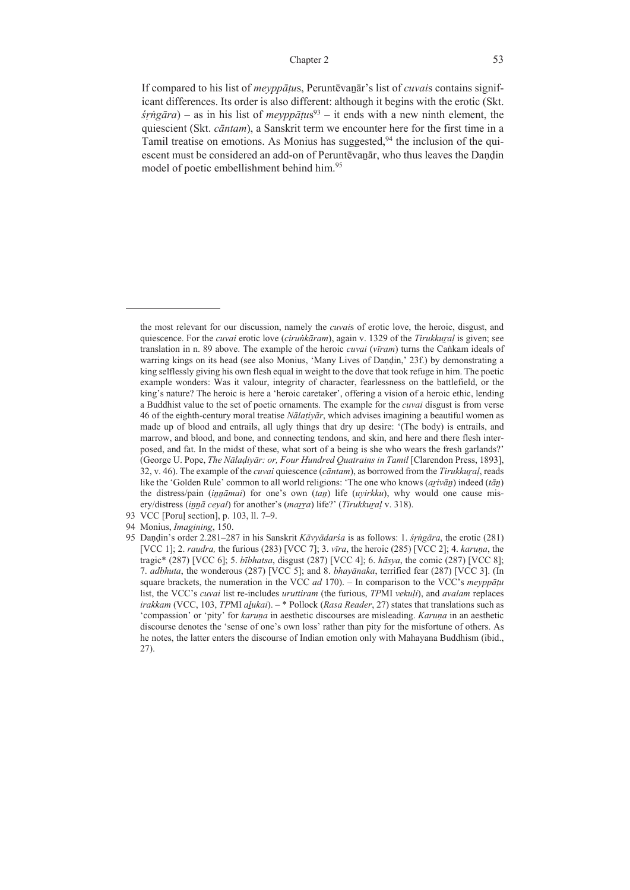If compared to his list of *meyppāṭu*s, Peruntēvaṉār's list of *cuvai*s contains significant differences. Its order is also different: although it begins with the erotic (Skt.  $\frac{\sin \pi a}{a}$  – as in his list of *meyppatus*<sup>93</sup> – it ends with a new ninth element, the quiescient (Skt. *cāntam*), a Sanskrit term we encounter here for the first time in a Tamil treatise on emotions. As Monius has suggested,<sup>94</sup> the inclusion of the quiescent must be considered an add-on of Peruntēvanār, who thus leaves the Dandin model of poetic embellishment behind him.95

the most relevant for our discussion, namely the *cuvai*s of erotic love, the heroic, disgust, and quiescence. For the *cuvai* erotic love (*ciruṅkāram*), again v. 1329 of the *Tirukkuṟaḷ* is given; see translation in n. 89 above. The example of the heroic *cuvai* (*vīram*) turns the Caṅkam ideals of warring kings on its head (see also Monius, 'Many Lives of Daṇḍin,' 23f.) by demonstrating a king selflessly giving his own flesh equal in weight to the dove that took refuge in him. The poetic example wonders: Was it valour, integrity of character, fearlessness on the battlefield, or the king's nature? The heroic is here a 'heroic caretaker', offering a vision of a heroic ethic, lending a Buddhist value to the set of poetic ornaments. The example for the *cuvai* disgust is from verse 46 of the eighth-century moral treatise *Nālaṭiyār*, which advises imagining a beautiful women as made up of blood and entrails, all ugly things that dry up desire: '(The body) is entrails, and marrow, and blood, and bone, and connecting tendons, and skin, and here and there flesh interposed, and fat. In the midst of these, what sort of a being is she who wears the fresh garlands?' (George U. Pope, *The Nālaḍiyār: or, Four Hundred Quatrains in Tamil* [Clarendon Press, 1893], 32, v. 46). The example of the *cuvai* quiescence (*cāntam*), as borrowed from the *Tirukkuṟaḷ*, reads like the 'Golden Rule' common to all world religions: 'The one who knows (*aṟivāṉ*) indeed (*tāṉ*) the distress/pain (*innāmai*) for one's own (*tan*) life (*uyirkku*), why would one cause misery/distress (*iṉṉā ceyal*) for another's (*maṟṟa*) life?' (*Tirukkuṟaḷ* v. 318).

<sup>93</sup> VCC [Poruḷ section], p. 103, ll. 7‒9.

<sup>94</sup> Monius, *Imagining*, 150.

<sup>95</sup> Daṇḍin's order 2.281‒287 in his Sanskrit *Kāvyādarśa* is as follows: 1. *śṛṅgāra*, the erotic (281) [VCC 1]; 2. *raudra,* the furious (283) [VCC 7]; 3. *vīra*, the heroic (285) [VCC 2]; 4. *karuṇa*, the tragic\* (287) [VCC 6]; 5. *bībhatsa*, disgust (287) [VCC 4]; 6. *hāsya*, the comic (287) [VCC 8]; 7. *adbhuta*, the wonderous (287) [VCC 5]; and 8. *bhayānaka*, terrified fear (287) [VCC 3]. (In square brackets, the numeration in the VCC *ad* 170). ‒ In comparison to the VCC's *meyppāṭu* list, the VCC's *cuvai* list re-includes *uruttiram* (the furious, *TP*MI *vekuḷi*), and *avalam* replaces *irakkam* (VCC, 103, *TP*MI *aḻukai*). ‒ \* Pollock (*Rasa Reader*, 27) states that translations such as 'compassion' or 'pity' for *karuṇa* in aesthetic discourses are misleading. *Karuṇa* in an aesthetic discourse denotes the 'sense of one's own loss' rather than pity for the misfortune of others. As he notes, the latter enters the discourse of Indian emotion only with Mahayana Buddhism (ibid., 27).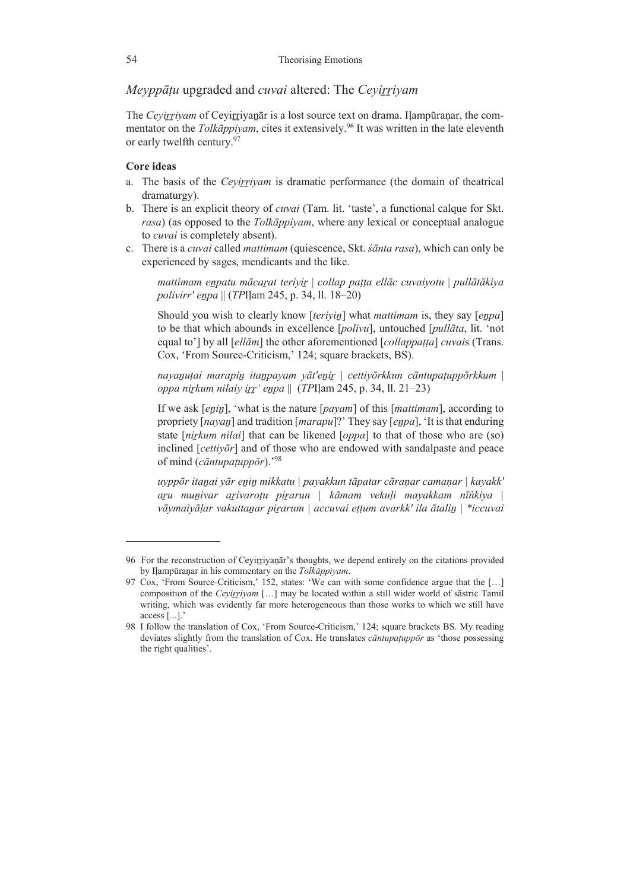*Meyppāṭu* upgraded and *cuvai* altered: The *Ceyiṟṟiyam*

The *Cevirrivam* of Cevirrivanatr is a lost source text on drama. Ilampūranar, the commentator on the *Tolka<sup>ppiyam*, cites it extensively.<sup>96</sup> It was written in the late eleventh</sup> or early twelfth century.97

# **Core ideas**

- a. The basis of the *Cevirrivam* is dramatic performance (the domain of theatrical dramaturgy).
- b. There is an explicit theory of *cuvai* (Tam. lit. 'taste', a functional calque for Skt. *rasa*) (as opposed to the *Tolkāppiyam*, where any lexical or conceptual analogue to *cuvai* is completely absent).
- c. There is a *cuvai* called *mattimam* (quiescence, Skt. *śānta rasa*), which can only be experienced by sages, mendicants and the like.

*mattimam eṉpatu mācaṟat teriyiṟ* | *collap paṭṭa ellāc cuvaiyotu* | *pullātākiya polivirr' eṉpa* || (*TP*Iḷam 245, p. 34, ll. 18–20)

Should you wish to clearly know [*teriyiṉ*] what *mattimam* is, they say [*eṉpa*] to be that which abounds in excellence [*polivu*], untouched [*pullāta*, lit. 'not equal to'] by all [*ellām*] the other aforementioned [*collappaṭṭa*] *cuvai*s (Trans. Cox, 'From Source-Criticism,' 124; square brackets, BS).

navanutai marapin itanpavam vāt'enir | cettivõrkkun cāntupatuppõrkkum | *oppa niṟkum nilaiy iṟṟ' eṉpa* ||(*TP*Iḷam 245, p. 34, ll. 21–23)

If we ask [*enin*], 'what is the nature [*payam*] of this [*mattimam*], according to propriety [*nayaṉ*] and tradition [*marapu*]?' They say [*eṉpa*], 'It is that enduring state [*niṟkum nilai*] that can be likened [*oppa*] to that of those who are (so) inclined [*cettiyōr*] and of those who are endowed with sandalpaste and peace of mind (*cāntupaṭuppōr*).'98

*uyppōr itaṉai yār eṉiṉ mikkatu | payakkun tāpatar cāraṇar camaṇar | kayakk' aṟu muṉivar aṟivaroṭu piṟarun | kāmam vekuḷi mayakkam nīṅkiya | vāymaiyāḷar vakuttaṉar piṟarum | accuvai eṭṭum avarkk' ila ātaliṉ | \*iccuvai* 

<sup>96</sup> For the reconstruction of Ceyirriyanar's thoughts, we depend entirely on the citations provided by Iḷampūraṇar in his commentary on the *Tolkāppiyam*.

<sup>97</sup> Cox, 'From Source-Criticism,' 152, states: 'We can with some confidence argue that the […] composition of the *Ceyiṟṟiyam* […] may be located within a still wider world of sāstric Tamil writing, which was evidently far more heterogeneous than those works to which we still have access [...].'

<sup>98</sup> I follow the translation of Cox, 'From Source-Criticism,' 124; square brackets BS. My reading deviates slightly from the translation of Cox. He translates *cāntupaṭuppōr* as 'those possessing the right qualities'.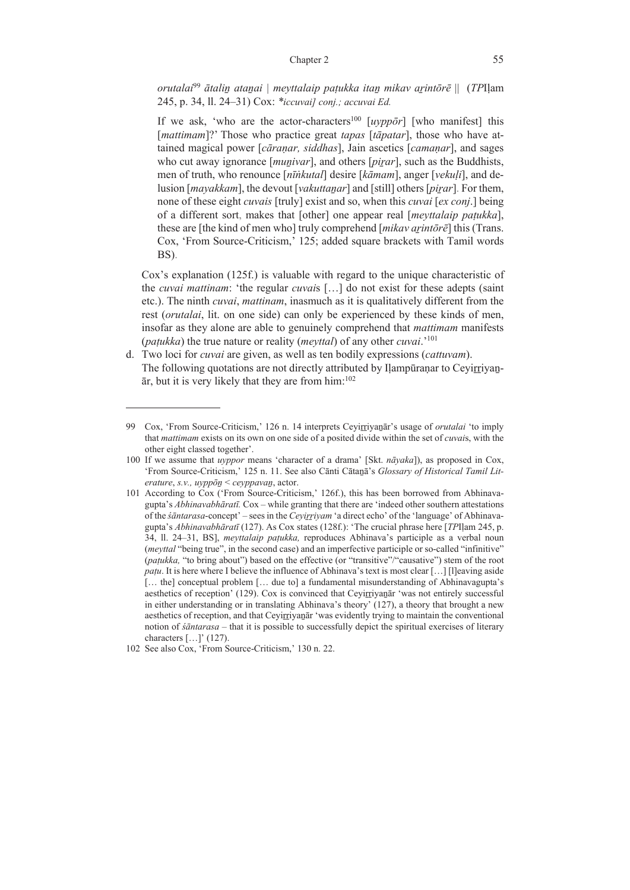*orutalai*<sup>99</sup> *ātaliṉ ataṉai | meyttalaip paṭukka itaṉ mikav aṟintōrē* || (*TP*Iḷam 245, p. 34, ll. 24–31) Cox: *\*iccuvai] conj.; accuvai Ed.*

If we ask, 'who are the actor-characters<sup>100</sup> [*uvppo*<sup>*r*</sup>] [who manifest] this [*mattimam*]?' Those who practice great *tapas* [*tāpatar*], those who have attained magical power [*cāraṇar, siddhas*], Jain ascetics [*camaṇar*], and sages who cut away ignorance [*munivar*], and others [*pirar*], such as the Buddhists, men of truth, who renounce [*nīṅkutal*] desire [*kāmam*], anger [*vekuḷi*], and delusion [*mayakkam*], the devout [*vakuttaṉar*] and [still] others [*piṟar*]. For them, none of these eight *cuvais* [truly] exist and so, when this *cuvai* [*ex conj*.] being of a different sort, makes that [other] one appear real [*meyttalaip paṭukka*], these are [the kind of men who] truly comprehend [*mikav aṟintōrē*] this (Trans. Cox, 'From Source-Criticism,' 125; added square brackets with Tamil words BS).

 Cox's explanation (125f.) is valuable with regard to the unique characteristic of the *cuvai mattinam*: 'the regular *cuvai*s […] do not exist for these adepts (saint etc.). The ninth *cuvai*, *mattinam*, inasmuch as it is qualitatively different from the rest (*orutalai*, lit. on one side) can only be experienced by these kinds of men, insofar as they alone are able to genuinely comprehend that *mattimam* manifests (*paṭukka*) the true nature or reality (*meyttal*) of any other *cuvai*.'101

d. Two loci for *cuvai* are given, as well as ten bodily expressions (*cattuvam*). The following quotations are not directly attributed by Ilampūranar to Ceyirriyan- $\bar{a}$ r, but it is very likely that they are from him:<sup>102</sup>

<sup>99</sup> Cox, 'From Source-Criticism,' 126 n. 14 interprets Ceyirriyanar's usage of *orutalai* 'to imply that *mattimam* exists on its own on one side of a posited divide within the set of *cuvai*s, with the other eight classed together'.

<sup>100</sup> If we assume that *uyppor* means 'character of a drama' [Skt. *nāyaka*]), as proposed in Cox, 'From Source-Criticism,' 125 n. 11. See also Cānti Cātaṉā's *Glossary of Historical Tamil Literature*, *s.v., uyppōṉ* < *ceyppavaṉ*, actor.

<sup>101</sup> According to Cox ('From Source-Criticism,' 126f.), this has been borrowed from Abhinavagupta's *Abhinavabhāratī.* Cox ‒ while granting that there are 'indeed other southern attestations of the *śāntarasa*-concept' ‒ sees in the *Ceyiṟṟiyam* 'a direct echo' of the 'language' of Abhinavagupta's *Abhinavabhāratī* (127). As Cox states (128f.): 'The crucial phrase here [*TP*Iḷam 245, p. 34, ll. 24‒31, BS], *meyttalaip paṭukka,* reproduces Abhinava's participle as a verbal noun (*meyttal* "being true", in the second case) and an imperfective participle or so-called "infinitive" (*paṭukka,* "to bring about") based on the effective (or "transitive"/"causative") stem of the root *patu*. It is here where I believe the influence of Abhinava's text is most clear [...] [l]eaving aside [… the] conceptual problem [… due to] a fundamental misunderstanding of Abhinavagupta's aesthetics of reception' (129). Cox is convinced that Ceyirriyanar 'was not entirely successful in either understanding or in translating Abhinava's theory' (127), a theory that brought a new aesthetics of reception, and that Ceyirriyanar 'was evidently trying to maintain the conventional notion of *śāntarasa* – that it is possible to successfully depict the spiritual exercises of literary characters […]' (127).

<sup>102</sup> See also Cox, 'From Source-Criticism,' 130 n. 22.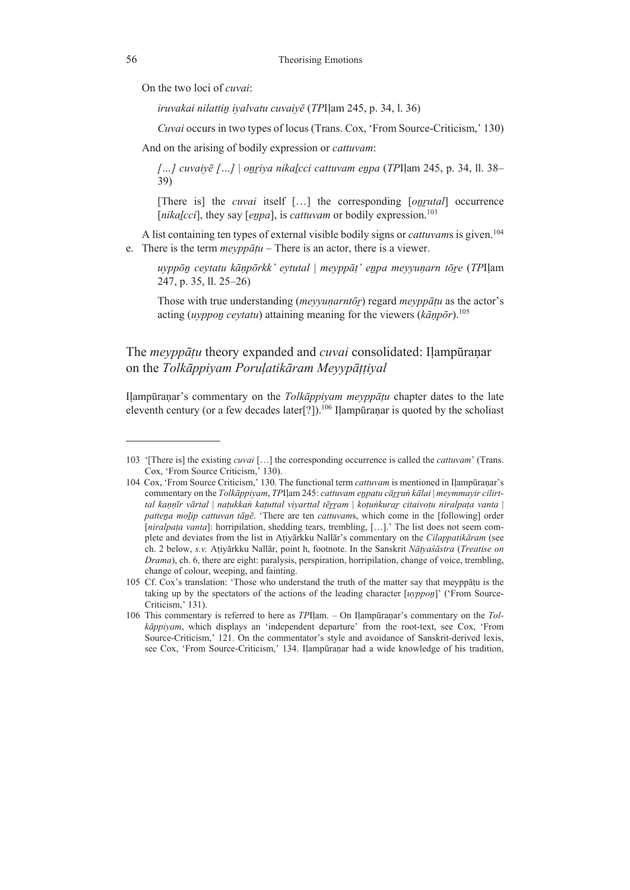On the two loci of *cuvai*:

*iruvakai nilattiṉ iyalvatu cuvaiyē* (*TP*Iḷam 245, p. 34, l. 36)

*Cuvai* occurs in two types of locus (Trans. Cox, 'From Source-Criticism,' 130)

And on the arising of bodily expression or *cattuvam*:

*[…] cuvaiyē […]* | *oṉṟiya nikaḻcci cattuvam eṉpa* (*TP*Iḷam 245, p. 34, ll. 38– 39)

[There is] the *cuvai* itself […] the corresponding [*oṉṟutal*] occurrence [*nikalcci*], they say [*enpa*], is *cattuvam* or bodily expression.<sup>103</sup>

A list containing ten types of external visible bodily signs or *cattuvams* is given.<sup>104</sup> e. There is the term *meyppāṭu* – There is an actor, there is a viewer.

*uyppōṉ ceytatu kāṇpōrkk' eytutal* | *meyppāṭ' eṉpa meyyuṇarn tōṟe* (*TP*Iḷam 247, p. 35, ll. 25–26)

Those with true understanding (*meyyuṇarntōṟ*) regard *meyppāṭu* as the actor's acting (*uyppoṉ ceytatu*) attaining meaning for the viewers (*kāṇpōr*).105

# The *meyppāṭu* theory expanded and *cuvai* consolidated: Iḷampūraṇar on the *Tolkāppiyam Poruḷatikāram Meyypāṭṭiyal*

Iḷampūraṇar's commentary on the *Tolkāppiyam meyppāṭu* chapter dates to the late eleventh century (or a few decades later<sup>[?]</sup>).<sup>106</sup> Ilampūranar is quoted by the scholiast

<sup>103 &#</sup>x27;[There is] the existing *cuvai* […] the corresponding occurrence is called the *cattuvam*' (Trans. Cox, 'From Source Criticism,' 130).

<sup>104</sup> Cox, 'From Source Criticism,' 130. The functional term *cattuvam* is mentioned in Iḷampūraṇar's commentary on the *Tolkāppiyam*, *TP*Iḷam 245: *cattuvam eṉpatu cāṟṟuṅ kālai* | *meymmayir cilirt*tal kaņņīr vārtal | națukkan kațuttal viyarttal tērram | koțunkurar citaivoțu niralpața vanta | *patteṉa moḻip cattuvan tāṉē*. 'There are ten *cattuvam*s, which come in the [following] order [*niralpața vanta*]: horripilation, shedding tears, trembling, [...].' The list does not seem complete and deviates from the list in Aṭiyārkku Nallār's commentary on the *Cilappatikāram* (see ch. 2 below, *s.v.* Aṭiyārkku Nallār, point h, footnote. In the Sanskrit *Nāṭyaśāstra* (*Treatise on Drama*), ch. 6, there are eight: paralysis, perspiration, horripilation, change of voice, trembling, change of colour, weeping, and fainting.

<sup>105</sup> Cf. Cox's translation: 'Those who understand the truth of the matter say that meyppāṭu is the taking up by the spectators of the actions of the leading character [*uyppoṉ*]' ('From Source-Criticism,' 131).

<sup>106</sup> This commentary is referred to here as *TP*Iḷam. – On Iḷampūraṇar's commentary on the *Tolkāppiyam*, which displays an 'independent departure' from the root-text, see Cox, 'From Source-Criticism,' 121. On the commentator's style and avoidance of Sanskrit-derived lexis, see Cox, 'From Source-Criticism,' 134. Iḷampūraṇar had a wide knowledge of his tradition,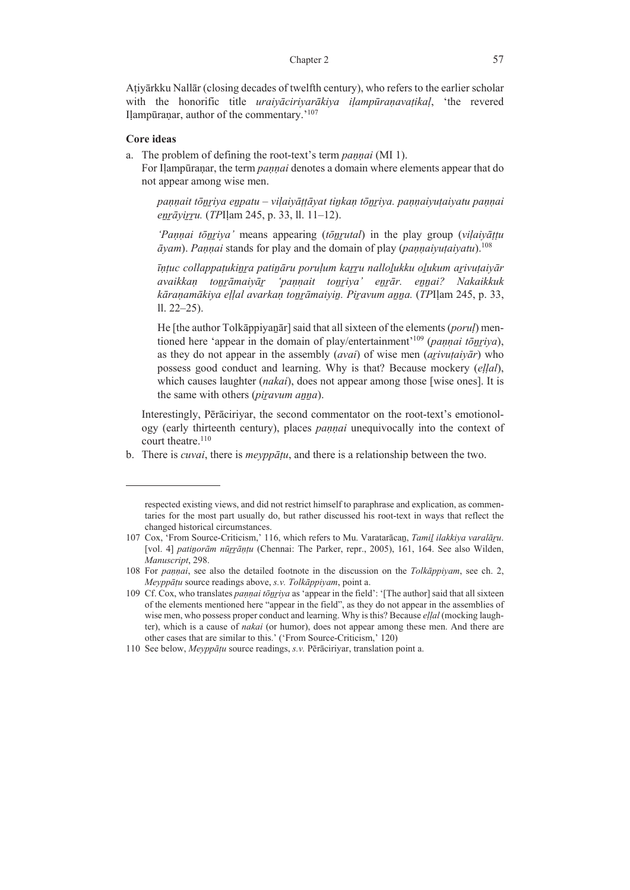Aṭiyārkku Nallār (closing decades of twelfth century), who refers to the earlier scholar with the honorific title *uraiyāciriyarākiya iḷampūraṇavaṭikaḷ*, 'the revered Ilampūranar, author of the commentary.'<sup>107</sup>

### **Core ideas**

a. The problem of defining the root-text's term *paṇṇai* (MI 1).

 For Iḷampūraṇar, the term *paṇṇai* denotes a domain where elements appear that do not appear among wise men.

pannait tōnriya enpatu - viļaiyāṭṭāyat tinkan tōnriya. pannaiyuṭaiyatu pannai *eṉṟāyiṟṟu.* (*TP*Iḷam 245, p. 33, ll. 11–12).

*'Paṇṇai tōṉṟiya'* means appearing (*tōṉṟutal*) in the play group (*viḷaiyāṭṭu*   $\bar{a}$ *yam*). *Pannai* stands for play and the domain of play (*pannaiyutaiyatu*).<sup>108</sup>

īntuc collappatukinra patināru porulum karru nallolukku olukum arivutaivār *avaikkaṇ toṉṟāmaiyāṟ 'paṇṇait toṉṟiya' eṉṟār. eṉṉai? Nakaikkuk kāraṇamākiya eḷḷal avarkaṇ toṉṟāmaiyiṉ. Piṟavum aṉṉa.* (*TP*Iḷam 245, p. 33,  $11. 22 - 25$ ).

He [the author Tolkappiyanar] said that all sixteen of the elements (*porul*) mentioned here 'appear in the domain of play/entertainment'109 (*paṇṇai tōṉṟiya*), as they do not appear in the assembly (*avai*) of wise men (*aṟivuṭaiyār*) who possess good conduct and learning. Why is that? Because mockery (*eḷḷal*), which causes laughter (*nakai*), does not appear among those [wise ones]. It is the same with others (*piravum anna*).

 Interestingly, Pērāciriyar, the second commentator on the root-text's emotionology (early thirteenth century), places *paṇṇai* unequivocally into the context of court theatre.<sup>110</sup>

b. There is *cuvai*, there is *meyppāṭu*, and there is a relationship between the two.

respected existing views, and did not restrict himself to paraphrase and explication, as commentaries for the most part usually do, but rather discussed his root-text in ways that reflect the changed historical circumstances.

<sup>107</sup> Cox, 'From Source-Criticism,' 116, which refers to Mu. Varatarācaṉ, *Tamiḻ ilakkiya varalāṟu*. [vol. 4] *patiṉorām nūṟṟāṇṭu* (Chennai: The Parker, repr., 2005), 161, 164. See also Wilden, *Manuscript*, 298.

<sup>108</sup> For *paṇṇai*, see also the detailed footnote in the discussion on the *Tolkāppiyam*, see ch. 2, *Meyppāṭu* source readings above, *s.v. Tolkāppiyam*, point a.

<sup>109</sup> Cf. Cox, who translates *paṇṇai tōṉṟiya* as 'appear in the field': '[The author] said that all sixteen of the elements mentioned here "appear in the field", as they do not appear in the assemblies of wise men, who possess proper conduct and learning. Why is this? Because *eḷḷal* (mocking laughter), which is a cause of *nakai* (or humor), does not appear among these men. And there are other cases that are similar to this.' ('From Source-Criticism,' 120)

<sup>110</sup> See below, *Meyppāṭu* source readings, *s.v.* Pērāciriyar, translation point a.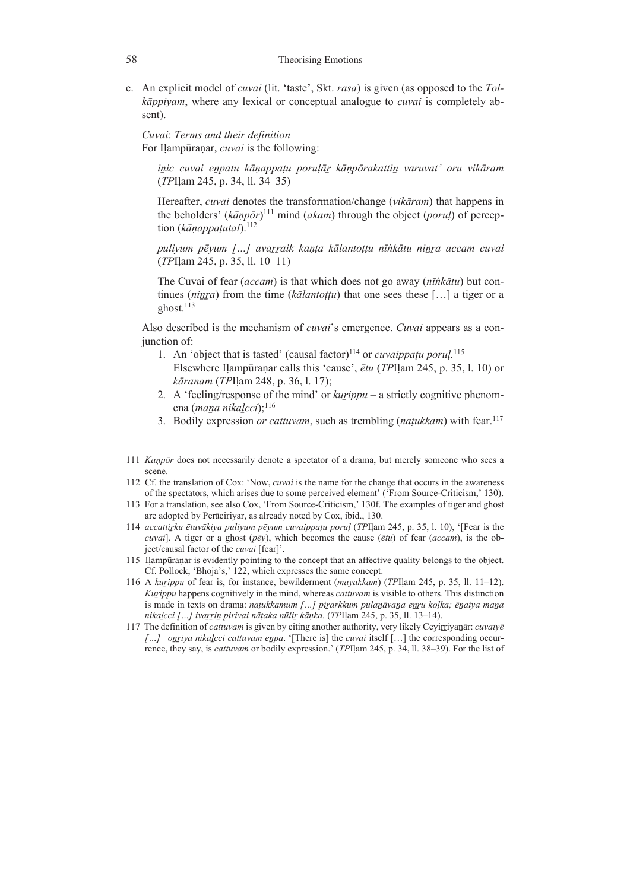c. An explicit model of *cuvai* (lit. 'taste', Skt. *rasa*) is given (as opposed to the *Tolkāppiyam*, where any lexical or conceptual analogue to *cuvai* is completely absent).

 *Cuvai*: *Terms and their definition*  For Ilampūranar, *cuvai* is the following:

*iṉic cuvai eṉpatu kāṇappaṭu poruḷāṟ kāṇpōrakattiṉ varuvat' oru vikāram* (*TP*Iḷam 245, p. 34, ll. 34–35)

Hereafter, *cuvai* denotes the transformation/change (*vikāram*) that happens in the beholders' (*kāṇpōr*) 111 mind (*akam*) through the object (*poruḷ*) of perception (*kāṇappaṭutal*).112

*puliyum pēyum […] avaṟṟaik kaṇṭa kālantoṭṭu nīṅkātu niṉṟa accam cuvai* (*TP*Iḷam 245, p. 35, ll. 10–11)

The Cuvai of fear (*accam*) is that which does not go away (*nīṅkātu*) but continues (*niṉṟa*) from the time (*kālantoṭṭu*) that one sees these […] a tiger or a ghost. $113$ 

 Also described is the mechanism of *cuvai*'s emergence. *Cuvai* appears as a conjunction of:

- 1. An 'object that is tasted' (causal factor)<sup>114</sup> or *cuvaippațu porul*.<sup>115</sup> Elsewhere Iḷampūraṇar calls this 'cause', *ētu* (*TP*Iḷam 245, p. 35, l. 10) or *kāranam* (*TP*Iḷam 248, p. 36, l. 17);
- 2. A 'feeling/response of the mind' or *kurippu* a strictly cognitive phenomena (*maṉa nikaḻcci*);116
- 3. Bodily expression *or cattuvam*, such as trembling (*naṭukkam*) with fear.117

<sup>111</sup> *Kaṇpōr* does not necessarily denote a spectator of a drama, but merely someone who sees a scene.

<sup>112</sup> Cf. the translation of Cox: 'Now, *cuvai* is the name for the change that occurs in the awareness of the spectators, which arises due to some perceived element' ('From Source-Criticism,' 130).

<sup>113</sup> For a translation, see also Cox, 'From Source-Criticism,' 130f. The examples of tiger and ghost are adopted by Perāciriyar, as already noted by Cox, ibid., 130.

<sup>114</sup> *accattiṟku ētuvākiya puliyum pēyum cuvaippaṭu poruḷ* (*TP*Iḷam 245, p. 35, l. 10), '[Fear is the *cuvai*]. A tiger or a ghost (*pēy*), which becomes the cause (*ētu*) of fear (*accam*), is the object/causal factor of the *cuvai* [fear]'.

<sup>115</sup> Iḷampūraṇar is evidently pointing to the concept that an affective quality belongs to the object. Cf. Pollock, 'Bhoja's,' 122, which expresses the same concept.

<sup>116</sup> A *kuṟippu* of fear is, for instance, bewilderment (*mayakkam*) (*TP*Iḷam 245, p. 35, ll. 11‒12). *Kuṟippu* happens cognitively in the mind, whereas *cattuvam* is visible to others. This distinction is made in texts on drama: *naṭukkamum […] piṟarkkum pulaṉāvaṉa eṉṟu koḷka; ēṉaiya maṉa nikaḻcci […] ivaṟṟiṉ pirivai nāṭaka nūliṟ kāṇka.* (*TP*Iḷam 245, p. 35, ll. 13‒14).

<sup>117</sup> The definition of *cattuvam* is given by citing another authority, very likely Ceyiṟṟiyaṉār: *cuvaiyē […]* | *oṉṟiya nikaḻcci cattuvam eṉpa*. '[There is] the *cuvai* itself […] the corresponding occurrence, they say, is *cattuvam* or bodily expression.' (*TP*Iḷam 245, p. 34, ll. 38‒39). For the list of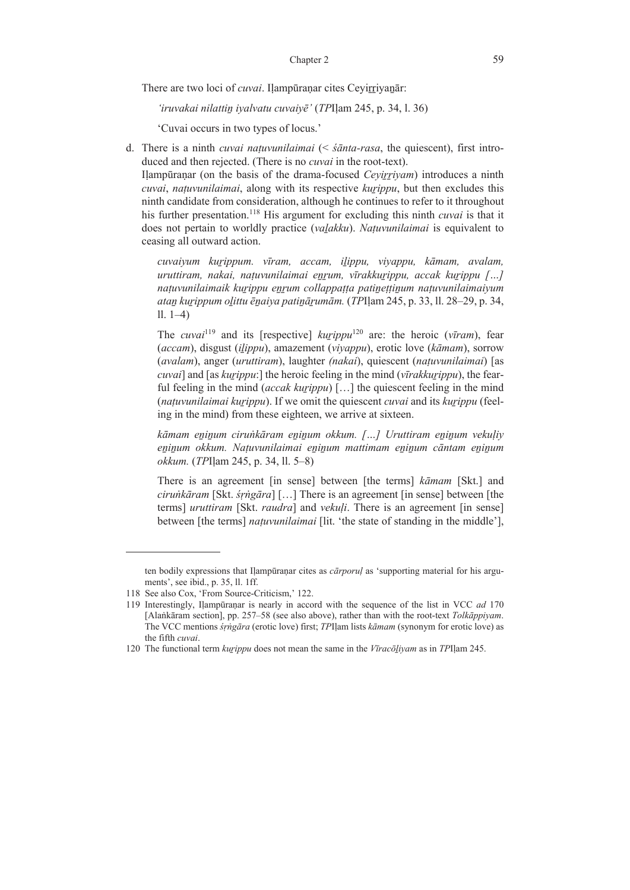There are two loci of *cuvai*. Ilampūranar cites Ceyirriyanār:

*'iruvakai nilattiṉ iyalvatu cuvaiyē'* (*TP*Iḷam 245, p. 34, l. 36)

'Cuvai occurs in two types of locus.'

d. There is a ninth *cuvai naṭuvunilaimai* (< *śānta-rasa*, the quiescent), first introduced and then rejected. (There is no *cuvai* in the root-text).

 Iḷampūraṇar (on the basis of the drama-focused *Ceyiṟṟiyam*) introduces a ninth *cuvai*, *naṭuvunilaimai*, along with its respective *kuṟippu*, but then excludes this ninth candidate from consideration, although he continues to refer to it throughout his further presentation.118 His argument for excluding this ninth *cuvai* is that it does not pertain to worldly practice (*vaḻakku*). *Naṭuvunilaimai* is equivalent to ceasing all outward action.

*cuvaiyum kuṟippum. vīram, accam, iḻippu, viyappu, kāmam, avalam, uruttiram, nakai, naṭuvunilaimai eṉṟum, vīrakkuṟippu, accak kuṟippu […] naṭuvunilaimaik kuṟippu eṉṟum collappaṭṭa patiṉeṭṭiṉum naṭuvunilaimaiyum ataṉ kuṟippum oḻittu ēṉaiya patiṉāṟumām.* (*TP*Iḷam 245, p. 33, ll. 28–29, p. 34, ll. 1–4)

The *cuvai*<sup>119</sup> and its [respective]  $kurippu^{120}$  are: the heroic (*vīram*), fear (*accam*), disgust (*iḻippu*), amazement (*viyappu*), erotic love (*kāmam*), sorrow (*avalam*), anger (*uruttiram*), laughter *(nakai*), quiescent (*naṭuvunilaimai*) [as *cuvai*] and [as *kuṟippu*:] the heroic feeling in the mind (*vīrakkuṟippu*), the fearful feeling in the mind (*accak kurippu*) [...] the quiescent feeling in the mind (*naṭuvunilaimai kuṟippu*). If we omit the quiescent *cuvai* and its *kuṟippu* (feeling in the mind) from these eighteen, we arrive at sixteen.

*kāmam eṉiṉum ciruṅkāram eṉiṉum okkum. […] Uruttiram eṉiṉum vekuḷiy eṉiṉum okkum. Naṭuvunilaimai eṉiṉum mattimam eṉiṉum cāntam eṉiṉum okkum.* (*TP*Iḷam 245, p. 34, ll. 5–8)

There is an agreement [in sense] between [the terms] *kāmam* [Skt.] and *ciruṅkāram* [Skt. *śṛṅgāra*] […] There is an agreement [in sense] between [the terms] *uruttiram* [Skt. *raudra*] and *vekuḷi*. There is an agreement [in sense] between [the terms] *naṭuvunilaimai* [lit. 'the state of standing in the middle'],

ten bodily expressions that Iḷampūraṇar cites as *cārporuḷ* as 'supporting material for his arguments', see ibid., p. 35, ll. 1ff.

<sup>118</sup> See also Cox, 'From Source-Criticism,' 122.

<sup>119</sup> Interestingly, Iḷampūraṇar is nearly in accord with the sequence of the list in VCC *ad* 170 [Alaṅkāram section], pp. 257‒58 (see also above), rather than with the root-text *Tolkāppiyam*. The VCC mentions *śṛṅgāra* (erotic love) first; *TP*Iḷam lists *kāmam* (synonym for erotic love) as the fifth *cuvai*.

<sup>120</sup> The functional term *kuṟippu* does not mean the same in the *Vīracōḻiyam* as in *TP*Iḷam 245.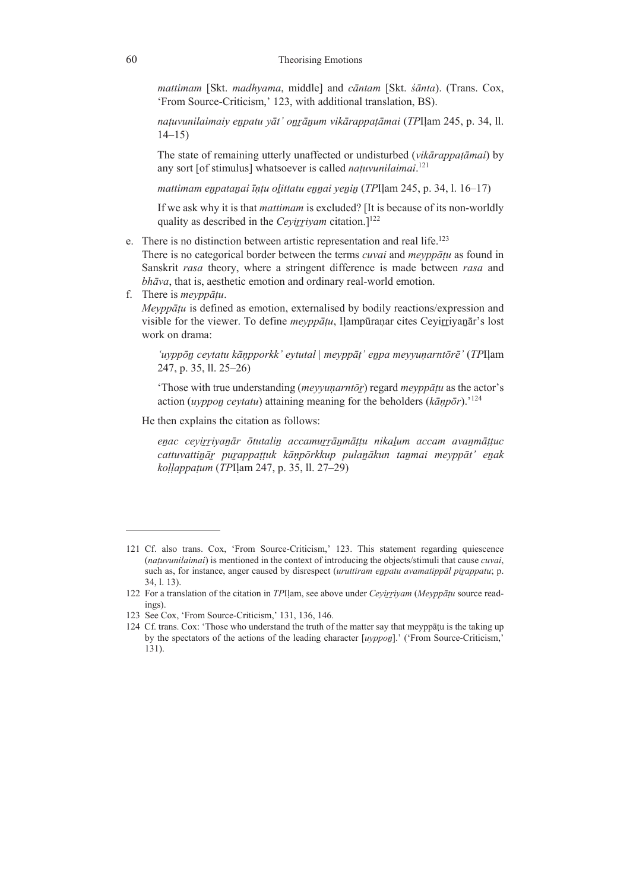*mattimam* [Skt. *madhyama*, middle] and *cāntam* [Skt. *śānta*). (Trans. Cox, 'From Source-Criticism,' 123, with additional translation, BS).

*naṭuvunilaimaiy eṉpatu yāt' oṉṟāṉum vikārappaṭāmai* (*TP*Iḷam 245, p. 34, ll. 14–15)

The state of remaining utterly unaffected or undisturbed (*vikārappaṭāmai*) by any sort [of stimulus] whatsoever is called *naṭuvunilaimai*. 121

*mattimam eṉpataṉai īṇṭu oḻittatu eṉṉai yeṉiṉ* (*TP*Iḷam 245, p. 34, l. 16–17)

If we ask why it is that *mattimam* is excluded? [It is because of its non-worldly quality as described in the *Cevirrivam* citation.]<sup>122</sup>

e. There is no distinction between artistic representation and real life.<sup>123</sup>

 There is no categorical border between the terms *cuvai* and *meyppāṭu* as found in Sanskrit *rasa* theory, where a stringent difference is made between *rasa* and *bhāva*, that is, aesthetic emotion and ordinary real-world emotion.

f. There is *meyppāṭu*.

 *Meyppāṭu* is defined as emotion, externalised by bodily reactions/expression and visible for the viewer. To define *meyppātu*, Ilampūranar cites Ceyirriyanār's lost work on drama:

*'uyppōṉ ceytatu kāṇpporkk' eytutal* | *meyppāṭ' eṉpa meyyuṇarntōrē'* (*TP*Iḷam 247, p. 35, ll. 25–26)

'Those with true understanding (*meyyuṇarntōṟ*) regard *meyppāṭu* as the actor's action (*uyppoṉ ceytatu*) attaining meaning for the beholders (*kāṇpōr*).'124

He then explains the citation as follows:

*eṉac ceyiṟṟiyaṉār ōtutaliṉ accamuṟṟāṉmāṭṭu nikaḻum accam avaṉmāṭṭuc cattuvattiṉāṟ puṟappaṭṭuk kāṇpōrkkup pulaṉākun taṉmai meyppāt' eṉak koḷḷappaṭum* (*TP*Iḷam 247, p. 35, ll. 27–29)

<sup>121</sup> Cf. also trans. Cox, 'From Source-Criticism,' 123. This statement regarding quiescence (*naṭuvunilaimai*) is mentioned in the context of introducing the objects/stimuli that cause *cuvai*, such as, for instance, anger caused by disrespect (*uruttiram enpatu avamatippal pirappatu*; p. 34, l. 13).

<sup>122</sup> For a translation of the citation in *TP*Iḷam, see above under *Ceyiṟṟiyam* (*Meyppāṭu* source readings).

<sup>123</sup> See Cox, 'From Source-Criticism,' 131, 136, 146.

<sup>124</sup> Cf. trans. Cox: 'Those who understand the truth of the matter say that meyppatu is the taking up by the spectators of the actions of the leading character [*uyppoṉ*].' ('From Source-Criticism,' 131).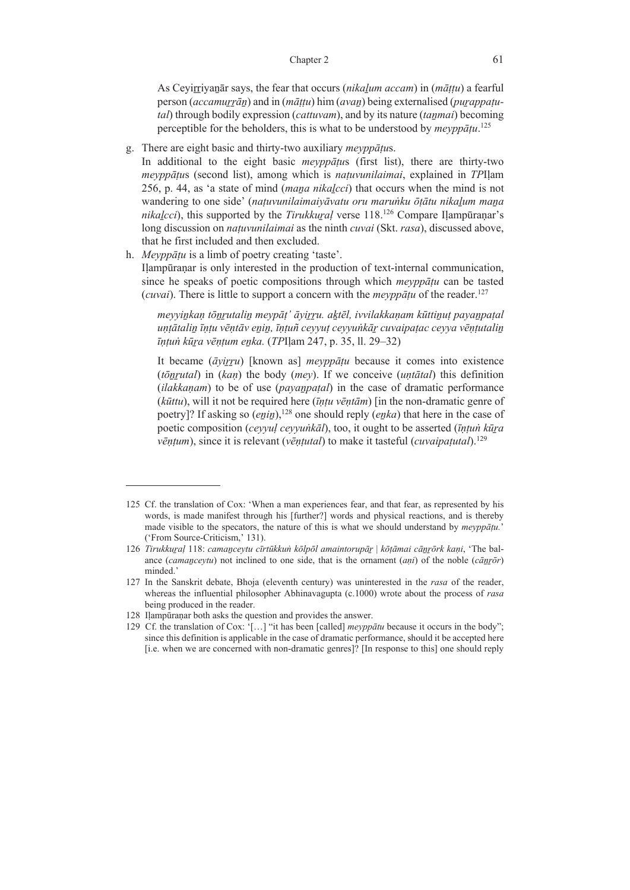As Ceyiṟṟiyaṉār says, the fear that occurs (*nikaḻum accam*) in (*māṭṭu*) a fearful person (*accamuṟṟāṉ*) and in (*māṭṭu*) him (*avaṉ*) being externalised (*puṟappaṭutal*) through bodily expression (*cattuvam*), and by its nature (*taṉmai*) becoming perceptible for the beholders, this is what to be understood by *meyppāṭu*. 125

g. There are eight basic and thirty-two auxiliary *meyppāṭu*s.

 In additional to the eight basic *meyppāṭu*s (first list), there are thirty-two *meyppāṭu*s (second list), among which is *naṭuvunilaimai*, explained in *TP*Iḷam 256, p. 44, as 'a state of mind (*maṉa nikaḻcci*) that occurs when the mind is not wandering to one side' (*naṭuvunilaimaiyāvatu oru maruṅku ōṭātu nikaḻum maṉa nikalcci*), this supported by the *Tirukkural* verse 118.<sup>126</sup> Compare Ilampūranar's long discussion on *natuvunilaimai* as the ninth *cuvai* (Skt. *rasa*), discussed above, that he first included and then excluded.

h. *Meyppāṭu* is a limb of poetry creating 'taste'. Ilampūranar is only interested in the production of text-internal communication, since he speaks of poetic compositions through which *meyppāṭu* can be tasted (*cuvai*). There is little to support a concern with the *meyppāṭu* of the reader.127

meyyinkan tönrutalin meypāt' āyirru. aktēl, ivvilakkaņam kūttinut payanpatal unțātalin īnțu vēņtāv enin, īnțuñ ceyyuț ceyyunkār cuvaipațac ceyya vēņțutalin *īṇṭuṅ kūṟa vēṇṭum eṉka.* (*TP*Iḷam 247, p. 35, ll. 29–32)

It became (*āyiṟṟu*) [known as] *meyppāṭu* because it comes into existence (*tōṉṟutal*) in (*kaṇ*) the body (*mey*). If we conceive (*uṇtātal*) this definition (*ilakkaṇam*) to be of use (*payaṉpaṭal*) in the case of dramatic performance (*kūttu*), will it not be required here (*īṇṭu vēṇtām*) [in the non-dramatic genre of poetry]? If asking so *(enin)*,<sup>128</sup> one should reply *(enka)* that here in the case of poetic composition (*ceyyuḷ ceyyuṅkāl*), too, it ought to be asserted (*īṇṭuṅ kūṟa vēṇṭum*), since it is relevant (*vēṇṭutal*) to make it tasteful (*cuvaipaṭutal*).129

<sup>125</sup> Cf. the translation of Cox: 'When a man experiences fear, and that fear, as represented by his words, is made manifest through his [further?] words and physical reactions, and is thereby made visible to the specators, the nature of this is what we should understand by *meyppāṭu.*' ('From Source-Criticism,' 131).

<sup>126</sup> Tirukkuraļ 118: camanceytu cīrtūkkun kōlpōl amaintorupār | kōṭāmai cānrōrk kaṇi, 'The balance (*camaṉceytu*) not inclined to one side, that is the ornament (*aṇi*) of the noble (*cāṉṟōr*) minded.'

<sup>127</sup> In the Sanskrit debate, Bhoja (eleventh century) was uninterested in the *rasa* of the reader, whereas the influential philosopher Abhinavagupta (c.1000) wrote about the process of *rasa* being produced in the reader.

<sup>128</sup> Iḷampūraṇar both asks the question and provides the answer.

<sup>129</sup> Cf. the translation of Cox: '[…] "it has been [called] *meyppātu* because it occurs in the body"; since this definition is applicable in the case of dramatic performance, should it be accepted here [i.e. when we are concerned with non-dramatic genres]? [In response to this] one should reply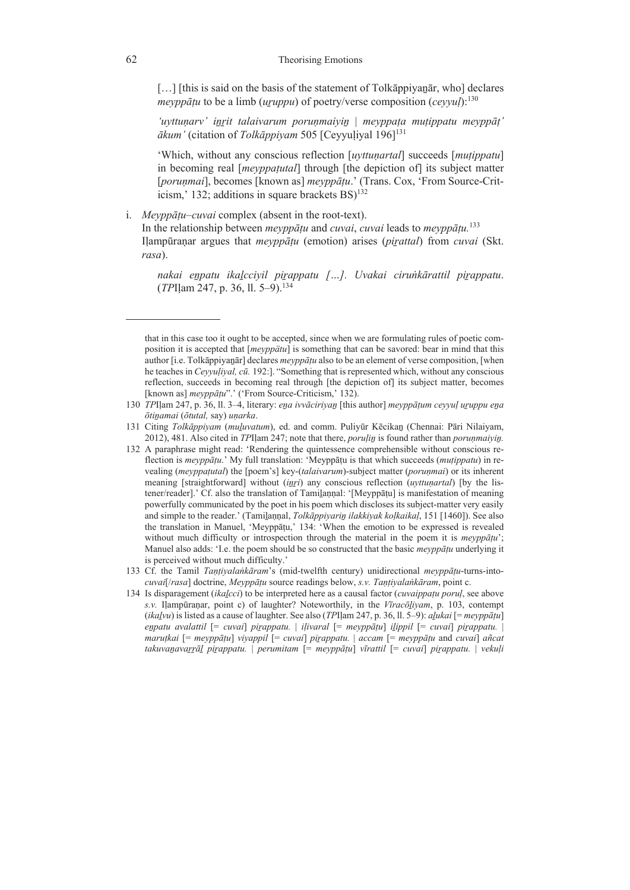[...] [this is said on the basis of the statement of Tolkāppiyanār, who] declares *meyppāṭu* to be a limb (*uṟuppu*) of poetry/verse composition (*ceyyuḷ*):130

*'uyttuṇarv' iṉṟit talaivarum poruṇmaiyiṉ* | *meyppaṭa muṭippatu meyppāṭ' ākum'* (citation of *Tolkāppiyam* 505 [Ceyyuḷiyal 196]131

'Which, without any conscious reflection [*uyttuṇartal*] succeeds [*muṭippatu*] in becoming real [*meyppaṭutal*] through [the depiction of] its subject matter [*poruṇmai*], becomes [known as] *meyppāṭu*.' (Trans. Cox, 'From Source-Criticism,' 132; additions in square brackets  $BS$ <sup>132</sup>

i. *Meyppāṭu‒cuvai* complex (absent in the root-text).

 In the relationship between *meyppāṭu* and *cuvai*, *cuvai* leads to *meyppāṭu.*<sup>133</sup> Ilampūranar argues that *meyppātu* (emotion) arises (*pirattal*) from *cuvai* (Skt. *rasa*).

*nakai eṉpatu ikaḻcciyil piṟappatu […]. Uvakai ciruṅkārattil piṟappatu*. (*TP*Iḷam 247, p. 36, ll. 5–9).134

- 132 A paraphrase might read: 'Rendering the quintessence comprehensible without conscious reflection is *meyppāṭu*.' My full translation: 'Meyppāṭu is that which succeeds (*muṭippatu*) in revealing (*meyppaṭutal*) the [poem's] key-(*talaivarum*)-subject matter (*poruṇmai*) or its inherent meaning [straightforward] without *(inri)* any conscious reflection *(uyttunartal)* [by the listener/reader].' Cf. also the translation of Tamiḻaṇṇal: '[Meyppāṭu] is manifestation of meaning powerfully communicated by the poet in his poem which discloses its subject-matter very easily and simple to the reader.' (Tamiḻaṇṇal, *Tolkāppiyariṉ ilakkiyak koḷkaikaḷ*, 151 [1460]). See also the translation in Manuel, 'Meyppāṭu,' 134: 'When the emotion to be expressed is revealed without much difficulty or introspection through the material in the poem it is *meyppāṭu*'; Manuel also adds: 'I.e. the poem should be so constructed that the basic *meyppāṭu* underlying it is perceived without much difficulty.'
- 133 Cf. the Tamil *Taṇṭiyalaṅkāram*'s (mid-twelfth century) unidirectional *meyppāṭu*-turns-into*cuvai*[/*rasa*] doctrine, *Meyppāṭu* source readings below, *s.v. Taṇṭiyalaṅkāram*, point c.
- 134 Is disparagement (*ikaḻcci*) to be interpreted here as a causal factor (*cuvaippaṭu poruḷ*, see above *s.v.* Iḷampūraṇar, point c) of laughter? Noteworthily, in the *Vīracōḻiyam*, p. 103, contempt (*ikaḻvu*) is listed as a cause of laughter. See also (*TP*Iḷam 247, p. 36, ll. 5‒9): *aḻukai* [= *meyppāṭu*] enpatu avalattil [= cuvai] pirappatu. | iļivaral [= meyppāțu] ilippil [= cuvai] pirappatu. | *maruṭkai* [= *meyppāṭu*] *viyappil* [= *cuvai*] *piṟappatu.* | *accam* [= *meyppāṭu* and *cuvai*] *añcat*  takuvanavarrāl pirappatu. | perumitam [= meyppāṭu] vīrattil [= cuvai] pirappatu. | vekuļi

that in this case too it ought to be accepted, since when we are formulating rules of poetic composition it is accepted that [*meyppätu*] is something that can be savored: bear in mind that this author [i.e. Tolkāppiyaṉār] declares *meyppāṭu* also to be an element of verse composition, [when he teaches in *Ceyyuḷiyal, cū.* 192:]. "Something that is represented which, without any conscious reflection, succeeds in becoming real through [the depiction of] its subject matter, becomes [known as] *meyppāṭu*".' ('From Source-Criticism,' 132).

<sup>130</sup> *TP*Iḷam 247, p. 36, ll. 3‒4, literary: *eṉa ivvāciriyaṉ* [this author] *meyppāṭum ceyyuḷ uṟuppu eṉa ōtiṉamai* (*ōtutal,* say) *uṇarka*.

<sup>131</sup> Citing *Tolkāppiyam* (*muḻuvatum*), ed. and comm. Puliyūr Kēcikaṉ (Chennai: Pāri Nilaiyam, 2012), 481. Also cited in *TP*Iḷam 247; note that there, *poruḷiṉ* is found rather than *poruṇmaiyiṉ.*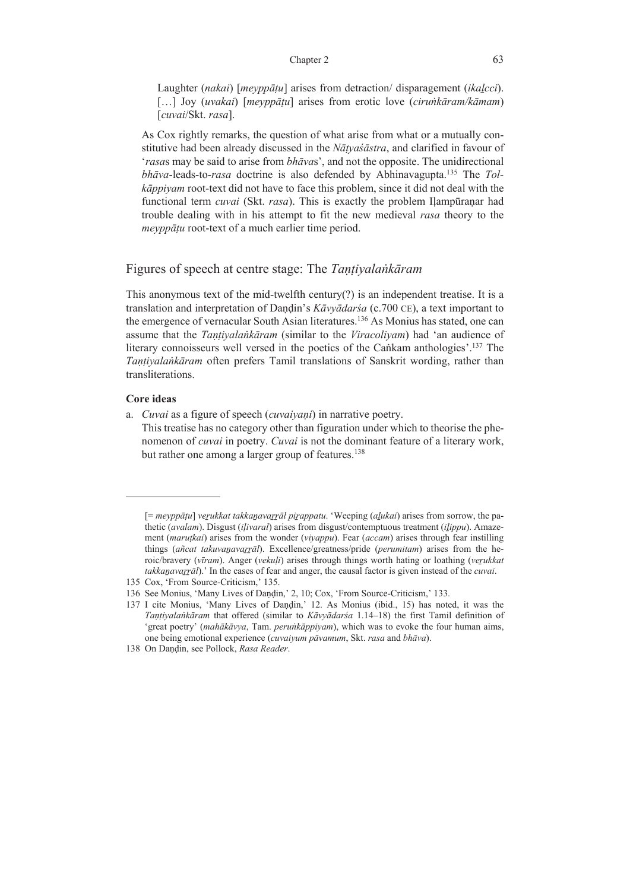### Chapter 2 63

Laughter (*nakai*) [*meyppāṭu*] arises from detraction/ disparagement (*ikaḻcci*). […] Joy (*uvakai*) [*meyppāṭu*] arises from erotic love (*ciruṅkāram/kāmam*) [*cuvai*/Skt. *rasa*].

 As Cox rightly remarks, the question of what arise from what or a mutually constitutive had been already discussed in the *Nāṭyaśāstra*, and clarified in favour of '*rasa*s may be said to arise from *bhāva*s', and not the opposite. The unidirectional *bhāva*-leads-to-*rasa* doctrine is also defended by Abhinavagupta.135 The *Tolkāppiyam* root-text did not have to face this problem, since it did not deal with the functional term *cuvai* (Skt. *rasa*). This is exactly the problem Iḷampūraṇar had trouble dealing with in his attempt to fit the new medieval *rasa* theory to the *meyppāṭu* root-text of a much earlier time period.

# Figures of speech at centre stage: The *Taṇṭiyalaṅkāram*

This anonymous text of the mid-twelfth century $(?)$  is an independent treatise. It is a translation and interpretation of Daṇḍin's *Kāvyādarśa* (c.700 CE), a text important to the emergence of vernacular South Asian literatures.<sup>136</sup> As Monius has stated, one can assume that the *Taṇṭiyalaṅkāram* (similar to the *Viracoliyam*) had 'an audience of literary connoisseurs well versed in the poetics of the Cañkam anthologies'.<sup>137</sup> The *Taṇṭiyalaṅkāram* often prefers Tamil translations of Sanskrit wording, rather than transliterations.

## **Core ideas**

- a. *Cuvai* as a figure of speech (*cuvaiyaṇi*) in narrative poetry.
	- This treatise has no category other than figuration under which to theorise the phenomenon of *cuvai* in poetry. *Cuvai* is not the dominant feature of a literary work, but rather one among a larger group of features.<sup>138</sup>

<sup>[=</sup> *meyppāṭu*] *veṟukkat takkaṉavaṟṟāl piṟappatu*. 'Weeping (*aḻukai*) arises from sorrow, the pathetic (*avalam*). Disgust (*iḷivaral*) arises from disgust/contemptuous treatment (*iḻippu*). Amazement (*maruṭkai*) arises from the wonder (*viyappu*). Fear (*accam*) arises through fear instilling things (*añcat takuvaṉavaṟṟāl*). Excellence/greatness/pride (*perumitam*) arises from the heroic/bravery (*vīram*). Anger (*vekuḷi*) arises through things worth hating or loathing (*veṟukkat takkaṉavaṟṟāl*).' In the cases of fear and anger, the causal factor is given instead of the *cuvai*.

<sup>135</sup> Cox, 'From Source-Criticism,' 135.

<sup>136</sup> See Monius, 'Many Lives of Daṇḍin,' 2, 10; Cox, 'From Source-Criticism,' 133.

<sup>137</sup> I cite Monius, 'Many Lives of Daṇḍin,' 12. As Monius (ibid., 15) has noted, it was the *Taṇṭiyalaṅkāram* that offered (similar to *Kāvyādarśa* 1.14‒18) the first Tamil definition of 'great poetry' (*mahākāvya*, Tam. *peruṅkāppiyam*), which was to evoke the four human aims, one being emotional experience (*cuvaiyum pāvamum*, Skt. *rasa* and *bhāva*).

<sup>138</sup> On Daṇḍin, see Pollock, *Rasa Reader*.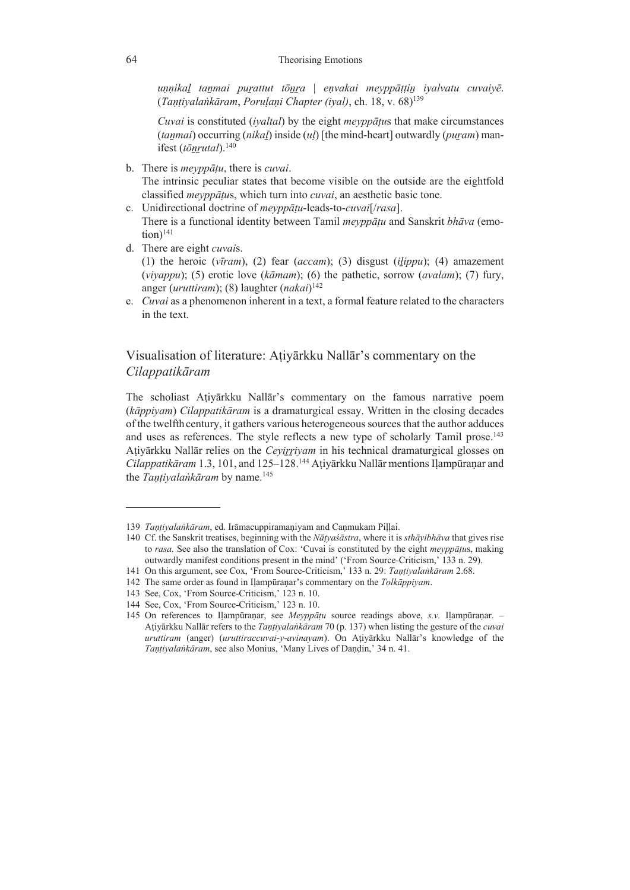*uṇṇikaḻ taṉmai puṟattut tōṉṟa* | *eṇvakai meyppāṭṭiṉ iyalvatu cuvaiyē*. (*Taṇṭiyalaṅkāram*, *Poruḷaṇi Chapter (iyal)*, ch. 18, v. 68)139

*Cuvai* is constituted (*iyaltal*) by the eight *meyppāṭu*s that make circumstances (*taṉmai*) occurring (*nikaḻ*) inside (*uḷ*) [the mind-heart] outwardly (*puṟam*) manifest (*tōnrutal*).<sup>140</sup>

- b. There is *meyppāṭu*, there is *cuvai*. The intrinsic peculiar states that become visible on the outside are the eightfold classified *meyppāṭu*s, which turn into *cuvai*, an aesthetic basic tone.
- c. Unidirectional doctrine of *meyppāṭu*-leads-to-*cuvai*[/*rasa*]. There is a functional identity between Tamil *meyppāṭu* and Sanskrit *bhāva* (emo $tion)^{141}$
- d. There are eight *cuvai*s.

(1) the heroic ( $v\bar{\iota}ram$ ), (2) fear ( $accam$ ); (3) disgust ( $ilippu$ ); (4) amazement (*viyappu*); (5) erotic love (*kāmam*); (6) the pathetic, sorrow (*avalam*); (7) fury, anger (*uruttiram*); (8) laughter (*nakai*) 142

e. *Cuvai* as a phenomenon inherent in a text, a formal feature related to the characters in the text.

# Visualisation of literature: Aṭiyārkku Nallār's commentary on the *Cilappatikāram*

The scholiast Aṭiyārkku Nallār's commentary on the famous narrative poem (*kāppiyam*) *Cilappatikāram* is a dramaturgical essay. Written in the closing decades of the twelfth century, it gathers various heterogeneous sources that the author adduces and uses as references. The style reflects a new type of scholarly Tamil prose.<sup>143</sup> Aṭiyārkku Nallār relies on the *Ceyiṟṟiyam* in his technical dramaturgical glosses on *Cilappatikāram* 1.3, 101, and 125–128.144 Aṭiyārkku Nallār mentions Iḷampūraṇar and the *Tantivalankāram* by name.<sup>145</sup>

<sup>139</sup> *Taṇṭiyalaṅkāram*, ed. Irāmacuppiramaṇiyam and Caṇmukam Piḷḷai.

<sup>140</sup> Cf. the Sanskrit treatises, beginning with the *Nāṭyaśāstra*, where it is *sthāyibhāva* that gives rise to *rasa.* See also the translation of Cox: 'Cuvai is constituted by the eight *meyppāṭu*s, making outwardly manifest conditions present in the mind' ('From Source-Criticism,' 133 n. 29).

<sup>141</sup> On this argument, see Cox, 'From Source-Criticism,' 133 n. 29: *Taṇṭiyalaṅkāram* 2.68.

<sup>142</sup> The same order as found in Iḷampūraṇar's commentary on the *Tolkāppiyam*.

<sup>143</sup> See, Cox, 'From Source-Criticism,' 123 n. 10.

<sup>144</sup> See, Cox, 'From Source-Criticism,' 123 n. 10.

<sup>145</sup> On references to Iḷampūraṇar, see *Meyppāṭu* source readings above, *s.v.* Iḷampūraṇar. – Aṭiyārkku Nallār refers to the *Taṇṭiyalaṅkāram* 70 (p. 137) when listing the gesture of the *cuvai uruttiram* (anger) (*uruttiraccuvai-y-avinayam*). On Aṭiyārkku Nallār's knowledge of the *Taṇṭiyalaṅkāram*, see also Monius, 'Many Lives of Daṇḍin,' 34 n. 41.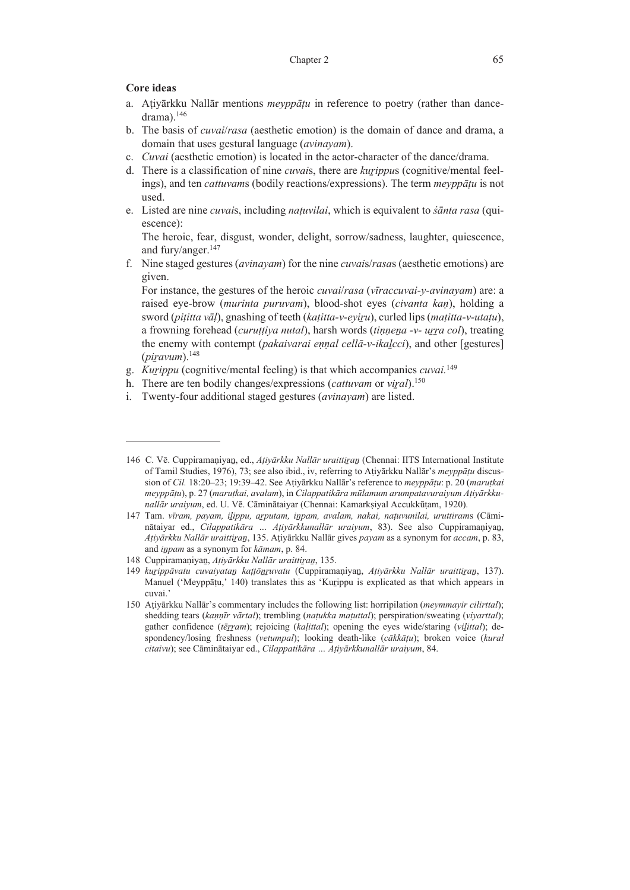## **Core ideas**

- a. Aṭiyārkku Nallār mentions *meyppāṭu* in reference to poetry (rather than dancedrama).146
- b. The basis of *cuvai*/*rasa* (aesthetic emotion) is the domain of dance and drama, a domain that uses gestural language (*avinayam*).
- c. *Cuvai* (aesthetic emotion) is located in the actor-character of the dance/drama.
- d. There is a classification of nine *cuvai*s, there are *kuṟippu*s (cognitive/mental feelings), and ten *cattuvam*s (bodily reactions/expressions). The term *meyppāṭu* is not used.
- e. Listed are nine *cuvai*s, including *naṭuvilai*, which is equivalent to *śānta rasa* (quiescence):

 The heroic, fear, disgust, wonder, delight, sorrow/sadness, laughter, quiescence, and fury/anger.<sup>147</sup>

f. Nine staged gestures (*avinayam*) for the nine *cuvai*s/*rasa*s (aesthetic emotions) are given.

 For instance, the gestures of the heroic *cuvai*/*rasa* (*vīraccuvai-y-avinayam*) are: a raised eye-brow (*murinta puruvam*), blood-shot eyes (*civanta kaṇ*), holding a sword (*piṭitta vāḷ*), gnashing of teeth (*kaṭitta-v-eyiṟu*), curled lips (*maṭitta-v-utaṭu*), a frowning forehead (*curuṭṭiya nutal*), harsh words (*tiṇṇeṉa -v- uṟṟa col*), treating the enemy with contempt (*pakaivarai eṇṇal cellā-v-ikaḻcci*), and other [gestures]  $(piravum)$ .<sup>148</sup>

- g. *Kuṟippu* (cognitive/mental feeling) is that which accompanies *cuvai.*<sup>149</sup>
- h. There are ten bodily changes/expressions (*cattuvam* or *viral*).<sup>150</sup>
- i. Twenty-four additional staged gestures (*avinayam*) are listed.

<sup>146</sup> C. Vē. Cuppiramaṇiyaṉ, ed., *Aṭiyārkku Nallār uraittiṟaṉ* (Chennai: IITS International Institute of Tamil Studies, 1976), 73; see also ibid., iv, referring to Aṭiyārkku Nallār's *meyppāṭu* discussion of *Cil.* 18:20–23; 19:39–42. See Aṭiyārkku Nallār's reference to *meyppāṭu*: p. 20 (*maruṭkai meyppāṭu*), p. 27 (*maruṭkai, avalam*), in *Cilappatikāra mūlamum arumpatavuraiyum Aṭiyārkkunallār uraiyum*, ed. U. Vē. Cāminātaiyar (Chennai: Kamarkṣiyal Accukkūṭam, 1920).

<sup>147</sup> Tam. *vīram, payam, iḻippu, aṟputam, iṉpam, avalam, nakai, naṭuvunilai, uruttiram*s (Cāminātaiyar ed., *Cilappatikāra … Aṭiyārkkunallār uraiyum*, 83). See also Cuppiramaṇiyaṉ, *Aṭiyārkku Nallār uraittiṟaṉ*, 135. Aṭiyārkku Nallār gives *payam* as a synonym for *accam*, p. 83, and *iṉpam* as a synonym for *kāmam*, p. 84.

<sup>148</sup> Cuppiramaniyan, Atiyārkku Nallār uraittiran, 135.

<sup>149</sup> *kuṟippāvatu cuvaiyataṉ kaṭṭōṉṟuvatu* (Cuppiramaṇiyaṉ, *Aṭiyārkku Nallār uraittiṟaṉ*, 137). Manuel ('Meyppatu,' 140) translates this as 'Kurippu is explicated as that which appears in cuvai.'

<sup>150</sup> Aṭiyārkku Nallār's commentary includes the following list: horripilation (*meymmayir cilirttal*); shedding tears (*kaṇṇīr vārtal*); trembling (*naṭukka maṭuttal*); perspiration/sweating (*viyarttal*); gather confidence (*tēṟṟam*); rejoicing (*kaḷittal*); opening the eyes wide/staring (*viḻittal*); despondency/losing freshness (*vetumpal*); looking death-like (*cākkāṭu*); broken voice (*kural citaivu*); see Cāminātaiyar ed., *Cilappatikāra … Aṭiyārkkunallār uraiyum*, 84.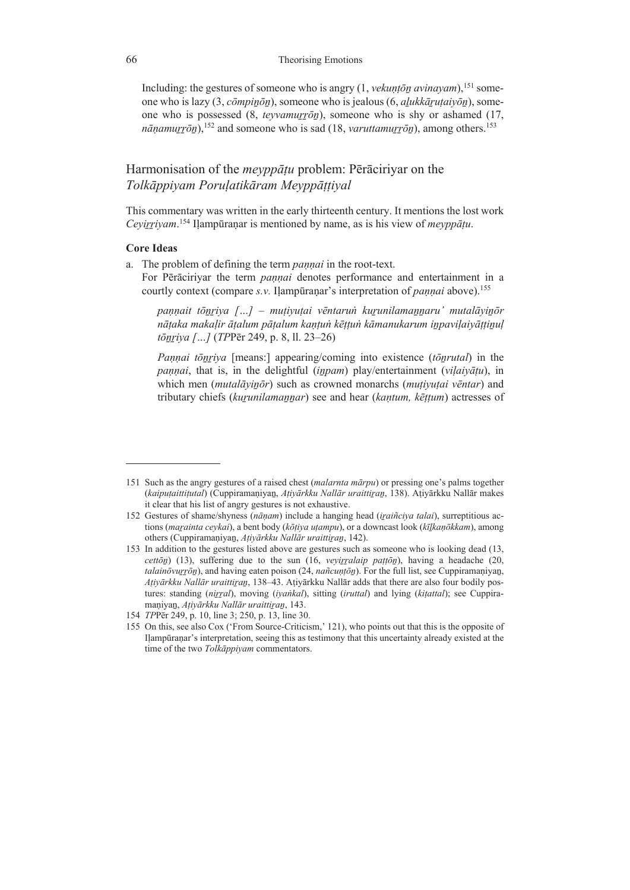Including: the gestures of someone who is angry (1, *vekunton avinayam*),<sup>151</sup> someone who is lazy (3, *cōmpiṉōṉ*), someone who is jealous (6, *aḻukkāṟuṭaiyōṉ*), someone who is possessed (8, *teyvamurron*), someone who is shy or ashamed (17,  $n\bar{a}$ *nanamurrōn*),<sup>152</sup> and someone who is sad (18, *varuttamurrōn*), among others.<sup>153</sup>

# Harmonisation of the *meyppāṭu* problem: Pērāciriyar on the *Tolkāppiyam Poruḷatikāram Meyppāṭṭiyal*

This commentary was written in the early thirteenth century. It mentions the lost work *Ceyiṟṟiyam*. 154 Iḷampūraṇar is mentioned by name, as is his view of *meyppāṭu*.

## **Core Ideas**

a. The problem of defining the term *paṇṇai* in the root-text.

For Pērāciriyar the term *pannai* denotes performance and entertainment in a courtly context (compare *s.v.* Iḷampūraṇar's interpretation of *paṇṇai* above).155

*paṇṇait tōṉṟiya […] – muṭiyuṭai vēntaruṅ kuṟunilamaṉṉaru' mutalāyiṉōr*  nātaka makalir ātalum pātalum kantun kēttun kāmanukarum inpavilaiyāttinul *tōṉṟiya […]* (*TP*Pēr 249, p. 8, ll. 23–26)

*Pannai tōnriya* [means:] appearing/coming into existence (*tōnrutal*) in the *paṇṇai*, that is, in the delightful (*iṉpam*) play/entertainment (*viḷaiyāṭu*), in which men (*mutalāyiṉōr*) such as crowned monarchs (*muṭiyuṭai vēntar*) and tributary chiefs (*kuṟunilamaṉṉar*) see and hear (*kaṇtum, kēṭṭum*) actresses of

<sup>151</sup> Such as the angry gestures of a raised chest (*malarnta mārpu*) or pressing one's palms together (*kaipuṭaittiṭutal*) (Cuppiramaṇiyaṉ, *Aṭiyārkku Nallār uraittiṟaṉ*, 138). Aṭiyārkku Nallār makes it clear that his list of angry gestures is not exhaustive.

<sup>152</sup> Gestures of shame/shyness (*nāṇam*) include a hanging head (*iṟaiñciya talai*), surreptitious actions (*maṟainta ceykai*), a bent body (*kōṭiya uṭampu*), or a downcast look (*kīḻkaṇōkkam*), among others (Cuppiramaṇiyaṉ, *Aṭiyārkku Nallār uraittiṟaṉ*, 142).

<sup>153</sup> In addition to the gestures listed above are gestures such as someone who is looking dead (13, *cettōṉ*) (13), suffering due to the sun (16, *veyiṟṟalaip paṭṭōṉ*), having a headache (20, *talainōvuṟṟōṉ*), and having eaten poison (24, *nañcuṇṭōṉ*). For the full list, see Cuppiramaṇiyaṉ, *Aṭiyārkku Nallār uraittiṟaṉ*, 138‒43. Aṭiyārkku Nallār adds that there are also four bodily postures: standing (*niṟṟal*), moving (*iyaṅkal*), sitting (*iruttal*) and lying (*kiṭattal*); see Cuppiramaṇiyaṉ, *Aṭiyārkku Nallār uraittiṟaṉ*, 143.

<sup>154</sup> *TP*Pēr 249, p. 10, line 3; 250, p. 13, line 30.

<sup>155</sup> On this, see also Cox ('From Source-Criticism,' 121), who points out that this is the opposite of Iḷampūraṇar's interpretation, seeing this as testimony that this uncertainty already existed at the time of the two *Tolkāppiyam* commentators.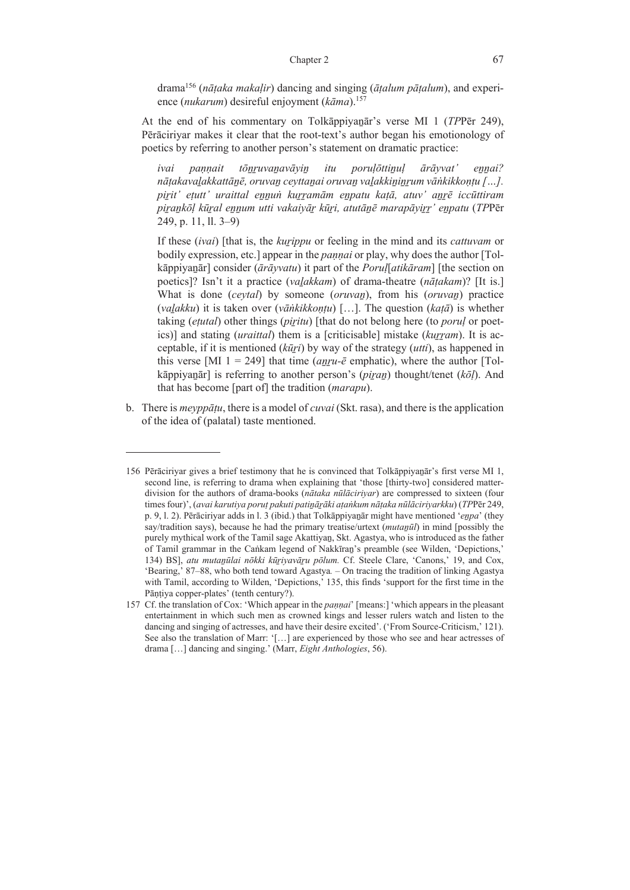### Chapter 2 67

drama156 (*nāṭaka makaḷir*) dancing and singing (*āṭalum pāṭalum*), and experience (*nukarum*) desireful enjoyment (*kāma*).157

At the end of his commentary on Tolkāppiyanār's verse MI 1 (*TP*Pēr 249), Pērāciriyar makes it clear that the root-text's author began his emotionology of poetics by referring to another person's statement on dramatic practice:

*ivai paṇṇait tōṉṟuvaṉavāyiṉ itu poruḷōttiṉuḷ ārāyvat' eṉṉai?*  nātakavalakkattānē, oruvan ceyttanai oruvan valakkininrum vānkikkontu [...]. *piṟit' eṭutt' uraittal eṉṉuṅ kuṟṟamām eṉpatu kaṭā, atuv' aṉṟē iccūttiram*  pirankōl kūral ennum utti vakaivār kūri, atutānē marapāvirr' enpatu (TPPēr 249, p. 11, ll. 3–9)

If these (*ivai*) [that is, the *kuṟippu* or feeling in the mind and its *cattuvam* or bodily expression, etc.] appear in the *pannai* or play, why does the author [Tolkāppiyaṉār] consider (*ārāyvatu*) it part of the *Poruḷ*[*atikāram*] [the section on poetics]? Isn't it a practice (*vaḻakkam*) of drama-theatre (*nāṭakam*)? [It is.] What is done (*ceytal*) by someone (*oruvaṉ*), from his (*oruvaṉ*) practice (*vaḻakku*) it is taken over (*vāṅkikkoṇṭu*) […]. The question (*kaṭā*) is whether taking (*eṭutal*) other things (*piṟitu*) [that do not belong here (to *poruḷ* or poetics)] and stating *(uraittal)* them is a *[criticisable]* mistake *(kurram)*. It is acceptable, if it is mentioned (*kūṟi*) by way of the strategy (*utti*), as happened in this verse [MI  $1 = 249$ ] that time *(anru-* $\bar{e}$  emphatic), where the author [Tolkāppiyanār] is referring to another person's (*piran*) thought/tenet ( $k\bar{o}l$ ). And that has become [part of] the tradition (*marapu*).

b. There is *meyppāṭu*, there is a model of *cuvai* (Skt. rasa), and there is the application of the idea of (palatal) taste mentioned.

<sup>156</sup> Pērāciriyar gives a brief testimony that he is convinced that Tolkāppiyaṉār's first verse MI 1, second line, is referring to drama when explaining that 'those [thirty-two] considered matterdivision for the authors of drama-books (*nātaka nūlāciriyar*) are compressed to sixteen (four times four)', (*avai karutiya poruṭ pakuti patiṉāṟāki aṭaṅkum nāṭaka nūlāciriyarkku*) (*TP*Pēr 249, p. 9, l. 2). Pērāciriyar adds in l. 3 (ibid.) that Tolkāppiyaṉār might have mentioned '*eṉpa*' (they say/tradition says), because he had the primary treatise/urtext (*mutaṉūl*) in mind [possibly the purely mythical work of the Tamil sage Akattiyaṉ, Skt. Agastya, who is introduced as the father of Tamil grammar in the Caṅkam legend of Nakkīraṉ's preamble (see Wilden, 'Depictions,' 134) BS], *atu mutaṉūlai nōkki kūṟiyavāṟu pōlum.* Cf. Steele Clare, 'Canons,' 19, and Cox, 'Bearing,' 87‒88, who both tend toward Agastya*.* – On tracing the tradition of linking Agastya with Tamil, according to Wilden, 'Depictions,' 135, this finds 'support for the first time in the Pāntiya copper-plates' (tenth century?).

<sup>157</sup> Cf. the translation of Cox: 'Which appear in the *paṇṇai*' [means:] 'which appears in the pleasant entertainment in which such men as crowned kings and lesser rulers watch and listen to the dancing and singing of actresses, and have their desire excited'. ('From Source-Criticism,' 121). See also the translation of Marr: '[…] are experienced by those who see and hear actresses of drama […] dancing and singing.' (Marr, *Eight Anthologies*, 56).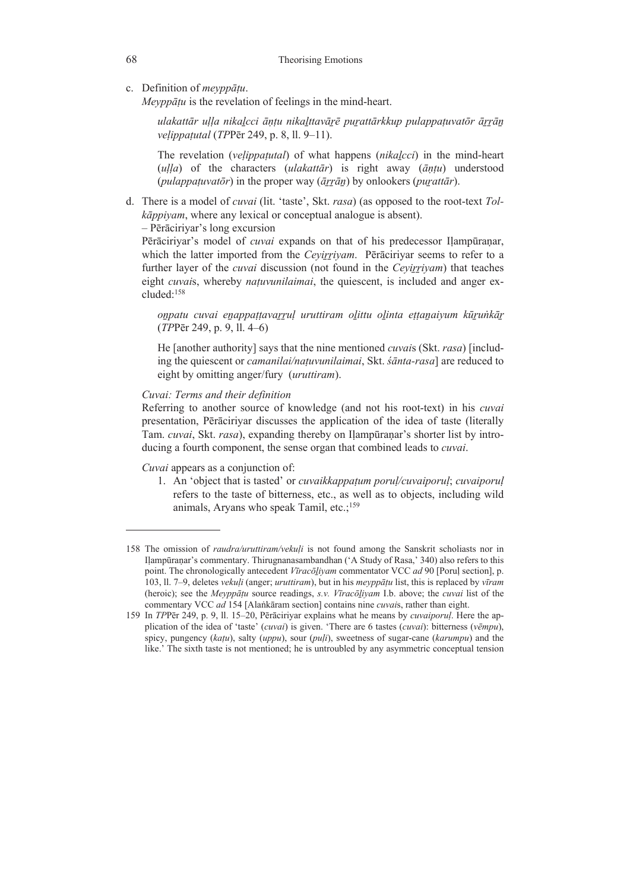c. Definition of *meyppāṭu*.

 *Meyppāṭu* is the revelation of feelings in the mind-heart.

ulakattār ulla nikalcci āntu nikalttavārē purattārkkup pulappatuvatōr ārrān *veḷippaṭutal* (*TP*Pēr 249, p. 8, ll. 9–11).

The revelation (*veḷippaṭutal*) of what happens (*nikaḻcci*) in the mind-heart  $(ulla)$  of the characters  $(ulakat\bar{a}r)$  is right away  $(\bar{a}ntu)$  understood (*pulappaṭuvatōr*) in the proper way (*āṟṟāṉ*) by onlookers (*puṟattār*).

d. There is a model of *cuvai* (lit. 'taste', Skt. *rasa*) (as opposed to the root-text *Tolkāppiyam*, where any lexical or conceptual analogue is absent).

– Pērāciriyar's long excursion

Pērāciriyar's model of *cuvai* expands on that of his predecessor Ilampūranar, which the latter imported from the *Ceyirriyam*. Pērāciriyar seems to refer to a further layer of the *cuvai* discussion (not found in the *Ceyiṟṟiyam*) that teaches eight *cuvais*, whereby *natuvunilaimai*, the quiescent, is included and anger excluded:158

onpatu cuvai enappațțavarrul uruttiram olittu olinta ețțanaiyum kūrunkār (*TP*Pēr 249, p. 9, ll. 4–6)

He [another authority] says that the nine mentioned *cuvai*s (Skt. *rasa*) [including the quiescent or *camanilai/naṭuvunilaimai*, Skt. *śānta-rasa*] are reduced to eight by omitting anger/fury (*uruttiram*).

 *Cuvai: Terms and their definition* 

 Referring to another source of knowledge (and not his root-text) in his *cuvai* presentation, Pērāciriyar discusses the application of the idea of taste (literally Tam. *cuvai*, Skt. *rasa*), expanding thereby on Iḷampūraṇar's shorter list by introducing a fourth component, the sense organ that combined leads to *cuvai*.

 *Cuvai* appears as a conjunction of:

1. An 'object that is tasted' or *cuvaikkappaṭum poruḷ/cuvaiporuḷ*; *cuvaiporuḷ* refers to the taste of bitterness, etc., as well as to objects, including wild animals, Aryans who speak Tamil,  $etc.;<sup>159</sup>$ 

<sup>158</sup> The omission of *raudra/uruttiram/vekuḷi* is not found among the Sanskrit scholiasts nor in Iḷampūraṇar's commentary. Thirugnanasambandhan ('A Study of Rasa,' 340) also refers to this point. The chronologically antecedent *Vīracōḻiyam* commentator VCC *ad* 90 [Poruḷ section], p. 103, ll. 7‒9, deletes *vekuḷi* (anger; *uruttiram*), but in his *meyppāṭu* list, this is replaced by *vīram* (heroic); see the *Meyppāṭu* source readings, *s.v. Vīracōḻiyam* I.b. above; the *cuvai* list of the commentary VCC *ad* 154 [Alaṅkāram section] contains nine *cuvai*s, rather than eight.

<sup>159</sup> In *TP*Pēr 249, p. 9, ll. 15‒20, Pērāciriyar explains what he means by *cuvaiporuḷ*. Here the application of the idea of 'taste' (*cuvai*) is given. 'There are 6 tastes (*cuvai*): bitterness (*vēmpu*), spicy, pungency (*kaṭu*), salty (*uppu*), sour (*puḷi*), sweetness of sugar-cane (*karumpu*) and the like.' The sixth taste is not mentioned; he is untroubled by any asymmetric conceptual tension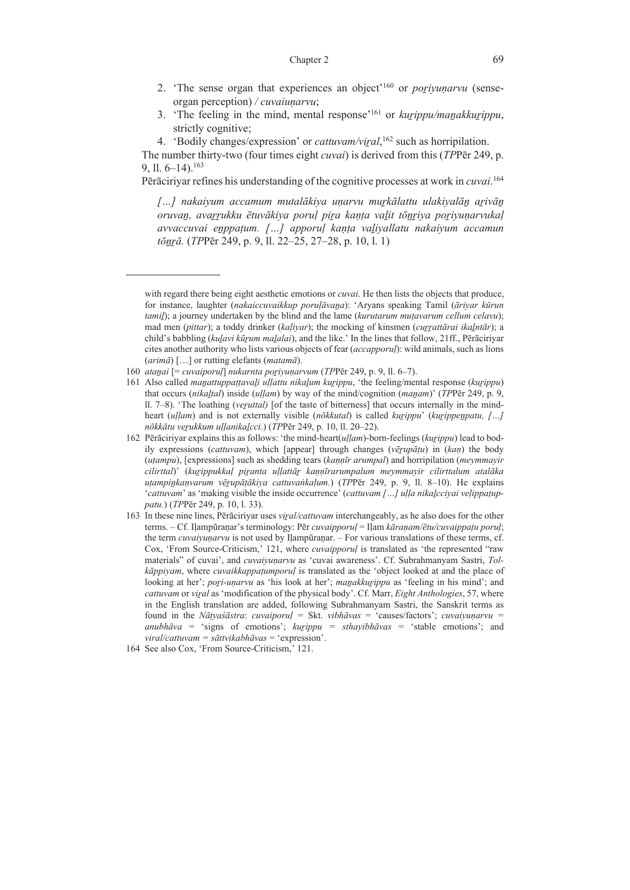- 2. 'The sense organ that experiences an object'160 or *poṟiyuṇarvu* (senseorgan perception) */ cuvaiuṇarvu*;
- 3. 'The feeling in the mind, mental response'161 or *kuṟippu/maṉakkuṟippu*, strictly cognitive;
- 4. 'Bodily changes/expression' or *cattuvam/viṟal*, 162 such as horripilation.

 The number thirty-two (four times eight *cuvai*) is derived from this (*TP*Pēr 249, p. 9, 11,  $6-14$ ).<sup>163</sup>

Pērāciriyar refines his understanding of the cognitive processes at work in *cuvai*. 164

*[…] nakaiyum accamum mutalākiya uṇarvu muṟkālattu ulakiyalāṉ aṟivāṉ* oruvan, avarrukku ētuvākiya poruļ pira kaņța valit tonriya poriyuņarvukaļ *avvaccuvai eṉppaṭum. […] apporuḷ kaṇṭa vaḻiyallatu nakaiyum accamun tōṉṟā.* (*TP*Pēr 249, p. 9, ll. 22–25, 27–28, p. 10, l. 1)

with regard there being eight aesthetic emotions or *cuvai*. He then lists the objects that produce, for instance, laughter (*nakaiccuvaikkup poruḷāvaṉa*): 'Aryans speaking Tamil (*āriyar kūrun tamiḻ*); a journey undertaken by the blind and the lame (*kurutarum muṭavarum cellum celavu*); mad men (*pittar*); a toddy drinker (*kaḷiyar*); the mocking of kinsmen (*cuṟṟattārai ikaḻntār*); a child's babbling (*kuḻavi kūṟum maḻalai*), and the like.' In the lines that follow, 21ff., Pērāciriyar cites another authority who lists various objects of fear (*accapporuḷ*): wild animals, such as lions (*arimā*) […] or rutting elefants (*matamā*).

<sup>160</sup> *ataṉai* [= *cuvaiporuḷ*] *nukarnta poṟiyuṇarvum* (*TP*Pēr 249, p. 9, ll. 6‒7).

<sup>161</sup> Also called *maṉattuppaṭṭavaḻi uḷḷattu nikaḻum kuṟippu*, 'the feeling/mental response (*kuṟippu*) that occurs (*nikaḻtal*) inside (*uḷḷam*) by way of the mind/cognition (*maṉam*)' (*TP*Pēr 249, p. 9, ll. 7‒8). 'The loathing (*veṟuttal)* [of the taste of bitterness] that occurs internally in the mindheart (*uḷḷam*) and is not externally visible (*nōkkutal*) is called *kuṟippu*' (*kuṟippeṉpatu, […] nōkkātu veṟukkum uḷḷanikaḻcci*.) (*TP*Pēr 249, p. 10, ll. 20‒22).

<sup>162</sup> Pērāciriyar explains this as follows: 'the mind-heart(*uḷḷam*)-born-feelings (*kuṟippu*) lead to bodily expressions (*cattuvam*), which [appear] through changes (*vēṟupāṭu*) in (*kaṇ*) the body (*uṭampu*), [expressions] such as shedding tears (*kaṇṇīr arumpal*) and horripilation (*meymmayir cilirttal*)' (*kuṟippukkaḷ piṟanta uḷḷattāṟ kaṇṇīrarumpalum meymmayir cilirttalum atalāka uṭampiṉkaṇvarum vēṟupāṭākiya cattuvaṅkaḷum.*) (*TP*Pēr 249, p. 9, ll. 8‒10). He explains '*cattuvam*' as 'making visible the inside occurrence' (*cattuvam […] uḷḷa nikaḻcciyai veḷippaṭuppatu.*) (*TP*Pēr 249, p. 10, l. 33).

<sup>163</sup> In these nine lines, Pērāciriyar uses *viṟal/cattuvam* interchangeably, as he also does for the other terms. – Cf. Iḷampūraṇar's terminology: Pēr *cuvaipporuḷ* = Iḷam *kāraṇam/ētu/cuvaippaṭu poruḷ*; the term *cuvaiyuṇarvu* is not used by Iḷampūraṇar. – For various translations of these terms, cf. Cox, 'From Source-Criticism,' 121, where *cuvaipporuḷ* is translated as 'the represented "raw materials" of cuvai', and *cuvaiyuṇarvu* as 'cuvai awareness'. Cf. Subrahmanyam Sastri, *Tolkāppiyam*, where *cuvaikkappaṭumporuḷ* is translated as the 'object looked at and the place of looking at her'; *pori-unarvu* as 'his look at her'; *manakkurippu* as 'feeling in his mind'; and *cattuvam* or *viṟal* as 'modification of the physical body'. Cf. Marr, *Eight Anthologies*, 57, where in the English translation are added, following Subrahmanyam Sastri, the Sanskrit terms as found in the *Nāṭyaśāstra*: *cuvaiporuḷ =* Skt. *vibhāvas* = 'causes/factors'; *cuvaiyuṇarvu = anubhāva* = 'signs of emotions'; *kuṟippu = sthayibhāvas* = 'stable emotions'; and *viral/cattuvam = sāttvikabhāvas* = 'expression'.

<sup>164</sup> See also Cox, 'From Source-Criticism,' 121.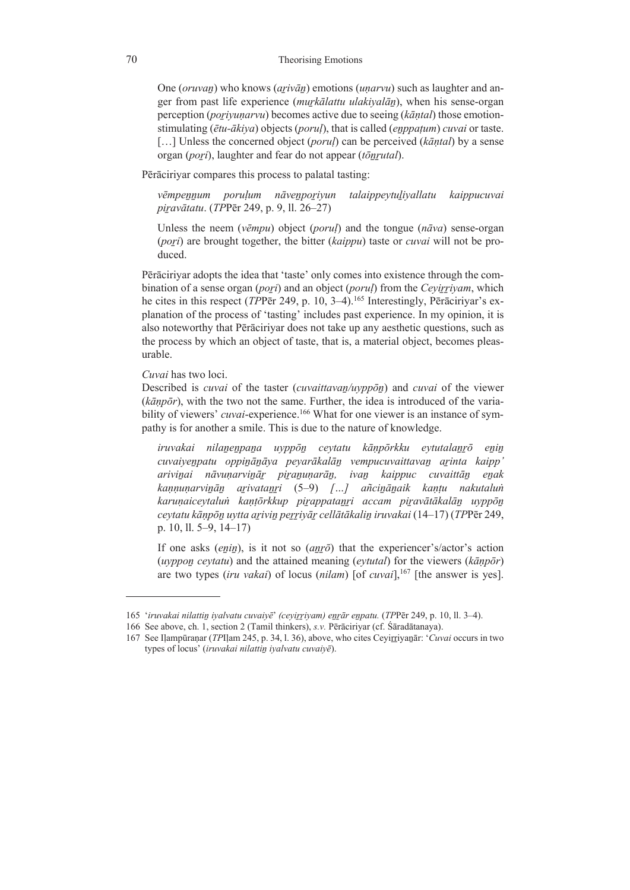One (*oruvaṉ*) who knows (*aṟivāṉ*) emotions (*uṇarvu*) such as laughter and anger from past life experience (*muṟkālattu ulakiyalāṉ*), when his sense-organ perception (*poṟiyuṇarvu*) becomes active due to seeing (*kāṇtal*) those emotionstimulating (*ētu-ākiya*) objects (*poruḷ*), that is called (*eṉppaṭum*) *cuvai* or taste. […] Unless the concerned object (*poruḷ*) can be perceived (*kāṇtal*) by a sense organ (*poṟi*), laughter and fear do not appear (*tōṉṟutal*).

Pērāciriyar compares this process to palatal tasting:

*vēmpeṉṉum poruḷum nāveṉpoṟiyun talaippeytuḻiyallatu kaippucuvai piṟavātatu*. (*TP*Pēr 249, p. 9, ll. 26‒27)

Unless the neem (*vēmpu*) object (*poruḷ*) and the tongue (*nāva*) sense-organ (*poṟi*) are brought together, the bitter (*kaippu*) taste or *cuvai* will not be produced.

 Pērāciriyar adopts the idea that 'taste' only comes into existence through the combination of a sense organ (*poṟi*) and an object (*poruḷ*) from the *Ceyiṟṟiyam*, which he cites in this respect (*TPP*ēr 249, p. 10, 3–4).<sup>165</sup> Interestingly, Pērāciriyar's explanation of the process of 'tasting' includes past experience. In my opinion, it is also noteworthy that Pērāciriyar does not take up any aesthetic questions, such as the process by which an object of taste, that is, a material object, becomes pleasurable.

 *Cuvai* has two loci.

 Described is *cuvai* of the taster (*cuvaittavaṉ/uyppōṉ*) and *cuvai* of the viewer (*kāṇpōr*), with the two not the same. Further, the idea is introduced of the variability of viewers' *cuvai*-experience.<sup>166</sup> What for one viewer is an instance of sympathy is for another a smile. This is due to the nature of knowledge.

*iruvakai nilaṉeṉpaṉa uyppōṉ ceytatu kāṇpōrkku eytutalaṉṟō eṉiṉ cuvaiyeṉpatu oppiṉāṉāya peyarākalāṉ vempucuvaittavaṉ aṟinta kaipp' ariviṉai nāvuṇarviṉāṟ piṟaṉuṇarāṉ, ivaṉ kaippuc cuvaittāṉ eṉak kaṇṇuṇarviṉāṉ aṟivataṉṟi* (5–9) *[…] añciṉāṉaik kaṇṭu nakutaluṅ karuṇaiceytaluṅ kaṇṭōrkkup piṟappataṉṟi accam piṟavātākalāṉ uyppōṉ ceytatu kāṇpōṉ uytta aṟiviṉ peṟṟiyāṟ cellātākaliṉ iruvakai* (14–17) (*TP*Pēr 249, p. 10, ll. 5–9, 14–17)

If one asks (*enin*), is it not so (*anro*) that the experiencer's/actor's action (*uyppoṉ ceytatu*) and the attained meaning (*eytutal*) for the viewers (*kāṇpōr*) are two types *(iru vakai)* of locus *(nilam)* [of *cuvai*],<sup>167</sup> [the answer is yes].

<sup>165 &#</sup>x27;*iruvakai nilattiṉ iyalvatu cuvaiyē*' *(ceyiṟṟiyam) eṉṟār eṉpatu.* (*TP*Pēr 249, p. 10, ll. 3‒4).

<sup>166</sup> See above, ch. 1, section 2 (Tamil thinkers), *s.v.* Pērāciriyar (cf. Śāradātanaya).

<sup>167</sup> See Iḷampūraṇar (*TP*Iḷam 245, p. 34, l. 36), above, who cites Ceyiṟṟiyaṉār: '*Cuvai* occurs in two types of locus' (*iruvakai nilattiṉ iyalvatu cuvaiyē*).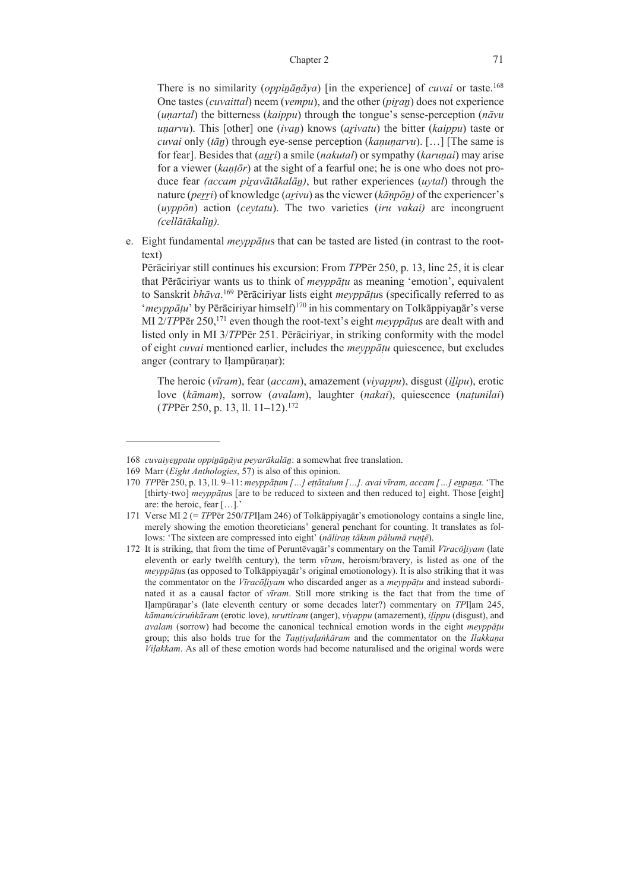### Chapter 2 71

There is no similarity (*oppinana*<sup>*zya*</sup>) [in the experience] of *cuvai* or taste.<sup>168</sup> One tastes (*cuvaittal*) neem (*vempu*), and the other (*piṟaṉ*) does not experience (*uṇartal*) the bitterness (*kaippu*) through the tongue's sense-perception (*nāvu uṇarvu*). This [other] one (*ivaṉ*) knows (*aṟivatu*) the bitter (*kaippu*) taste or *cuvai* only (*tāṉ*) through eye-sense perception (*kaṇuṇarvu*). […] [The same is for fear]. Besides that (*aṉṟi*) a smile (*nakutal*) or sympathy (*karuṇai*) may arise for a viewer (*kaṇṭōr*) at the sight of a fearful one; he is one who does not produce fear *(accam piṟavātākalāṉ)*, but rather experiences (*uytal*) through the nature (*peṟṟi*) of knowledge (*aṟivu*) as the viewer (*kāṇpōṉ)* of the experiencer's (*uyppōn*) action (*ceytatu*). The two varieties (*iru vakai)* are incongruent *(cellātākaliṉ).*

e. Eight fundamental *meyppāṭu*s that can be tasted are listed (in contrast to the roottext)

 Pērāciriyar still continues his excursion: From *TP*Pēr 250, p. 13, line 25, it is clear that Pērāciriyar wants us to think of *meyppāṭu* as meaning 'emotion', equivalent to Sanskrit *bhāva*. 169 Pērāciriyar lists eight *meyppāṭu*s (specifically referred to as '*meyppātu'* by Pērāciriyar himself)<sup>170</sup> in his commentary on Tolkāppiyanār's verse MI 2/*TP*Pēr 250,<sup>171</sup> even though the root-text's eight *meyppātus* are dealt with and listed only in MI 3/*TP*Pēr 251. Pērāciriyar, in striking conformity with the model of eight *cuvai* mentioned earlier, includes the *meyppāṭu* quiescence, but excludes anger (contrary to Ilampūranar):

The heroic (*vīram*), fear (*accam*), amazement (*viyappu*), disgust (*iḻipu*), erotic love (*kāmam*), sorrow (*avalam*), laughter (*nakai*), quiescence (*naṭunilai*) (*TP*Pēr 250, p. 13, ll. 11–12).172

<sup>168</sup> *cuvaiyeṉpatu oppiṉāṉāya peyarākalāṉ*: a somewhat free translation.

<sup>169</sup> Marr (*Eight Anthologies*, 57) is also of this opinion.

<sup>170</sup> *TP*Pēr 250, p. 13, ll. 9‒11: *meyppāṭum […] eṭṭātalum […]. avai vīram, accam […] eṉpaṉa*. 'The [thirty-two] *meyppātus* [are to be reduced to sixteen and then reduced to] eight. Those [eight] are: the heroic, fear […].'

<sup>171</sup> Verse MI 2 (= *TP*Pēr 250/*TP*Iḷam 246) of Tolkāppiyaṉār's emotionology contains a single line, merely showing the emotion theoreticians' general penchant for counting. It translates as follows: 'The sixteen are compressed into eight' (*nāliraṇ tākum pālumā ruṇṭē*).

<sup>172</sup> It is striking, that from the time of Peruntēvaṉār's commentary on the Tamil *Vīracōḻiyam* (late eleventh or early twelfth century), the term *vīram*, heroism/bravery, is listed as one of the *meyppātus* (as opposed to Tolkāppiyanār's original emotionology). It is also striking that it was the commentator on the *Vīracōḻiyam* who discarded anger as a *meyppāṭu* and instead subordinated it as a causal factor of *vīram*. Still more striking is the fact that from the time of Iḷampūraṇar's (late eleventh century or some decades later?) commentary on *TP*Iḷam 245, *kāmam/ciruṅkāram* (erotic love), *uruttiram* (anger), *viyappu* (amazement), *iḻippu* (disgust), and *avalam* (sorrow) had become the canonical technical emotion words in the eight *meyppāṭu* group; this also holds true for the *Taṇṭiyaḷaṅkāram* and the commentator on the *Ilakkaṇa Viḷakkam*. As all of these emotion words had become naturalised and the original words were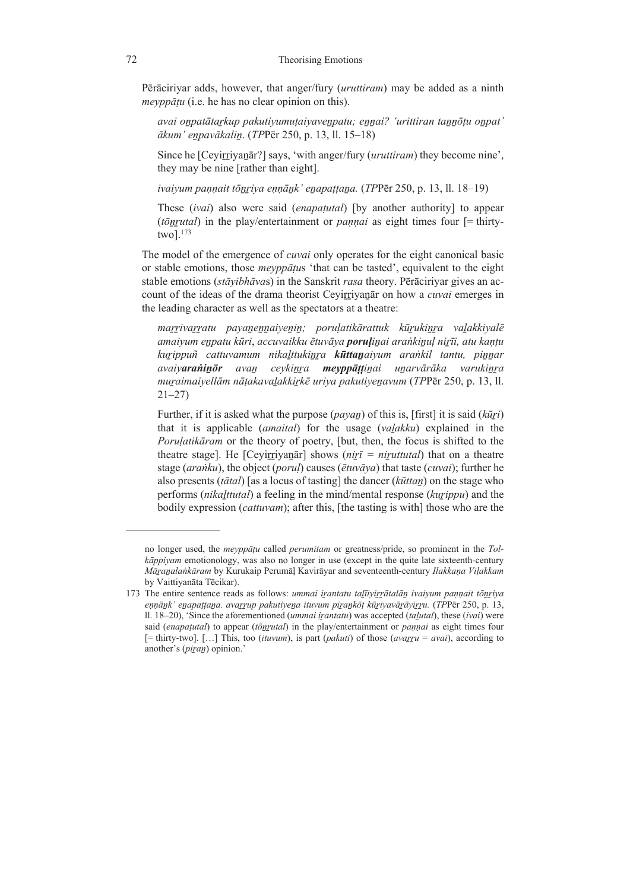Pērāciriyar adds, however, that anger/fury (*uruttiram*) may be added as a ninth *meyppāṭu* (i.e. he has no clear opinion on this).

*avai oṉpatātaṟkup pakutiyumuṭaiyaveṉpatu; eṉṉai? 'urittiran taṉṉōṭu oṉpat' ākum' eṉpavākaliṉ*. (*TP*Pēr 250, p. 13, ll. 15–18)

Since he [Ceyirriyanati] says, 'with anger/fury *(uruttiram)* they become nine', they may be nine [rather than eight].

*ivaiyum paṇṇait tōṉṟiya eṇṇāṉk' eṉapaṭṭaṉa.* (*TP*Pēr 250, p. 13, ll. 18–19)

These (*ivai*) also were said (*enapaṭutal*) [by another authority] to appear (*tōṉṟutal*) in the play/entertainment or *paṇṇai* as eight times four [= thirtytwo].173

 The model of the emergence of *cuvai* only operates for the eight canonical basic or stable emotions, those *meyppāṭu*s 'that can be tasted', equivalent to the eight stable emotions (*stāyibhāva*s) in the Sanskrit *rasa* theory. Pērāciriyar gives an account of the ideas of the drama theorist Ceyirriyanar on how a *cuvai* emerges in the leading character as well as the spectators at a theatre:

marrivarratu payanennaiyenin; poruļatikārattuk kūrukinra valakkiyalē amaiyum enpatu kūri, accuvaikku ētuvāya poruļinai arankinuļ nirīi, atu kantu *kuṟippuñ cattuvamum nikaḻttukiṉṟa kūttaṉaiyum araṅkil tantu, piṉṉar*  avaiyaraninōr avan ceykinra meyppāttinai unarvārāka varukinra *muṟaimaiyellām nāṭakavaḻakkiṟkē uriya pakutiyeṉavum* (*TP*Pēr 250, p. 13, ll. 21–27)

Further, if it is asked what the purpose (*payaṉ*) of this is, [first] it is said (*kūṟi*) that it is applicable (*amaital*) for the usage (*vaḻakku*) explained in the *Poruḷatikāram* or the theory of poetry, [but, then, the focus is shifted to the theatre stage]. He [Ceyiṟṟiyaṉār] shows (*niṟī = niṟuttutal*) that on a theatre stage (*araṅku*), the object (*poruḷ*) causes (*ētuvāya*) that taste (*cuvai*); further he also presents (*tātal*) [as a locus of tasting] the dancer (*kūttaṉ*) on the stage who performs (*nikaḻttutal*) a feeling in the mind/mental response (*kuṟippu*) and the bodily expression (*cattuvam*); after this, [the tasting is with] those who are the

no longer used, the *meyppāṭu* called *perumitam* or greatness/pride, so prominent in the *Tolkāppiyam* emotionology, was also no longer in use (except in the quite late sixteenth-century *Māṟaṉalaṅkāram* by Kurukaip Perumāḷ Kavirāyar and seventeenth-century *Ilakkaṇa Viḷakkam* by Vaittiyanāta Tēcikar).

<sup>173</sup> The entire sentence reads as follows: *ummai iṟantatu taḻīiyiṟṟātalāṉ ivaiyum paṇṇait tōṉṟiya*  ennānk' enapattana, avarrup pakutivena ituvum pirankōt kūrivavārāvirru. (TPPēr 250, p. 13, ll. 18‒20), 'Since the aforementioned (*ummai iṟantatu*) was accepted (*taḻutal*), these (*ivai*) were said (*enapaṭutal*) to appear (*tōṉṟutal*) in the play/entertainment or *paṇṇai* as eight times four [= thirty-two]. […] This, too (*ituvum*), is part (*pakuti*) of those (*avaṟṟu = avai*), according to another's (*piṟaṉ*) opinion.'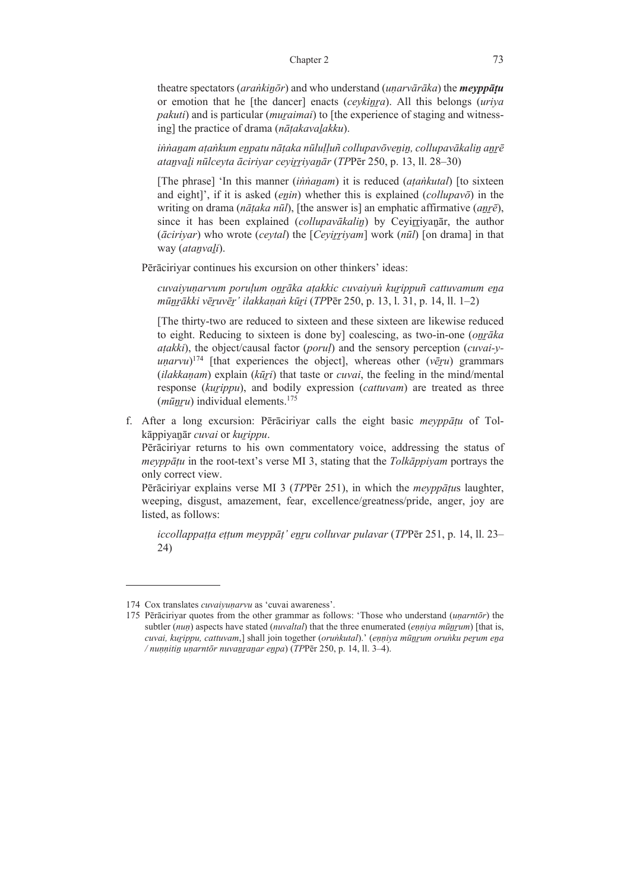theatre spectators (*araṅkiṉōr*) and who understand (*uṇarvārāka*) the *meyppāṭu* or emotion that he [the dancer] enacts (*ceykiṉṟa*). All this belongs (*uriya pakuti*) and is particular *(muraimai)* to *[the experience of staging and witness*ing] the practice of drama (*nāṭakavaḻakku*).

innanam atankum enpatu nātaka nūlulluñ collupavōvenin, collupavākalin anrē *ataṉvaḻi nūlceyta āciriyar ceyiṟṟiyaṉār* (*TP*Pēr 250, p. 13, ll. 28–30)

[The phrase] 'In this manner (*iṅṅaṉam*) it is reduced (*aṭaṅkutal*) [to sixteen and eight]', if it is asked  $(\text{enin})$  whether this is explained  $(\text{collup} \alpha \nu \bar{\sigma})$  in the writing on drama (*nāṭaka nūl*), [the answer is] an emphatic affirmative (*aṉṟē*), since it has been explained *(collupavākalin)* by Ceyirriyanar, the author (*āciriyar*) who wrote (*ceytal*) the [*Ceyiṟṟiyam*] work (*nūl*) [on drama] in that way (*ataṉvaḻi*).

Pērāciriyar continues his excursion on other thinkers' ideas:

*cuvaiyuṇarvum poruḷum oṉṟāka aṭakkic cuvaiyuṅ kuṟippuñ cattuvamum eṉa mūṉṟākki vēṟuvēṟ' ilakkaṇaṅ kūṟi* (*TP*Pēr 250, p. 13, l. 31, p. 14, ll. 1–2)

[The thirty-two are reduced to sixteen and these sixteen are likewise reduced to eight. Reducing to sixteen is done by] coalescing, as two-in-one (*onrāka aṭakki*), the object/causal factor (*poruḷ*) and the sensory perception (*cuvai-y-* $\mu$ *narvu*)<sup>174</sup> [that experiences the object], whereas other (*vēru*) grammars (*ilakkaṇam*) explain (*kūṟi*) that taste or *cuvai*, the feeling in the mind/mental response (*kuṟippu*), and bodily expression (*cattuvam*) are treated as three (*mūnru*) individual elements.<sup>175</sup>

f. After a long excursion: Pērāciriyar calls the eight basic *meyppāṭu* of Tolkāppiyaṉār *cuvai* or *kuṟippu*.

 Pērāciriyar returns to his own commentatory voice, addressing the status of *meyppāṭu* in the root-text's verse MI 3, stating that the *Tolkāppiyam* portrays the only correct view.

 Pērāciriyar explains verse MI 3 (*TP*Pēr 251), in which the *meyppāṭu*s laughter, weeping, disgust, amazement, fear, excellence/greatness/pride, anger, joy are listed, as follows:

*iccollappaṭṭa eṭṭum meyppāṭ' eṉṟu colluvar pulavar* (*TP*Pēr 251, p. 14, ll. 23– 24)

<sup>174</sup> Cox translates *cuvaiyuṇarvu* as 'cuvai awareness'.

<sup>175</sup> Pērāciriyar quotes from the other grammar as follows: 'Those who understand (*uṇarntōr*) the subtler (*nuṇ*) aspects have stated (*nuvaltal*) that the three enumerated (*eṇṇiya mūṉṟum*) [that is, *cuvai, kuṟippu, cattuvam*,] shall join together (*oruṅkutal*).' (*eṇṇiya mūṉṟum oruṅku peṟum eṉa / nuṇṇitiṉ uṇarntōr nuvaṉṟaṉar eṉpa*) (*TP*Pēr 250, p. 14, ll. 3‒4).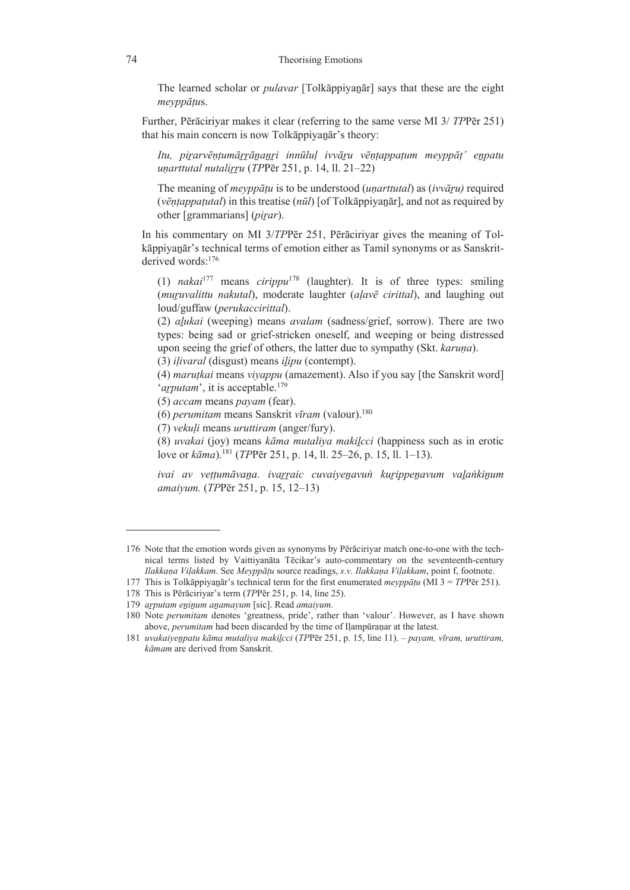The learned scholar or *pulavar* [Tolkāppiyaṉār] says that these are the eight *meyppāṭu*s.

 Further, Pērāciriyar makes it clear (referring to the same verse MI 3/ *TP*Pēr 251) that his main concern is now Tolkappiyanar's theory:

Itu, pirarvēntumārrānanri innūlul ivvāru vēntappatum mevppāt' enpatu *uṇarttutal nutaliṟṟu* (*TP*Pēr 251, p. 14, ll. 21–22)

The meaning of *meyppāṭu* is to be understood (*uṇarttutal*) as (*ivvāṟu)* required (*vēṇṭappaṭutal*) in this treatise (*nūl*) [of Tolkāppiyaṉār], and not as required by other [grammarians] (*piṟar*).

 In his commentary on MI 3/*TP*Pēr 251, Pērāciriyar gives the meaning of Tolkāppiyanār's technical terms of emotion either as Tamil synonyms or as Sanskritderived words:176

(1) *nakai*177 means *cirippu*178 (laughter). It is of three types: smiling (*muṟuvalittu nakutal*), moderate laughter (*aḷavē cirittal*), and laughing out loud/guffaw (*perukaccirittal*).

(2) *aḻukai* (weeping) means *avalam* (sadness/grief, sorrow). There are two types: being sad or grief-stricken oneself, and weeping or being distressed upon seeing the grief of others, the latter due to sympathy (Skt. *karuṇa*).

(3) *iḷivaral* (disgust) means *iḻipu* (contempt).

(4) *maruṭkai* means *viyappu* (amazement). Also if you say [the Sanskrit word] '*arputam*', it is acceptable.<sup>179</sup>

(5) *accam* means *payam* (fear).

(6) *perumitam* means Sanskrit *vīram* (valour).180

(7) *vekuḷi* means *uruttiram* (anger/fury).

(8) *uvakai* (joy) means *kāma mutaliya makiḻcci* (happiness such as in erotic love or *kāma*).181 (*TP*Pēr 251, p. 14, ll. 25–26, p. 15, ll. 1–13).

ivai av vettumāvana, ivarraic cuvaiyenavun kurippenavum valankinum *amaiyum.* (*TP*Pēr 251, p. 15, 12–13)

<sup>176</sup> Note that the emotion words given as synonyms by Pērāciriyar match one-to-one with the technical terms listed by Vaittiyanāta Tēcikar's auto-commentary on the seventeenth-century *Ilakkaṇa Viḷakkam*. See *Meyppāṭu* source readings, *s.v. Ilakkaṇa Viḷakkam*, point f, footnote.

<sup>177</sup> This is Tolkāppiyaṉār's technical term for the first enumerated *meyppāṭu* (MI 3 = *TP*Pēr 251).

<sup>178</sup> This is Pērāciriyar's term (*TP*Pēr 251, p. 14, line 25).

<sup>179</sup> *aṟputam eṉiṉum aṉamayum* [sic]. Read *amaiyum.*

<sup>180</sup> Note *perumitam* denotes 'greatness, pride', rather than 'valour'. However, as I have shown above, *perumitam* had been discarded by the time of Iḷampūraṇar at the latest.

<sup>181</sup> *uvakaiyeṉpatu kāma mutaliya makiḻcci* (*TP*Pēr 251, p. 15, line 11). – *payam, vīram, uruttiram, kāmam* are derived from Sanskrit.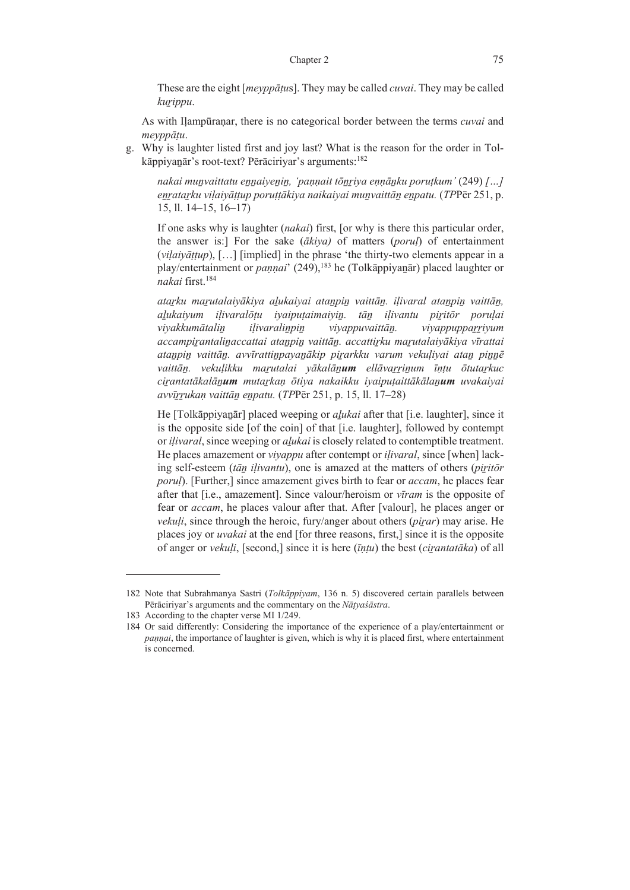These are the eight [*meyppāṭu*s]. They may be called *cuvai*. They may be called *kuṟippu*.

 As with Iḷampūraṇar, there is no categorical border between the terms *cuvai* and *meyppāṭu*.

g. Why is laughter listed first and joy last? What is the reason for the order in Tolkāppiyaṉār's root-text? Pērāciriyar's arguments:182

*nakai muṉvaittatu eṉṉaiyeṉiṉ, 'paṇṇait tōṉṟiya eṇṇāṉku poruṭkum'* (249) *[…] eṉṟataṟku viḷaiyāṭṭup poruṭṭākiya naikaiyai muṉvaittāṉ eṉpatu.* (*TP*Pēr 251, p. 15, ll. 14–15, 16–17)

If one asks why is laughter (*nakai*) first, [or why is there this particular order, the answer is:] For the sake (*ākiya)* of matters (*poruḷ*) of entertainment (*viḷaiyāṭṭup*), […] [implied] in the phrase 'the thirty-two elements appear in a play/entertainment or *paṇṇai*' (249),183 he (Tolkāppiyaṉār) placed laughter or *nakai* first.184

atarku marutalaiyākiya aļukaiyai atanpin vaittāņ. iļivaral atanpin vaittāņ, *aḻukaiyum iḷivaralōṭu iyaipuṭaimaiyiṉ. tāṉ iḷivantu piṟitōr poruḷai viyakkumātaliṉ iḷivaraliṉpiṉ viyappuvaittāṉ. viyappuppaṟṟiyum accampiṟantaliṉaccattai ataṉpiṉ vaittāṉ. accattiṟku maṟutalaiyākiya vīrattai ataṉpiṉ vaittāṉ. avvīrattiṉpayaṉākip piṟarkku varum vekuḷiyai ataṉ piṉṉē* vaittān. vekuļikku marutalai yākalānum ellāvarrinum īntu otutarkuc cirantatākalānum mutarkan ōtiya nakaikku iyaiputaittākālanum uvakaiyai *avvīṟṟukaṇ vaittāṉ eṉpatu.* (*TP*Pēr 251, p. 15, ll. 17–28)

He [Tolkappiyanar] placed weeping or *alukai* after that [i.e. laughter], since it is the opposite side [of the coin] of that [i.e. laughter], followed by contempt or *iḷivaral*, since weeping or *aḻukai* is closely related to contemptible treatment. He places amazement or *viyappu* after contempt or *iḷivaral*, since [when] lacking self-esteem (*tāṉ iḷivantu*), one is amazed at the matters of others (*piṟitōr porul*). [Further,] since amazement gives birth to fear or *accam*, he places fear after that [i.e., amazement]. Since valour/heroism or *vīram* is the opposite of fear or *accam*, he places valour after that. After [valour], he places anger or *vekuḷi*, since through the heroic, fury/anger about others (*piṟar*) may arise. He places joy or *uvakai* at the end [for three reasons, first,] since it is the opposite of anger or *vekuḷi*, [second,] since it is here (*īṇṭu*) the best (*ciṟantatāka*) of all

<sup>182</sup> Note that Subrahmanya Sastri (*Tolkāppiyam*, 136 n. 5) discovered certain parallels between Pērāciriyar's arguments and the commentary on the *Nāṭyaśāstra*.

<sup>183</sup> According to the chapter verse MI 1/249.

<sup>184</sup> Or said differently: Considering the importance of the experience of a play/entertainment or *paṇṇai*, the importance of laughter is given, which is why it is placed first, where entertainment is concerned.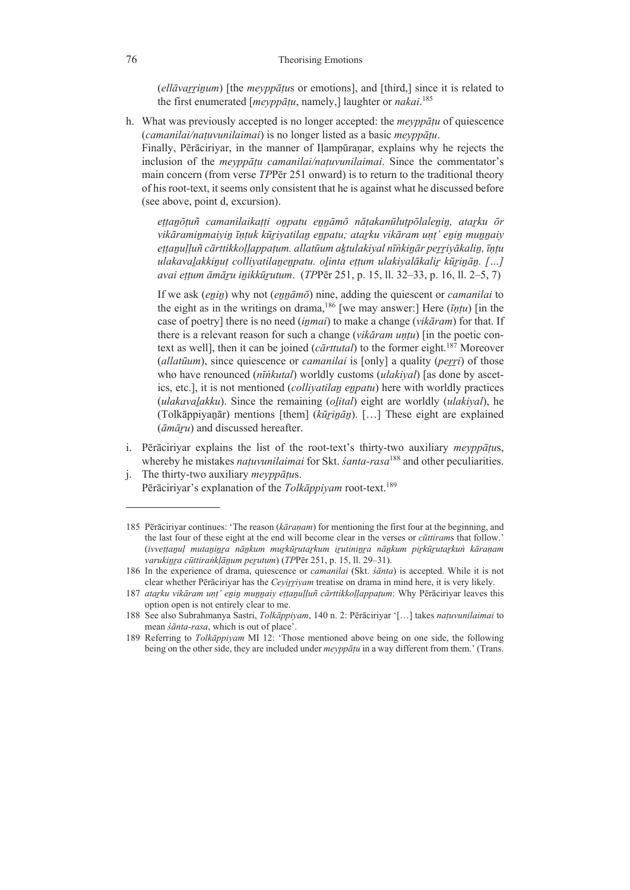(*ellāvaṟṟiṉum*) [the *meyppāṭu*s or emotions], and [third,] since it is related to the first enumerated [*meyppāṭu*, namely,] laughter or *nakai*. 185

h. What was previously accepted is no longer accepted: the *meyppāṭu* of quiescence (*camanilai/naṭuvunilaimai*) is no longer listed as a basic *meyppāṭu*.

Finally, Pērāciriyar, in the manner of Ilampūranar, explains why he rejects the inclusion of the *meyppāṭu camanilai/naṭuvunilaimai*. Since the commentator's main concern (from verse *TP*Pēr 251 onward) is to return to the traditional theory of his root-text, it seems only consistent that he is against what he discussed before (see above, point d, excursion).

ettanõtuñ camanilaikatti onpatu ennāmō nātakanūlutpōlalenin, atarku ōr vikāraminmaiyin īntuk kūriyatilan enpatu; atarku vikāram unt' enin munnaiy ettanulluñ cārttikkollappatum, allatūum aktulakiyal nīnkinār perriyākalin, īntu ulakavalakkinut colliyatilanenpatu. olinta ettum ulakiyalākalir kūrinān. [...] *avai eṭṭum āmāṟu iṉikkūṟutum*. (*TP*Pēr 251, p. 15, ll. 32–33, p. 16, ll. 2–5, 7)

If we ask *(enin)* why not *(ennāmō)* nine, adding the quiescent or *camanilai* to the eight as in the writings on drama,186 [we may answer:] Here (*īṇṭu*) [in the case of poetry] there is no need (*iṉmai*) to make a change (*vikāram*) for that. If there is a relevant reason for such a change (*vikāram uṇṭu*) [in the poetic context as well], then it can be joined (*cārttutal*) to the former eight.187 Moreover (*allatūum*), since quiescence or *camanilai* is [only] a quality (*peṟṟi*) of those who have renounced (*nīṅkutal*) worldly customs (*ulakiyal*) [as done by ascetics, etc.], it is not mentioned *(collivatilan enpatu)* here with worldly practices (*ulakavaḻakku*). Since the remaining (*oḻital*) eight are worldly (*ulakiyal*), he (Tolkāppiyanār) mentions [them] ( $k\bar{u}$ *rinān*). [...] These eight are explained (*āmāṟu*) and discussed hereafter.

- i. Pērāciriyar explains the list of the root-text's thirty-two auxiliary *meyppāṭu*s, whereby he mistakes *naṭuvunilaimai* for Skt. *śanta-rasa*188 and other peculiarities.
- j. The thirty-two auxiliary *meyppāṭu*s. Pērāciriyar's explanation of the *Tolkāppiyam* root-text.189

<sup>185</sup> Pērāciriyar continues: 'The reason (*kāraṇam*) for mentioning the first four at the beginning, and the last four of these eight at the end will become clear in the verses or *cūttiram*s that follow.' (ivvettanul mutaninra nānkum murkūrutarkum irutininra nānkum pirkūrutarkun kāraņam *varukiṉṟa cūttiraṅkḷāṉum peṟutum*) (*TP*Pēr 251, p. 15, ll. 29‒31).

<sup>186</sup> In the experience of drama, quiescence or *camanilai* (Skt. *śānta*) is accepted. While it is not clear whether Pērāciriyar has the *Ceyiṟṟiyam* treatise on drama in mind here, it is very likely.

<sup>187</sup> atarku vikāram unț' enin munnaiy ettanulluñ cārttikkoļlappațum: Why Pērāciriyar leaves this option open is not entirely clear to me.

<sup>188</sup> See also Subrahmanya Sastri, *Tolkāppiyam*, 140 n. 2: Pērāciriyar '[…] takes *naṭuvunilaimai* to mean *śānta-rasa*, which is out of place'.

<sup>189</sup> Referring to *Tolkāppiyam* MI 12: 'Those mentioned above being on one side, the following being on the other side, they are included under *meyppāṭu* in a way different from them.' (Trans.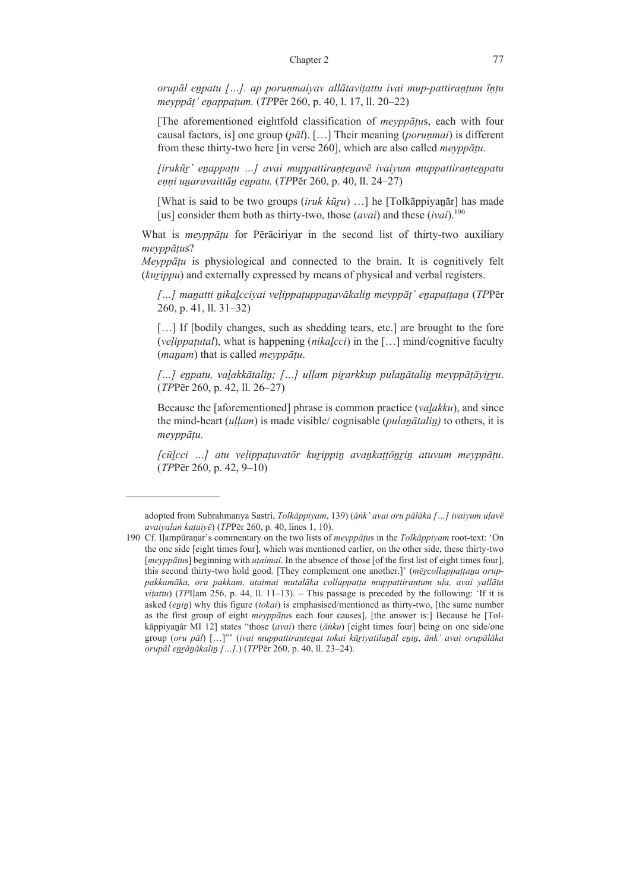*orupāl eṉpatu […]. ap poruṇmaiyav allātaviṭattu ivai mup-pattiraṇṭum īṇṭu meyppāṭ' eṉappaṭum.* (*TP*Pēr 260, p. 40, l. 17, ll. 20–22)

[The aforementioned eightfold classification of *meyppāṭu*s, each with four causal factors, is] one group (*pāl*). […] Their meaning (*poruṇmai*) is different from these thirty-two here [in verse 260], which are also called *meyppāṭu*.

*[irukūṟ' eṉappaṭu …] avai muppattiraṇṭeṉavē ivaiyum muppattiraṇteṉpatu eṇṇi uṉaravaittāṉ eṉpatu.* (*TP*Pēr 260, p. 40, ll. 24–27)

[What is said to be two groups (*iruk kūṟu*) …] he [Tolkāppiyaṉār] has made [us] consider them both as thirty-two, those (*avai*) and these (*ivai*).<sup>190</sup>

 What is *meyppāṭu* for Pērāciriyar in the second list of thirty-two auxiliary *meyppāṭu*s?

 *Meyppāṭu* is physiological and connected to the brain. It is cognitively felt (*kuṟippu*) and externally expressed by means of physical and verbal registers.

[...] manatti nikalcciyai velippatuppanavākalin meyppāt' enapattana (TPPēr 260, p. 41, ll. 31–32)

[...] If [bodily changes, such as shedding tears, etc.] are brought to the fore (*veḷippaṭutal*), what is happening (*nikaḻcci*) in the […] mind/cognitive faculty (*maṉam*) that is called *meyppāṭu*.

*[…] eṉpatu, vaḻakkātaliṉ; […] uḷḷam piṟarkkup pulaṉātaliṉ meyppāṭāyiṟṟu*. (*TP*Pēr 260, p. 42, ll. 26–27)

Because the [aforementioned] phrase is common practice (*vaḻakku*), and since the mind-heart (*uḷḷam*) is made visible/ cognisable (*pulaṉātaliṉ)* to others, it is *meyppāṭu.*

*[cūḻcci …] atu veḷippaṭuvatōr kuṟippiṉ avaṉkaṭṭōṉṟiṉ atuvum meyppāṭu*. (*TP*Pēr 260, p. 42, 9–10)

adopted from Subrahmanya Sastri, *Tolkāppiyam*, 139) (*āṅk' avai oru pālāka […] ivaiyum uḷavē avaiyalaṅ kaṭaiyē*) (*TP*Pēr 260, p. 40, lines 1, 10).

<sup>190</sup> Cf. Iḷampūraṇar's commentary on the two lists of *meyppāṭu*s in the *Tolkāppiyam* root-text: 'On the one side [eight times four], which was mentioned earlier, on the other side, these thirty-two [*meyppāṭu*s] beginning with *uṭaimai*. In the absence of those [of the first list of eight times four], this second thirty-two hold good. [They complement one another.]' (*mēṟcollappaṭṭaṉa oruppakkamāka, oru pakkam, uṭaimai mutalāka collappaṭṭa muppattiraṇṭum uḷa, avai yallāta*   $v$ *itattu*) (*TP*Ilam 256, p. 44, 11, 11–13). – This passage is preceded by the following: 'If it is asked (*eṉiṉ*) why this figure (*tokai*) is emphasised/mentioned as thirty-two, [the same number as the first group of eight *meyppāṭu*s each four causes], [the answer is:] Because he [Tolkāppiyaṉār MI 12] states "those (*avai*) there (*āṅku*) [eight times four] being on one side/one group (oru pāl) [...]" (ivai muppattirantenat tokai kūriyatilanāl enin, ānk' avai orupālāka *orupāl eṉṟāṉākaliṉ […].*) (*TP*Pēr 260, p. 40, ll. 23‒24).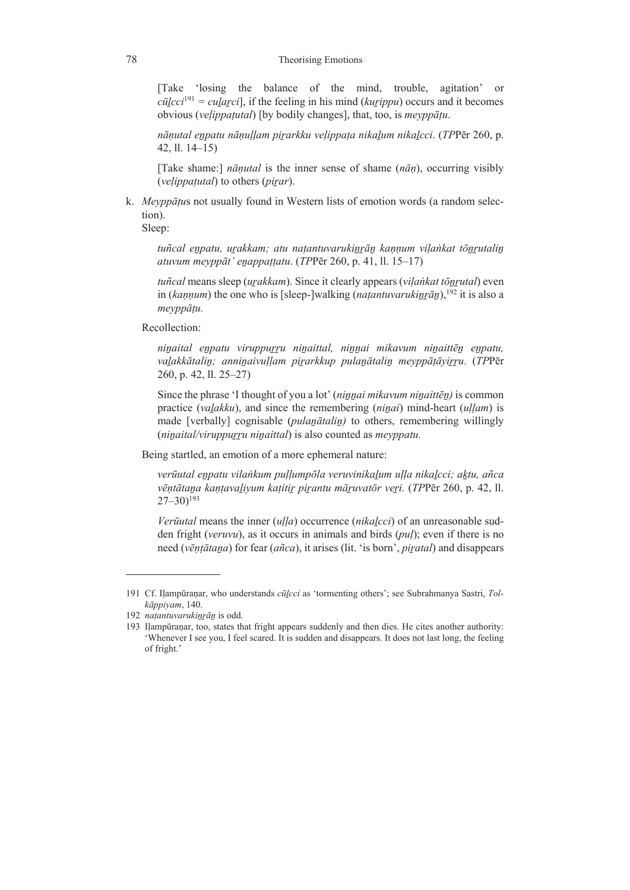[Take 'losing the balance of the mind, trouble, agitation' or  $c\bar{u}lcci^{191} = \text{cular}c\bar{i}$ , if the feeling in his mind (*kurippu*) occurs and it becomes obvious (*veḷippaṭutal*) [by bodily changes], that, too, is *meyppāṭu*.

*nāṇutal eṉpatu nāṇuḷḷam piṟarkku veḷippaṭa nikaḻum nikaḻcci*. (*TP*Pēr 260, p. 42, ll. 14–15)

[Take shame:] *nāṇutal* is the inner sense of shame (*nāṇ*), occurring visibly (*veḷippaṭutal*) to others (*piṟar*).

k. *Meyppāṭu*s not usually found in Western lists of emotion words (a random selection).

Sleep:

*tuñcal eṉpatu, uṟakkam; atu naṭantuvarukiṉṟāṉ kaṇṇum viḷaṅkat tōṉṟutaliṉ atuvum meyppāt' eṉappaṭṭatu*. (*TP*Pēr 260, p. 41, ll. 15–17)

*tuñcal* means sleep (*uṟakkam*). Since it clearly appears (*viḷaṅkat tōṉṟutal*) even in (*kannum*) the one who is [sleep-]walking (*natantuvarukinrān*),<sup>192</sup> it is also a *meyppāṭu.* 

Recollection:

*niṉaital eṉpatu viruppuṟṟu niṉaittal, niṉṉai mikavum niṉaittēṉ eṉpatu,*  valakkātalin; anninaivullam pirarkkup pulanātalin meyppātāyirru. (TPPēr 260, p. 42, ll. 25–27)

Since the phrase 'I thought of you a lot' (*niṉṉai mikavum niṉaittēṉ)* is common practice (*vaḻakku*), and since the remembering (*niṉai*) mind-heart (*uḷḷam*) is made [verbally] cognisable (*pulanātalin*) to others, remembering willingly (*niṉaital/viruppuṟṟu niṉaittal*) is also counted as *meyppatu.*

Being startled, an emotion of a more ephemeral nature:

*verūutal eṉpatu vilaṅkum puḷḷumpōla veruvinikaḻum uḷḷa nikaḻcci; aḵtu, añca*  vēntātana kantavalivum katitir pirantu māruvatōr veri. (TPPēr 260, p. 42, 11.  $27 - 30$ <sup>193</sup>

*Verūutal* means the inner (*uḷḷa*) occurrence (*nikaḻcci*) of an unreasonable sudden fright (*veruvu*), as it occurs in animals and birds (*puḷ*); even if there is no need (*vēṇṭātaṉa*) for fear (*añca*), it arises (lit. 'is born', *piṟatal*) and disappears

<sup>191</sup> Cf. Iḷampūraṇar, who understands *cūḻcci* as 'tormenting others'; see Subrahmanya Sastri, *Tolkāppiyam*, 140.

<sup>192</sup> *natantuvarukinrān* is odd.

<sup>193</sup> Iḷampūraṇar, too, states that fright appears suddenly and then dies. He cites another authority: 'Whenever I see you, I feel scared. It is sudden and disappears. It does not last long, the feeling of fright.'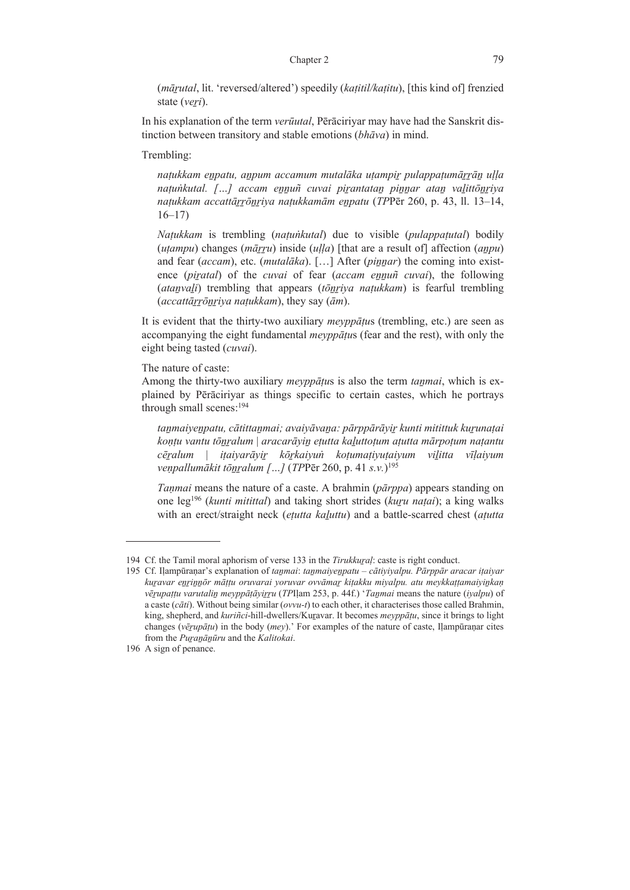(*māṟutal*, lit. 'reversed/altered') speedily (*kaṭitil/kaṭitu*), [this kind of] frenzied state (*veri*).

 In his explanation of the term *verūutal*, Pērāciriyar may have had the Sanskrit distinction between transitory and stable emotions (*bhāva*) in mind.

Trembling:

*naṭukkam eṉpatu, aṉpum accamum mutalāka uṭampiṟ pulappaṭumāṟṟāṉ uḷḷa naṭuṅkutal. […] accam eṉṉuñ cuvai piṟantataṉ piṉṉar ataṉ vaḻittōṉṟiya naṭukkam accattāṟṟōṉṟiya naṭukkamām eṉpatu* (*TP*Pēr 260, p. 43, ll. 13–14, 16–17)

*Naṭukkam* is trembling (*naṭuṅkutal*) due to visible (*pulappaṭutal*) bodily (*uṭampu*) changes (*māṟṟu*) inside (*uḷḷa*) [that are a result of] affection (*aṉpu*) and fear (*accam*), etc. (*mutal* $\bar{a}$ *ka*). [...] After (*pinnar*) the coming into existence (*piṟatal*) of the *cuvai* of fear (*accam eṉṉuñ cuvai*), the following (*ataṉvaḻi*) trembling that appears (*tōṉṟiya naṭukkam*) is fearful trembling (*accattāṟṟōṉṟiya naṭukkam*), they say (*ām*).

 It is evident that the thirty-two auxiliary *meyppāṭu*s (trembling, etc.) are seen as accompanying the eight fundamental *meyppāṭu*s (fear and the rest), with only the eight being tasted (*cuvai*).

The nature of caste:

 Among the thirty-two auxiliary *meyppāṭu*s is also the term *taṉmai*, which is explained by Pērāciriyar as things specific to certain castes, which he portrays through small scenes:<sup>194</sup>

tanmaiyenpatu, cātittanmai; avaiyāvana: pārppārāyir kunti mitittuk kurunatai kontu vantu tõnralum | aracarāyin etutta kaluttotum atutta mārpotum natantu cēralum | itaiyarāyir kōrkaiyun kotumatiyutaiyum vilitta vīlaiyum *veṇpallumākit tōṉṟalum […]* (*TP*Pēr 260, p. 41 *s.v.*) 195

*Taṇmai* means the nature of a caste. A brahmin (*pārppa*) appears standing on one leg196 (*kunti mitittal*) and taking short strides (*kuṟu naṭai*); a king walks with an erect/straight neck (*etutta kaluttu*) and a battle-scarred chest (*atutta* 

<sup>194</sup> Cf. the Tamil moral aphorism of verse 133 in the *Tirukkuṟaḷ*: caste is right conduct.

<sup>195</sup> Cf. Iḷampūraṇar's explanation of *taṉmai*: *taṉmaiyeṉpatu – cātiyiyalpu. Pārppār aracar iṭaiyar*  kuravar enrinnör mättu oruvarai yoruvar ovvāmar kitakku miyalpu, atu meykkattamaiyinkan *vēṟupaṭṭu varutaliṉ meyppāṭāyiṟṟu* (*TP*Iḷam 253, p. 44f.) '*Taṉmai* means the nature (*iyalpu*) of a caste (*cāti*). Without being similar (*ovvu-t*) to each other, it characterises those called Brahmin, king, shepherd, and *kuriñci*-hill-dwellers/Kuṟavar. It becomes *meyppāṭu*, since it brings to light changes (*vēṟupāṭu*) in the body (*mey*).' For examples of the nature of caste, Iḷampūraṇar cites from the *Puṟaṉāṉūru* and the *Kalitokai*.

<sup>196</sup> A sign of penance.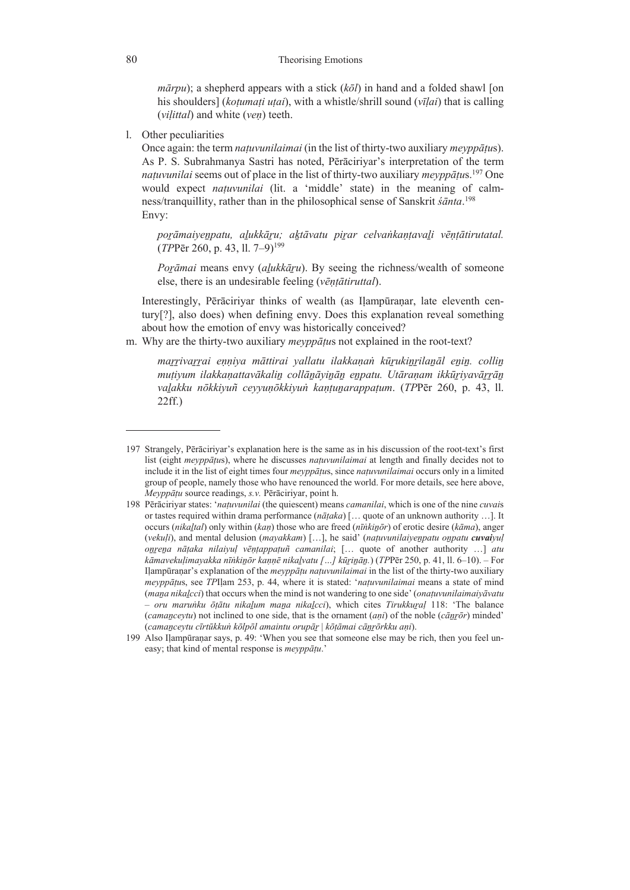$m\bar{a}rpu$ ; a shepherd appears with a stick  $(k\bar{o}l)$  in hand and a folded shawl [on his shoulders] (*koṭumaṭi uṭai*), with a whistle/shrill sound (*vīḷai*) that is calling (*viḷittal*) and white (*veṇ*) teeth.

l. Other peculiarities

 Once again: the term *naṭuvunilaimai* (in the list of thirty-two auxiliary *meyppāṭu*s). As P. S. Subrahmanya Sastri has noted, Pērāciriyar's interpretation of the term *naṭuvunilai* seems out of place in the list of thirty-two auxiliary *meyppāṭu*s.197 One would expect *naṭuvunilai* (lit. a 'middle' state) in the meaning of calmness/tranquillity, rather than in the philosophical sense of Sanskrit *śānta*. 198 Envy:

porāmaiyenpatu, alukkāru; aktāvatu pirar celvankantavali vēntātirutatal. (*TP*Pēr 260, p. 43, ll. 7–9)199

*Poṟāmai* means envy (*aḻukkāṟu*). By seeing the richness/wealth of someone else, there is an undesirable feeling (*vēṇṭātiruttal*).

 Interestingly, Pērāciriyar thinks of wealth (as Iḷampūraṇar, late eleventh century[?], also does) when defining envy. Does this explanation reveal something about how the emotion of envy was historically conceived?

m. Why are the thirty-two auxiliary *meyppāṭu*s not explained in the root-text?

marrivarrai enniya māttirai yallatu ilakkanan kūrukinrilanāl enin. collin mutiyum ilakkanattavākalin collānāyinān enpatu. Utāranam ikkūriyavārrān *vaḻakku nōkkiyuñ ceyyuṇōkkiyuṅ kaṇṭuṉarappaṭum*. (*TP*Pēr 260, p. 43, ll. 22ff.)

<sup>197</sup> Strangely, Pērāciriyar's explanation here is the same as in his discussion of the root-text's first list (eight *meyppāṭu*s), where he discusses *naṭuvunilaimai* at length and finally decides not to include it in the list of eight times four *meyppāṭu*s, since *naṭuvunilaimai* occurs only in a limited group of people, namely those who have renounced the world. For more details, see here above, *Meyppāṭu* source readings, *s.v.* Pērāciriyar, point h.

<sup>198</sup> Pērāciriyar states: '*naṭuvunilai* (the quiescent) means *camanilai*, which is one of the nine *cuvai*s or tastes required within drama performance (*nāṭaka*) [… quote of an unknown authority …]. It occurs (*nikaḻtal*) only within (*kaṇ*) those who are freed (*nīṅkiṉōr*) of erotic desire (*kāma*), anger (*vekuḷi*), and mental delusion (*mayakkam*) […], he said' (*naṭuvunilaiyeṉpatu oṉpatu cuvaiyuḷ oṉṟeṉa nāṭaka nilaiyuḷ vēṇṭappaṭuñ camanilai*; [… quote of another authority …] *atu kāmavekuḷimayakka nīṅkiṉōr kaṇṇē nikaḻvatu […] kūṟiṉāṉ.*) (*TP*Pēr 250, p. 41, ll. 6‒10). ‒ For Iḷampūraṇar's explanation of the *meyppāṭu naṭuvunilaimai* in the list of the thirty-two auxiliary *meyppāṭu*s, see *TP*Iḷam 253, p. 44, where it is stated: '*naṭuvunilaimai* means a state of mind (*maṉa nikaḻcci*) that occurs when the mind is not wandering to one side' (*onaṭuvunilaimaiyāvatu – oru maruṅku ōṭātu nikaḻum maṉa nikaḻcci*), which cites *Tirukkuṟaḷ* 118: 'The balance (*camanceytu*) not inclined to one side, that is the ornament (*ani*) of the noble ( $c\bar{a}nr\bar{o}r$ ) minded' (*camaṉceytu cīrtūkkuṅ kōlpōl amaintu orupāṟ* | *kōṭāmai cāṉṟōrkku aṇi*).

<sup>199</sup> Also Iḷampūraṇar says, p. 49: 'When you see that someone else may be rich, then you feel uneasy; that kind of mental response is *meyppāṭu*.'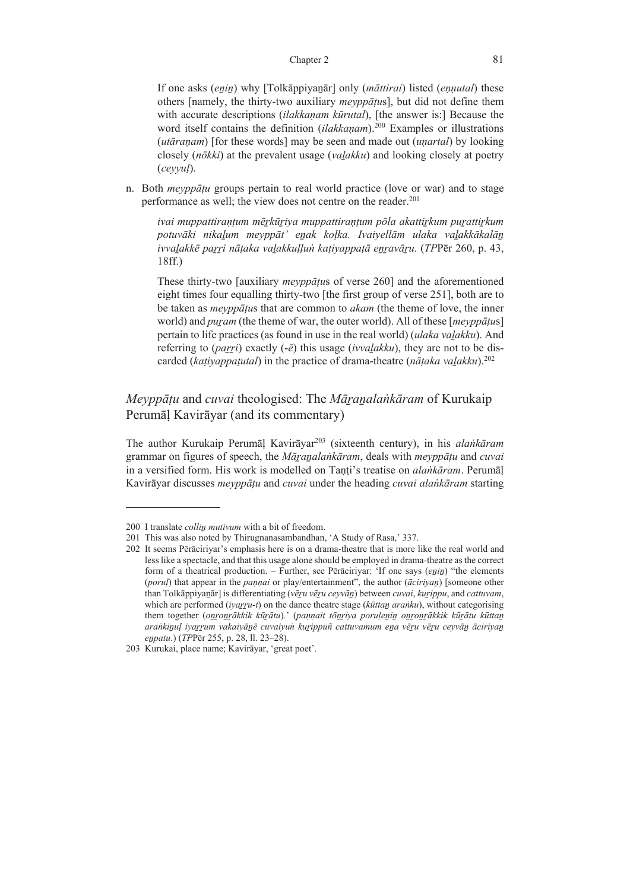If one asks (*eṉiṉ*) why [Tolkāppiyaṉār] only (*māttirai*) listed (*eṇṇutal*) these others [namely, the thirty-two auxiliary *meyppāṭu*s], but did not define them with accurate descriptions (*ilakkaṇam kūrutal*), [the answer is:] Because the word itself contains the definition *(ilakkanam*).<sup>200</sup> Examples or illustrations (*utāraṇam*) [for these words] may be seen and made out (*uṇartal*) by looking closely (*nōkki*) at the prevalent usage (*vaḻakku*) and looking closely at poetry (*ceyyuḷ*).

n. Both *meyppāṭu* groups pertain to real world practice (love or war) and to stage performance as well; the view does not centre on the reader.<sup>201</sup>

*ivai muppattiraṇṭum mēṟkūṟiya muppattiraṇṭum pōla akattiṟkum puṟattiṟkum potuvāki nikaḻum meyppāt' eṉak koḷka. Ivaiyellām ulaka vaḻakkākalāṉ* ivvalakkē parri nātaka valakkullun kativappatā enravāru. (TPPēr 260, p. 43, 18ff.)

These thirty-two [auxiliary *meyppāṭu*s of verse 260] and the aforementioned eight times four equalling thirty-two [the first group of verse 251], both are to be taken as *meyppāṭu*s that are common to *akam* (the theme of love, the inner world) and *puṟam* (the theme of war, the outer world). All of these [*meyppāṭu*s] pertain to life practices (as found in use in the real world) (*ulaka vaḻakku*). And referring to (*parri*) exactly  $(-\bar{e})$  this usage (*ivvalakku*), they are not to be discarded (*kaṭiyappaṭutal*) in the practice of drama-theatre (*nāṭaka vaḻakku*).202

*Meyppāṭu* and *cuvai* theologised: The *Māṟaṉalaṅkāram* of Kurukaip Perumāḷ Kavirāyar (and its commentary)

The author Kurukaip Perumāḷ Kavirāyar203 (sixteenth century), in his *alaṅkāram* grammar on figures of speech, the *Māṟaṉalaṅkāram*, deals with *meyppāṭu* and *cuvai* in a versified form. His work is modelled on Tanti's treatise on *alankāram*. Perumāl Kavirāyar discusses *meyppāṭu* and *cuvai* under the heading *cuvai alaṅkāram* starting

<sup>200</sup> I translate *collin mutivum* with a bit of freedom.

<sup>201</sup> This was also noted by Thirugnanasambandhan, 'A Study of Rasa,' 337.

<sup>202</sup> It seems Pērāciriyar's emphasis here is on a drama-theatre that is more like the real world and less like a spectacle, and that this usage alone should be employed in drama-theatre as the correct form of a theatrical production. – Further, see Pērāciriyar: 'If one says (*eṉiṉ*) "the elements (*poruḷ*) that appear in the *paṇṇai* or play/entertainment", the author (*āciriyaṉ*) [someone other than Tolkāppiyaṉār] is differentiating (*vēṟu vēṟu ceyvāṉ*) between *cuvai*, *kuṟippu*, and *cattuvam*, which are performed (*ivarru-t*) on the dance theatre stage ( $k\bar{u}$ *ttan aranku*), without categorising them together (onronrākkik kūrātu).' (paņņait tōnriya poruļeņiņ onronrākkik kūrātu kūttaņ arankinul iyarrum vakaiyānē cuvaiyun kurippuñ cattuvamum ena vēru vēru ceyvān āciriyan *eṉpatu*.) (*TP*Pēr 255, p. 28, ll. 23‒28).

<sup>203</sup> Kurukai, place name; Kavirāyar, 'great poet'.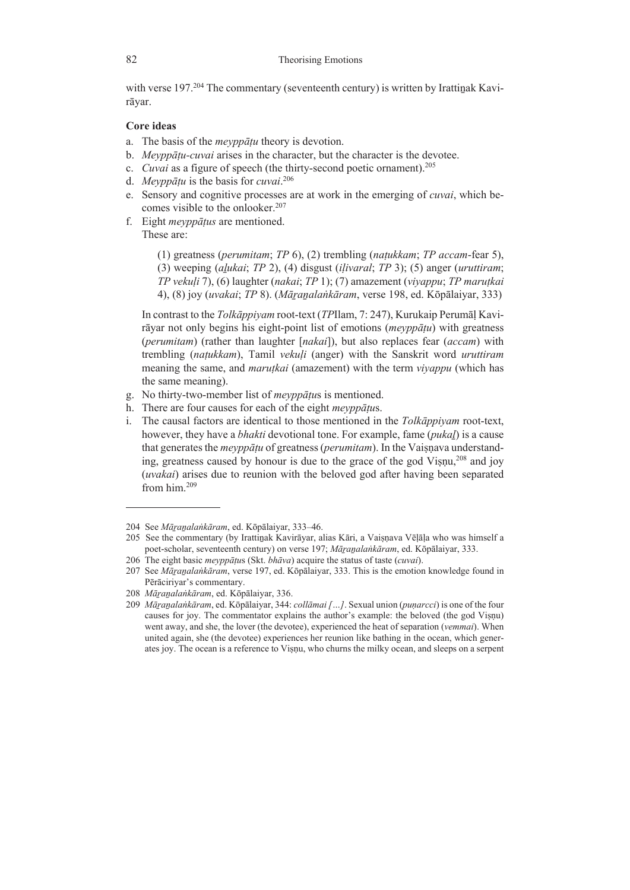with verse  $197<sup>204</sup>$  The commentary (seventeenth century) is written by Irattinak Kavirāyar.

## **Core ideas**

- a. The basis of the *meyppāṭu* theory is devotion.
- b. *Meyppāṭu-cuvai* arises in the character, but the character is the devotee.
- c. *Cuvai* as a figure of speech (the thirty-second poetic ornament).205
- d. *Meyppāṭu* is the basis for *cuvai*. 206
- e. Sensory and cognitive processes are at work in the emerging of *cuvai*, which becomes visible to the onlooker.<sup>207</sup>
- f. Eight *meyppāṭus* are mentioned. These are:

(1) greatness (*perumitam*; *TP* 6), (2) trembling (*naṭukkam*; *TP accam*-fear 5), (3) weeping (*aḻukai*; *TP* 2), (4) disgust (*iḷivaral*; *TP* 3); (5) anger (*uruttiram*; *TP vekuḷi* 7), (6) laughter (*nakai*; *TP* 1); (7) amazement (*viyappu*; *TP maruṭkai* 4), (8) joy (*uvakai*; *TP* 8). (*Māṟaṉalaṅkāram*, verse 198, ed. Kōpālaiyar, 333)

 In contrast to the *Tolkāppiyam* root-text (*TP*Ilam, 7: 247), Kurukaip Perumāḷ Kavirāyar not only begins his eight-point list of emotions (*meyppāṭu*) with greatness (*perumitam*) (rather than laughter [*nakai*]), but also replaces fear (*accam*) with trembling (*naṭukkam*), Tamil *vekuḷi* (anger) with the Sanskrit word *uruttiram* meaning the same, and *maruṭkai* (amazement) with the term *viyappu* (which has the same meaning).

- g. No thirty-two-member list of *meyppāṭu*s is mentioned.
- h. There are four causes for each of the eight *meyppāṭu*s.
- i. The causal factors are identical to those mentioned in the *Tolkāppiyam* root-text, however, they have a *bhakti* devotional tone. For example, fame (*pukaḻ*) is a cause that generates the *meyppāṭu* of greatness (*perumitam*). In the Vaiṣṇava understanding, greatness caused by honour is due to the grace of the god Visnu,  $^{208}$  and joy (*uvakai*) arises due to reunion with the beloved god after having been separated from him.<sup>209</sup>

206 The eight basic *meyppāṭu*s (Skt. *bhāva*) acquire the status of taste (*cuvai*).

<sup>204</sup> See *Māṟaṉalaṅkāram*, ed. Kōpālaiyar, 333‒46.

<sup>205</sup> See the commentary (by Irattiṉak Kavirāyar, alias Kāri, a Vaiṣṇava Vēḷāḷa who was himself a poet-scholar, seventeenth century) on verse 197; *Māṟaṉalaṅkāram*, ed. Kōpālaiyar, 333.

<sup>207</sup> See *Māṟaṉalaṅkāram*, verse 197, ed. Kōpālaiyar, 333. This is the emotion knowledge found in Pērāciriyar's commentary.

<sup>208</sup> *Māṟaṉalaṅkāram*, ed. Kōpālaiyar, 336.

<sup>209</sup> *Māṟaṉalaṅkāram*, ed. Kōpālaiyar, 344: *collāmai[…]*. Sexual union (*puṇarcci*) is one of the four causes for joy. The commentator explains the author's example: the beloved (the god Viṣṇu) went away, and she, the lover (the devotee), experienced the heat of separation (*vemmai*). When united again, she (the devotee) experiences her reunion like bathing in the ocean, which generates joy. The ocean is a reference to Viṣṇu, who churns the milky ocean, and sleeps on a serpent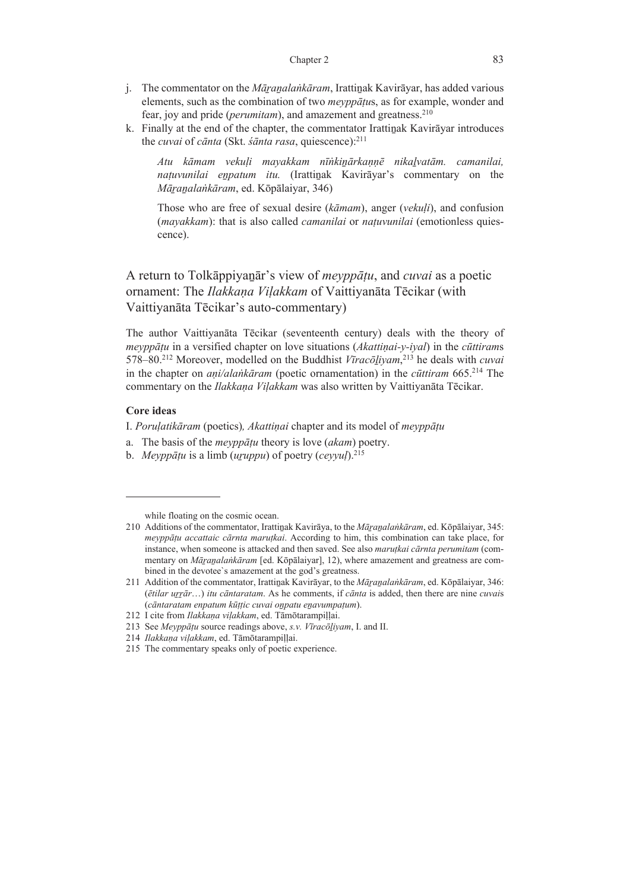- j. The commentator on the *Māṟaṉalaṅkāram*, Irattiṉak Kavirāyar, has added various elements, such as the combination of two *meyppāṭu*s, as for example, wonder and fear, joy and pride (*perumitam*), and amazement and greatness.<sup>210</sup>
- k. Finally at the end of the chapter, the commentator Irattinak Kavirāyar introduces the *cuvai* of *cānta* (Skt. *śānta rasa*, quiescence):211

*Atu kāmam vekuḷi mayakkam nīṅkiṉārkaṇṇē nikaḻvatām. camanilai, naṭuvunilai eṉpatum itu.* (Irattiṉak Kavirāyar's commentary on the *Māṟaṉalaṅkāram*, ed. Kōpālaiyar, 346)

Those who are free of sexual desire (*kāmam*), anger (*vekuḷi*), and confusion (*mayakkam*): that is also called *camanilai* or *naṭuvunilai* (emotionless quiescence).

A return to Tolkāppiyaṉār's view of *meyppāṭu*, and *cuvai* as a poetic ornament: The *Ilakkaṇa Viḷakkam* of Vaittiyanāta Tēcikar (with Vaittiyanāta Tēcikar's auto-commentary)

The author Vaittiyanāta Tēcikar (seventeenth century) deals with the theory of *meyppāṭu* in a versified chapter on love situations (*Akattiṇai-y-iyal*) in the *cūttiram*s 578–80.212 Moreover, modelled on the Buddhist *Vīracōḻiyam*, 213 he deals with *cuvai* in the chapter on *aṇi/alaṅkāram* (poetic ornamentation) in the *cūttiram* 665.214 The commentary on the *Ilakkaṇa Viḷakkam* was also written by Vaittiyanāta Tēcikar.

## **Core ideas**

I. *Poruḷatikāram* (poetics)*, Akattiṇai* chapter and its model of *meyppāṭu* 

- a. The basis of the *meyppāṭu* theory is love (*akam*) poetry.
- b. *Meyppāṭu* is a limb (*uṟuppu*) of poetry (*ceyyuḷ*).215

while floating on the cosmic ocean.

<sup>210</sup> Additions of the commentator, Irattiṉak Kavirāya, to the *Māṟaṉalaṅkāram*, ed. Kōpālaiyar, 345: *meyppāṭu accattaic cārnta maruṭkai*. According to him, this combination can take place, for instance, when someone is attacked and then saved. See also *maruṭkai cārnta perumitam* (commentary on *Māṟaṉalaṅkāram* [ed. Kōpālaiyar], 12), where amazement and greatness are combined in the devotee`s amazement at the god's greatness.

<sup>211</sup> Addition of the commentator, Irattiṉak Kavirāyar, to the *Māṟaṉalaṅkāram*, ed. Kōpālaiyar, 346: (*ētilar uṟṟār*…) *itu cāntaratam*. As he comments, if *cānta* is added, then there are nine *cuvai*s (*cāntaratam enpatum kūṭṭic cuvai oṉpatu eṉavumpaṭum*).

<sup>212</sup> I cite from *Ilakkaṇa viḷakkam*, ed. Tāmōtarampiḷḷai.

<sup>213</sup> See *Meyppāṭu* source readings above, *s.v. Vīracōḻiyam*, I. and II.

<sup>214</sup> *Ilakkaṇa viḷakkam*, ed. Tāmōtarampiḷḷai.

<sup>215</sup> The commentary speaks only of poetic experience.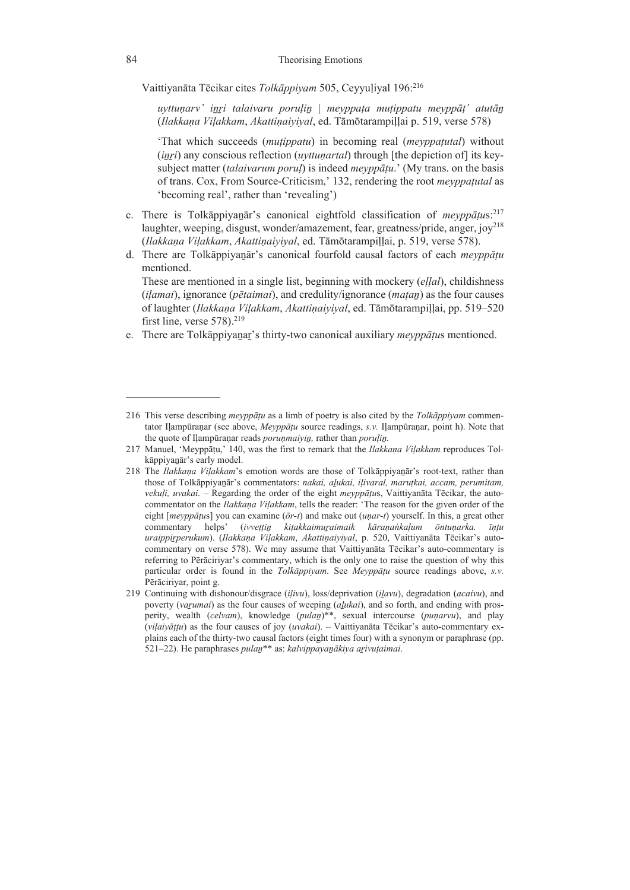Vaittiyanāta Tēcikar cites *Tolkāppiyam* 505, Ceyyuḷiyal 196:216

*uyttuṇarv' iṉṟi talaivaru poruḷiṉ* | *meyppaṭa muṭippatu meyppāṭ' atutāṉ* (*Ilakkaṇa Viḷakkam*, *Akattiṇaiyiyal*, ed. Tāmōtarampiḷḷai p. 519, verse 578)

'That which succeeds (*muṭippatu*) in becoming real (*meyppaṭutal*) without (*inri*) any conscious reflection (*uyttunartal*) through [the depiction of] its keysubject matter (*talaivarum poruḷ*) is indeed *meyppāṭu*.' (My trans. on the basis of trans. Cox, From Source-Criticism,' 132, rendering the root *meyppaṭutal* as 'becoming real', rather than 'revealing')

- c. There is Tolkāppiyaṉār's canonical eightfold classification of *meyppāṭu*s:217 laughter, weeping, disgust, wonder/amazement, fear, greatness/pride, anger,  $jov^{218}$ (*Ilakkaṇa Viḷakkam*, *Akattiṇaiyiyal*, ed. Tāmōtarampiḷḷai, p. 519, verse 578).
- d. There are Tolkāppiyaṉār's canonical fourfold causal factors of each *meyppāṭu* mentioned.

 These are mentioned in a single list, beginning with mockery (*eḷḷal*), childishness (*iḷamai*), ignorance (*pētaimai*), and credulity/ignorance (*maṭaṉ*) as the four causes of laughter (*Ilakkaṇa Viḷakkam*, *Akattiṇaiyiyal*, ed. Tāmōtarampiḷḷai, pp. 519–520 first line, verse  $578$ ).<sup>219</sup>

e. There are Tolkāppiyaṉaṟ's thirty-two canonical auxiliary *meyppāṭu*s mentioned.

<sup>216</sup> This verse describing *meyppāṭu* as a limb of poetry is also cited by the *Tolkāppiyam* commentator Iḷampūraṇar (see above, *Meyppāṭu* source readings, *s.v.* Iḷampūraṇar, point h). Note that the quote of Iḷampūraṇar reads *poruṇmaiyiṉ,* rather than *poruḷiṉ.*

<sup>217</sup> Manuel, 'Meyppāṭu,' 140, was the first to remark that the *Ilakkaṇa Viḷakkam* reproduces Tolkāppiyaṉār's early model.

<sup>218</sup> The *Ilakkaṇa Viḷakkam*'s emotion words are those of Tolkāppiyaṉār's root-text, rather than those of Tolkāppiyaṉār's commentators: *nakai, aḻukai, iḷivaral, maruṭkai, accam, perumitam, vekuḷi, uvakai. ‒* Regarding the order of the eight *meyppāṭu*s, Vaittiyanāta Tēcikar, the autocommentator on the *Ilakkaṇa Viḷakkam*, tells the reader: 'The reason for the given order of the eight [*meyppāṭu*s] you can examine (*ōr-t*) and make out (*uṇar-t*) yourself. In this, a great other commentary helps' (ivvettin kitakkaimuraimaik kāranankalum ōntunarka. īntu *uraippiṟperukum*). (*Ilakkaṇa Viḷakkam*, *Akattiṇaiyiyal*, p. 520, Vaittiyanāta Tēcikar's autocommentary on verse 578). We may assume that Vaittiyanāta Tēcikar's auto-commentary is referring to Pērāciriyar's commentary, which is the only one to raise the question of why this particular order is found in the *Tolkāppiyam*. See *Meyppāṭu* source readings above, *s.v.* Pērāciriyar, point g.

<sup>219</sup> Continuing with dishonour/disgrace (*iḷivu*), loss/deprivation (*iḻavu*), degradation (*acaivu*), and poverty (*vaṟumai*) as the four causes of weeping (*aḻukai*), and so forth, and ending with prosperity, wealth (*celvam*), knowledge (*pulaṉ*)\*\*, sexual intercourse (*puṇarvu*), and play (*viḷaiyāṭṭu*) as the four causes of joy (*uvakai*). – Vaittiyanāta Tēcikar's auto-commentary explains each of the thirty-two causal factors (eight times four) with a synonym or paraphrase (pp. 521‒22). He paraphrases *pulaṉ*\*\* as: *kalvippayaṉākiya aṟivuṭaimai*.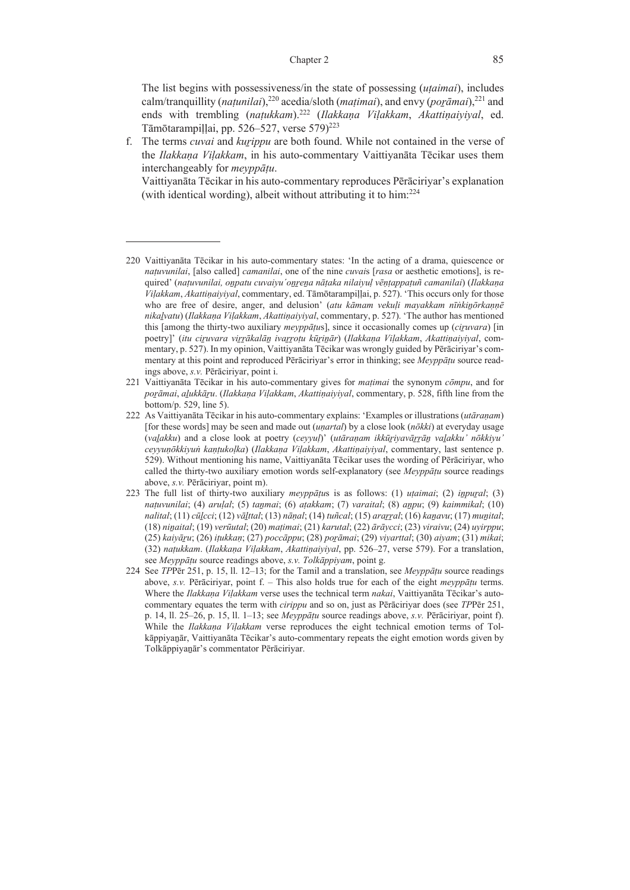### Chapter 2 85

 The list begins with possessiveness/in the state of possessing (*uṭaimai*), includes calm/tranquillity (*naṭunilai*),220 acedia/sloth (*maṭimai*), and envy (*poṟāmai*),221 and ends with trembling (*naṭukkam*).222 (*Ilakkaṇa Viḷakkam*, *Akattiṇaiyiyal*, ed. Tāmōtarampillai, pp. 526–527, verse 579)<sup>223</sup>

f. The terms *cuvai* and *kuṟippu* are both found. While not contained in the verse of the *Ilakkaṇa Viḷakkam*, in his auto-commentary Vaittiyanāta Tēcikar uses them interchangeably for *meyppāṭu*.

 Vaittiyanāta Tēcikar in his auto-commentary reproduces Pērāciriyar's explanation (with identical wording), albeit without attributing it to him:224

- 221 Vaittiyanāta Tēcikar in his auto-commentary gives for *maṭimai* the synonym *cōmpu*, and for *poṟāmai*, *aḻukkāṟu*. (*Ilakkaṇa Viḷakkam*, *Akattiṇaiyiyal*, commentary, p. 528, fifth line from the bottom/p. 529, line 5).
- 222 As Vaittiyanāta Tēcikar in his auto-commentary explains: 'Examples or illustrations (*utāraṇam*) [for these words] may be seen and made out (*uṇartal*) by a close look (*nōkki*) at everyday usage (*vaḻakku*) and a close look at poetry (*ceyyuḷ*)' (*utāraṇam ikkūṟiyavāṟṟāṉ vaḻakku' nōkkiyu' ceyyuṇōkkiyuṅ kaṇṭukoḷka*) (*Ilakkaṇa Viḷakkam*, *Akattiṇaiyiyal*, commentary, last sentence p. 529). Without mentioning his name, Vaittiyanāta Tēcikar uses the wording of Pērāciriyar, who called the thirty-two auxiliary emotion words self-explanatory (see *Meyppāṭu* source readings above, *s.v.* Pērāciriyar, point m).
- 223 The full list of thirty-two auxiliary *meyppāṭu*s is as follows: (1) *uṭaimai*; (2) *iṉpuṟal*; (3) *naṭuvunilai*; (4) *aruḷal*; (5) *taṉmai*; (6) *aṭakkam*; (7) *varaital*; (8) *aṉpu*; (9) *kaimmikal*; (10) nalital;  $(11)$  cūlcci;  $(12)$  vālttal;  $(13)$  nānal;  $(14)$  tuñcal;  $(15)$  ararral;  $(16)$  kanavu;  $(17)$  munital; (18) *niṉaital*; (19) *verūutal*; (20) *maṭimai*; (21) *karutal*; (22) *ārāycci*; (23) *viraivu*; (24) *uyirppu*; (25) *kaiyāṟu*; (26) *iṭukkaṇ*; (27) *poccāppu*; (28) *poṟāmai*; (29) *viyarttal*; (30) *aiyam*; (31) *mikai*; (32) *naṭukkam*. (*Ilakkaṇa Viḷakkam*, *Akattiṇaiyiyal*, pp. 526‒27, verse 579). For a translation, see *Meyppāṭu* source readings above, *s.v. Tolkāppiyam*, point g.
- 224 See *TP*Pēr 251, p. 15, ll. 12‒13; for the Tamil and a translation, see *Meyppāṭu* source readings above, *s.v.* Pērāciriyar, point f. – This also holds true for each of the eight *meyppāṭu* terms. Where the *Ilakkaṇa Viḷakkam* verse uses the technical term *nakai*, Vaittiyanāta Tēcikar's autocommentary equates the term with *cirippu* and so on, just as Pērāciriyar does (see *TP*Pēr 251, p. 14, ll. 25‒26, p. 15, ll. 1‒13; see *Meyppāṭu* source readings above, *s.v.* Pērāciriyar, point f). While the *Ilakkaṇa Viḷakkam* verse reproduces the eight technical emotion terms of Tolkāppiyaṉār, Vaittiyanāta Tēcikar's auto-commentary repeats the eight emotion words given by Tolkāppiyaṉār's commentator Pērāciriyar.

<sup>220</sup> Vaittiyanāta Tēcikar in his auto-commentary states: 'In the acting of a drama, quiescence or *naṭuvunilai*, [also called] *camanilai*, one of the nine *cuvai*s [*rasa* or aesthetic emotions], is required' (națuvunilai, onpatu cuvaiyu'onrena nāțaka nilaiyul vēņțappațuñ camanilai) (Ilakkaņa *Viḷakkam*, *Akattiṇaiyiyal*, commentary, ed. Tāmōtarampiḷḷai, p. 527). 'This occurs only for those who are free of desire, anger, and delusion' (*atu kāmam vekuḷi mayakkam nīṅkiṉōrkaṇṇē nikaḻvatu*) (*Ilakkaṇa Viḷakkam*, *Akattiṇaiyiyal*, commentary, p. 527). 'The author has mentioned this [among the thirty-two auxiliary *meyppāṭu*s], since it occasionally comes up (*ciṟuvara*) [in poetry]' (itu ciruvara virrākalān ivarroțu kūrinār) (Ilakkaņa Viļakkam, Akattiņaiyiyal, commentary, p. 527). In my opinion, Vaittiyanāta Tēcikar was wrongly guided by Pērāciriyar's commentary at this point and reproduced Pērāciriyar's error in thinking; see *Meyppāṭu* source readings above, *s.v.* Pērāciriyar, point i.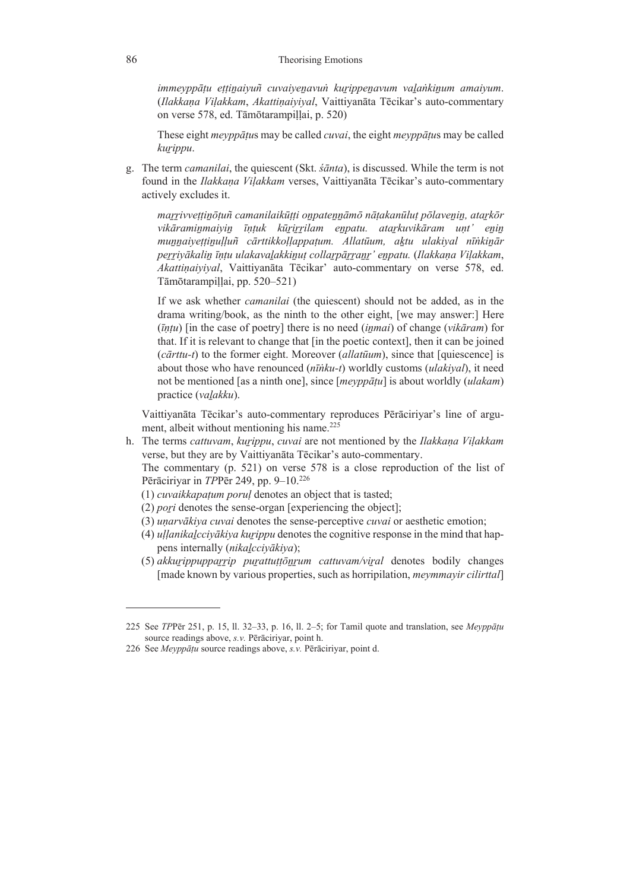*immeyppāṭu eṭṭiṉaiyuñ cuvaiyeṉavuṅ kuṟippeṉavum vaḻaṅkiṉum amaiyum*. (*Ilakkaṇa Viḷakkam*, *Akattiṇaiyiyal*, Vaittiyanāta Tēcikar's auto-commentary on verse 578, ed. Tāmōtarampiḷḷai, p. 520)

These eight *meyppāṭu*s may be called *cuvai*, the eight *meyppāṭu*s may be called *kuṟippu*.

g. The term *camanilai*, the quiescent (Skt. *śānta*), is discussed. While the term is not found in the *Ilakkaṇa Viḷakkam* verses, Vaittiyanāta Tēcikar's auto-commentary actively excludes it.

marrivvețținoțuñ camanilaikūțți onpatennāmō nāțakanūluț polavenin, atarkor vikāraminmaiyin īntuk kūrirrilam enpatu. atarkuvikāram unt' enin munnaivettinulluñ cārttikkollappatum. Allatūum, aktu ulakival nīnkinār perriyākalin īntu ulakavaļakkinut collarpārranr' enpatu. (Ilakkaņa Viļakkam, *Akattiṇaiyiyal*, Vaittiyanāta Tēcikar' auto-commentary on verse 578, ed. Tāmōtarampiḷḷai, pp. 520–521)

If we ask whether *camanilai* (the quiescent) should not be added, as in the drama writing/book, as the ninth to the other eight, [we may answer:] Here (*īṇṭu*) [in the case of poetry] there is no need (*iṉmai*) of change (*vikāram*) for that. If it is relevant to change that [in the poetic context], then it can be joined (*cārttu-t*) to the former eight. Moreover (*allatūum*), since that [quiescence] is about those who have renounced (*nīṅku-t*) worldly customs (*ulakiyal*), it need not be mentioned [as a ninth one], since [*meyppāṭu*] is about worldly (*ulakam*) practice (*vaḻakku*).

 Vaittiyanāta Tēcikar's auto-commentary reproduces Pērāciriyar's line of argument, albeit without mentioning his name.<sup>225</sup>

h. The terms *cattuvam*, *kuṟippu*, *cuvai* are not mentioned by the *Ilakkaṇa Viḷakkam* verse, but they are by Vaittiyanāta Tēcikar's auto-commentary.

 The commentary (p. 521) on verse 578 is a close reproduction of the list of Pērāciriyar in *TP*Pēr 249, pp. 9–10.226

- (1) *cuvaikkapaṭum poruḷ* denotes an object that is tasted;
- (2) *poṟi* denotes the sense-organ [experiencing the object];
- (3) *uṇarvākiya cuvai* denotes the sense-perceptive *cuvai* or aesthetic emotion;
- (4) *uḷḷanikaḻcciyākiya kuṟippu* denotes the cognitive response in the mind that happens internally (*nikaḻcciyākiya*);
- (5) *akkuṟippuppaṟṟip puṟattuṭṭōṉṟum cattuvam/viṟal* denotes bodily changes [made known by various properties, such as horripilation, *meymmayir cilirttal*]

<sup>225</sup> See *TP*Pēr 251, p. 15, ll. 32‒33, p. 16, ll. 2‒5; for Tamil quote and translation, see *Meyppāṭu* source readings above, *s.v.* Pērāciriyar, point h.

<sup>226</sup> See *Meyppāṭu* source readings above, *s.v.* Pērāciriyar, point d.